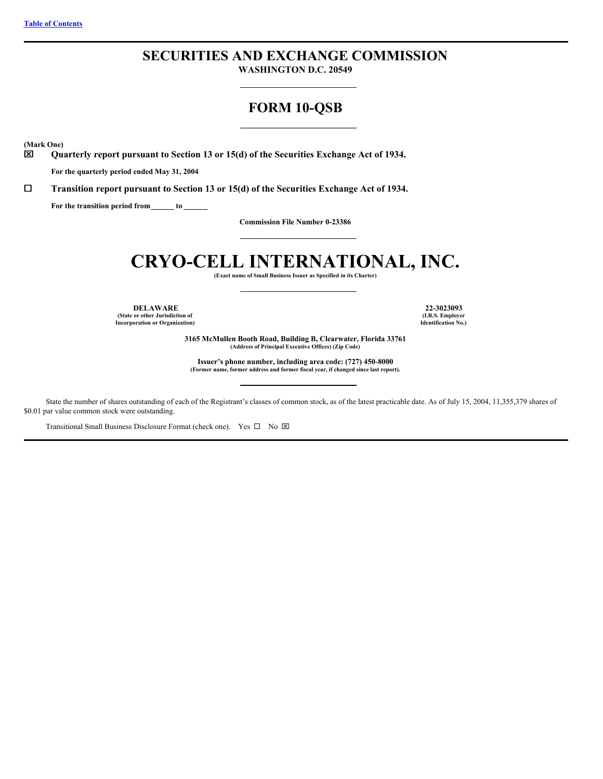# **SECURITIES AND EXCHANGE COMMISSION**

**WASHINGTON D.C. 20549**

# **FORM 10-QSB**

**(Mark One)**

x **Quarterly report pursuant to Section 13 or 15(d) of the Securities Exchange Act of 1934.**

**For the quarterly period ended May 31, 2004**

¨ **Transition report pursuant to Section 13 or 15(d) of the Securities Exchange Act of 1934.**

**For the transition period from to**

**Commission File Number 0-23386**

# **CRYO-CELL INTERNATIONAL, INC.**

**(Exact name of Small Business Issuer as Specified in its Charter)**

**DELAWARE 22-3023093 (State or other Jurisdiction of Incorporation or Organization)**

**(I.R.S. Employer Identification No.)**

**3165 McMullen Booth Road, Building B, Clearwater, Florida 33761 (Address of Principal Executive Offices) (Zip Code)**

**Issuer's phone number, including area code: (727) 450-8000 (Former name, former address and former fiscal year, if changed since last report).**

State the number of shares outstanding of each of the Registrant's classes of common stock, as of the latest practicable date. As of July 15, 2004, 11,355,379 shares of \$0.01 par value common stock were outstanding.

Transitional Small Business Disclosure Format (check one). Yes  $\square$  No  $\square$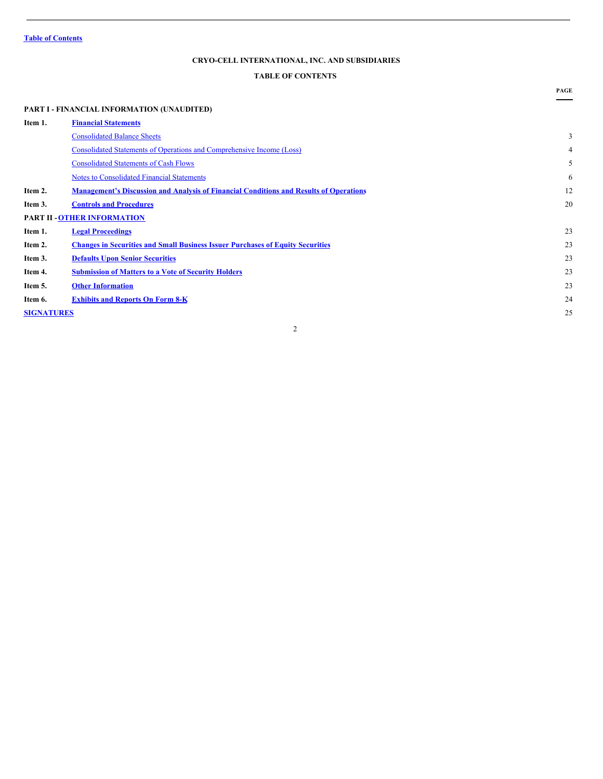# <span id="page-1-0"></span>**CRYO-CELL INTERNATIONAL, INC. AND SUBSIDIARIES**

# **TABLE OF CONTENTS**

**PAGE**

|                   | <b>PART I - FINANCIAL INFORMATION (UNAUDITED)</b>                                             |    |
|-------------------|-----------------------------------------------------------------------------------------------|----|
| Item 1.           | <b>Financial Statements</b>                                                                   |    |
|                   | <b>Consolidated Balance Sheets</b>                                                            | 3  |
|                   | <b>Consolidated Statements of Operations and Comprehensive Income (Loss)</b>                  | 4  |
|                   | <b>Consolidated Statements of Cash Flows</b>                                                  | 5  |
|                   | <b>Notes to Consolidated Financial Statements</b>                                             | 6  |
| Item 2.           | <b>Management's Discussion and Analysis of Financial Conditions and Results of Operations</b> | 12 |
| Item 3.           | <b>Controls and Procedures</b>                                                                | 20 |
|                   | PART II - OTHER INFORMATION                                                                   |    |
| Item 1.           | <b>Legal Proceedings</b>                                                                      | 23 |
| Item 2.           | <b>Changes in Securities and Small Business Issuer Purchases of Equity Securities</b>         | 23 |
| Item 3.           | <b>Defaults Upon Senior Securities</b>                                                        | 23 |
| Item 4.           | <b>Submission of Matters to a Vote of Security Holders</b>                                    | 23 |
| Item 5.           | <b>Other Information</b>                                                                      | 23 |
| Item 6.           | <b>Exhibits and Reports On Form 8-K</b>                                                       | 24 |
| <b>SIGNATURES</b> |                                                                                               | 25 |
|                   | 2                                                                                             |    |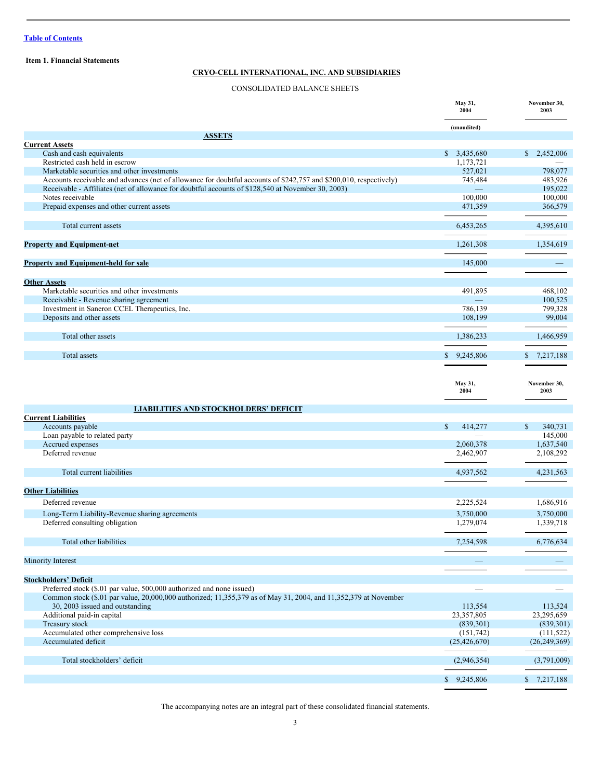**Table of [Contents](#page-1-0)**

<span id="page-2-0"></span>**Item 1. Financial Statements**

# <span id="page-2-1"></span>**CRYO-CELL INTERNATIONAL, INC. AND SUBSIDIARIES**

# CONSOLIDATED BALANCE SHEETS

|                                                                                                                        | May 31,<br>2004         | November 30,<br>2003     |
|------------------------------------------------------------------------------------------------------------------------|-------------------------|--------------------------|
|                                                                                                                        | (unaudited)             |                          |
| <b>ASSETS</b>                                                                                                          |                         |                          |
| <b>Current Assets</b>                                                                                                  |                         |                          |
| Cash and cash equivalents                                                                                              | \$3,435,680             | \$2,452,006              |
| Restricted cash held in escrow                                                                                         | 1,173,721               |                          |
| Marketable securities and other investments                                                                            | 527,021                 | 798,077                  |
| Accounts receivable and advances (net of allowance for doubtful accounts of \$242,757 and \$200,010, respectively)     | 745,484                 | 483,926                  |
| Receivable - Affiliates (net of allowance for doubtful accounts of \$128,540 at November 30, 2003)<br>Notes receivable | 100,000                 | 195,022<br>100,000       |
| Prepaid expenses and other current assets                                                                              | 471,359                 | 366,579                  |
|                                                                                                                        |                         |                          |
| Total current assets                                                                                                   | 6,453,265               | 4,395,610                |
| <b>Property and Equipment-net</b>                                                                                      | 1.261.308               | 1,354,619                |
| <b>Property and Equipment-held for sale</b>                                                                            | 145,000                 |                          |
|                                                                                                                        |                         |                          |
| <b>Other Assets</b>                                                                                                    |                         |                          |
| Marketable securities and other investments                                                                            | 491,895                 | 468,102                  |
| Receivable - Revenue sharing agreement                                                                                 |                         | 100,525                  |
| Investment in Saneron CCEL Therapeutics, Inc.                                                                          | 786,139                 | 799,328                  |
| Deposits and other assets                                                                                              | 108,199                 | 99,004                   |
|                                                                                                                        |                         |                          |
| Total other assets                                                                                                     | 1,386,233               | 1,466,959                |
| <b>Total assets</b>                                                                                                    | 9,245,806               | 7,217,188<br>\$          |
| <b>LIABILITIES AND STOCKHOLDERS' DEFICIT</b>                                                                           | 2004                    | 2003                     |
| <b>Current Liabilities</b>                                                                                             |                         |                          |
| Accounts payable                                                                                                       | $\mathbb{S}$<br>414,277 | 340,731<br><sup>\$</sup> |
| Loan payable to related party                                                                                          |                         | 145,000                  |
| Accrued expenses                                                                                                       | 2,060,378               | 1,637,540                |
| Deferred revenue                                                                                                       | 2,462,907               | 2,108,292                |
| Total current liabilities                                                                                              | 4,937,562               | 4,231,563                |
| <b>Other Liabilities</b>                                                                                               |                         |                          |
| Deferred revenue                                                                                                       | 2,225,524               | 1,686,916                |
| Long-Term Liability-Revenue sharing agreements                                                                         |                         | 3,750,000                |
| Deferred consulting obligation                                                                                         | 3,750,000<br>1,279,074  | 1,339,718                |
|                                                                                                                        |                         |                          |
| Total other liabilities                                                                                                | 7,254,598               | 6,776,634                |
| Minority Interest                                                                                                      |                         |                          |
| <b>Stockholders' Deficit</b>                                                                                           |                         |                          |
| Preferred stock (\$.01 par value, 500,000 authorized and none issued)                                                  |                         |                          |
| Common stock (\$.01 par value, 20,000,000 authorized; 11,355,379 as of May 31, 2004, and 11,352,379 at November        |                         |                          |
| 30, 2003 issued and outstanding<br>Additional paid-in capital                                                          | 113,554<br>23,357,805   | 113,524<br>23,295,659    |
|                                                                                                                        |                         | (839, 301)               |
| Treasury stock<br>Accumulated other comprehensive loss                                                                 | (839, 301)<br>(151,742) | (111, 522)               |
| Accumulated deficit                                                                                                    | (25, 426, 670)          | (26, 249, 369)           |
|                                                                                                                        |                         |                          |
| Total stockholders' deficit                                                                                            | (2,946,354)             | (3,791,009)              |
|                                                                                                                        | \$9,245,806             | \$7,217,188              |

The accompanying notes are an integral part of these consolidated financial statements.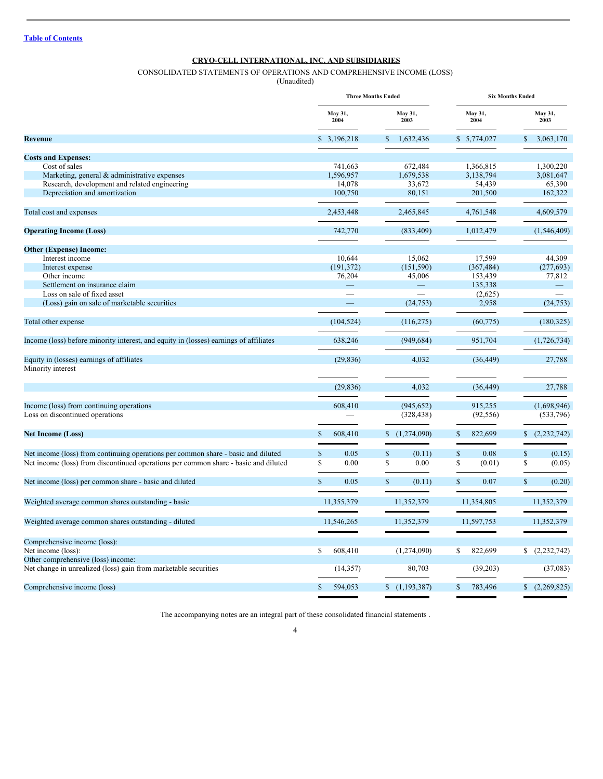# <span id="page-3-0"></span>**CRYO-CELL INTERNATIONAL, INC. AND SUBSIDIARIES**

# CONSOLIDATED STATEMENTS OF OPERATIONS AND COMPREHENSIVE INCOME (LOSS)

(Unaudited)

|                                                                                                       |                         | <b>Three Months Ended</b> |                         | <b>Six Months Ended</b> |  |
|-------------------------------------------------------------------------------------------------------|-------------------------|---------------------------|-------------------------|-------------------------|--|
|                                                                                                       | May 31,<br>2004         | May 31,<br>2003           | May 31,<br>2004         | May 31,<br>2003         |  |
| Revenue                                                                                               | \$3,196,218             | \$<br>1,632,436           | \$5,774,027             | \$<br>3,063,170         |  |
| <b>Costs and Expenses:</b>                                                                            |                         |                           |                         |                         |  |
| Cost of sales                                                                                         | 741,663                 | 672,484                   | 1,366,815               | 1,300,220               |  |
| Marketing, general & administrative expenses                                                          | 1,596,957               | 1,679,538                 | 3,138,794               | 3,081,647               |  |
| Research, development and related engineering                                                         | 14,078                  | 33,672                    | 54,439                  | 65,390                  |  |
| Depreciation and amortization                                                                         | 100,750                 | 80,151                    | 201,500                 | 162,322                 |  |
|                                                                                                       |                         |                           |                         |                         |  |
| Total cost and expenses                                                                               | 2,453,448               | 2,465,845                 | 4,761,548               | 4,609,579               |  |
| <b>Operating Income (Loss)</b>                                                                        | 742,770                 | (833, 409)                | 1,012,479               | (1, 546, 409)           |  |
|                                                                                                       |                         |                           |                         |                         |  |
| <b>Other (Expense) Income:</b>                                                                        |                         |                           |                         |                         |  |
| Interest income                                                                                       | 10.644                  | 15,062                    | 17,599                  | 44,309                  |  |
| Interest expense                                                                                      | (191, 372)              | (151, 590)                | (367, 484)              | (277, 693)              |  |
| Other income                                                                                          | 76,204                  | 45,006                    | 153,439                 | 77,812                  |  |
| Settlement on insurance claim                                                                         |                         |                           | 135,338                 |                         |  |
| Loss on sale of fixed asset                                                                           |                         |                           | (2,625)                 |                         |  |
| (Loss) gain on sale of marketable securities                                                          |                         | (24, 753)                 | 2,958                   | (24, 753)               |  |
| Total other expense                                                                                   | (104, 524)              | (116, 275)                | (60, 775)               | (180, 325)              |  |
|                                                                                                       |                         |                           |                         |                         |  |
| Income (loss) before minority interest, and equity in (losses) earnings of affiliates                 | 638,246                 | (949, 684)                | 951,704                 | (1,726,734)             |  |
| Equity in (losses) earnings of affiliates                                                             | (29, 836)               | 4,032                     | (36, 449)               | 27,788                  |  |
| Minority interest                                                                                     |                         |                           |                         |                         |  |
|                                                                                                       |                         |                           |                         |                         |  |
|                                                                                                       | (29, 836)               | 4,032                     | (36, 449)               | 27,788                  |  |
| Income (loss) from continuing operations                                                              | 608,410                 | (945, 652)                | 915,255                 | (1,698,946)             |  |
| Loss on discontinued operations                                                                       |                         | (328, 438)                | (92, 556)               | (533,796)               |  |
| <b>Net Income (Loss)</b>                                                                              | 608,410<br>\$           | (1,274,090)               | 822,699<br>S.           | (2,232,742)             |  |
|                                                                                                       |                         |                           |                         |                         |  |
| Net income (loss) from continuing operations per common share - basic and diluted                     | 0.05<br>\$              | \$<br>(0.11)              | 0.08<br>$\mathbb{S}$    | \$<br>(0.15)            |  |
| Net income (loss) from discontinued operations per common share - basic and diluted                   | \$<br>0.00              | S<br>0.00                 | S<br>(0.01)             | \$<br>(0.05)            |  |
| Net income (loss) per common share - basic and diluted                                                | $\mathbf S$<br>0.05     | $\mathbf S$<br>(0.11)     | $\mathbf{s}$<br>0.07    | $\mathbf S$<br>(0.20)   |  |
|                                                                                                       |                         |                           |                         |                         |  |
| Weighted average common shares outstanding - basic                                                    | 11,355,379              | 11,352,379                | 11,354,805              | 11,352,379              |  |
| Weighted average common shares outstanding - diluted                                                  | 11,546,265              | 11,352,379                | 11,597,753              | 11,352,379              |  |
|                                                                                                       |                         |                           |                         |                         |  |
| Comprehensive income (loss):                                                                          |                         |                           |                         |                         |  |
| Net income (loss):                                                                                    | 608,410<br>\$           | (1,274,090)               | 822,699<br>\$           | (2,232,742)             |  |
| Other comprehensive (loss) income:<br>Net change in unrealized (loss) gain from marketable securities | (14, 357)               | 80,703                    | (39,203)                | (37,083)                |  |
|                                                                                                       |                         |                           |                         |                         |  |
| Comprehensive income (loss)                                                                           | $\mathbb{S}$<br>594.053 | \$(1,193,387)             | $\mathbb{S}$<br>783,496 | \$(2,269,825)           |  |

The accompanying notes are an integral part of these consolidated financial statements .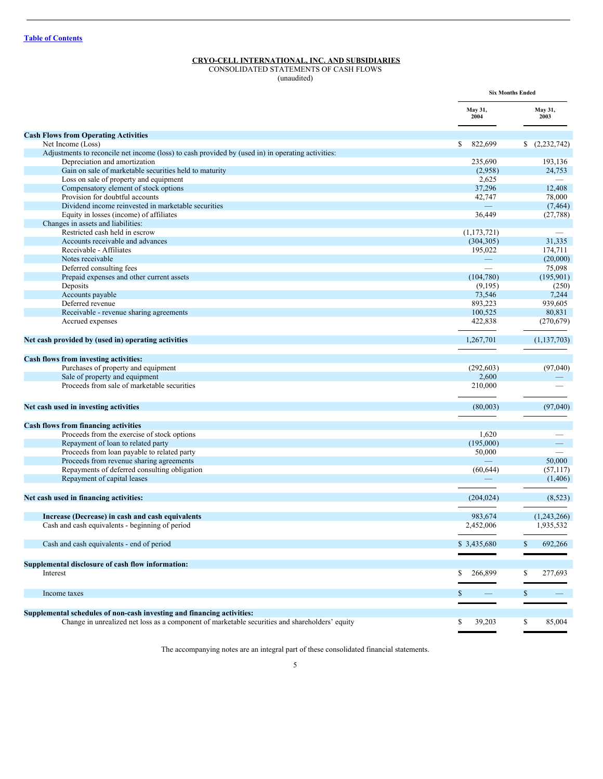# <span id="page-4-0"></span>**CRYO-CELL INTERNATIONAL, INC. AND SUBSIDIARIES**

#### CONSOLIDATED STATEMENTS OF CASH FLOWS (unaudited)

|                                                                                                   |                          | <b>Six Months Ended</b>               |
|---------------------------------------------------------------------------------------------------|--------------------------|---------------------------------------|
|                                                                                                   | May 31,<br>2004          | May 31,<br>2003                       |
| <b>Cash Flows from Operating Activities</b>                                                       |                          |                                       |
| Net Income (Loss)                                                                                 | 822,699<br>S             | (2,232,742)                           |
| Adjustments to reconcile net income (loss) to cash provided by (used in) in operating activities: |                          |                                       |
| Depreciation and amortization                                                                     | 235,690                  | 193,136                               |
| Gain on sale of marketable securities held to maturity                                            | (2,958)                  | 24,753                                |
| Loss on sale of property and equipment                                                            | 2,625                    |                                       |
| Compensatory element of stock options                                                             | 37,296                   | 12,408                                |
| Provision for doubtful accounts                                                                   | 42,747                   | 78,000                                |
| Dividend income reinvested in marketable securities                                               |                          | (7, 464)                              |
| Equity in losses (income) of affiliates                                                           | 36,449                   | (27, 788)                             |
| Changes in assets and liabilities:                                                                |                          |                                       |
| Restricted cash held in escrow                                                                    | (1,173,721)              |                                       |
| Accounts receivable and advances                                                                  | (304, 305)               | 31,335                                |
| Receivable - Affiliates                                                                           | 195,022                  | 174,711                               |
| Notes receivable                                                                                  |                          | (20,000)                              |
| Deferred consulting fees                                                                          |                          | 75,098                                |
| Prepaid expenses and other current assets                                                         | (104, 780)               | (195, 901)                            |
| Deposits                                                                                          | (9,195)                  | (250)                                 |
| Accounts payable                                                                                  | 73,546                   | 7,244                                 |
| Deferred revenue                                                                                  | 893,223                  | 939,605                               |
| Receivable - revenue sharing agreements                                                           | 100,525                  | 80,831                                |
| Accrued expenses                                                                                  | 422,838                  | (270,679)                             |
| Net cash provided by (used in) operating activities                                               | 1,267,701                | (1, 137, 703)                         |
| Cash flows from investing activities:                                                             |                          |                                       |
| Purchases of property and equipment                                                               |                          |                                       |
| Sale of property and equipment                                                                    | (292, 603)<br>2,600      | (97,040)                              |
| Proceeds from sale of marketable securities                                                       | 210,000                  |                                       |
|                                                                                                   |                          |                                       |
| Net cash used in investing activities                                                             | (80,003)                 | (97,040)                              |
| <b>Cash flows from financing activities</b>                                                       |                          |                                       |
| Proceeds from the exercise of stock options                                                       | 1,620                    |                                       |
| Repayment of loan to related party                                                                | (195,000)                |                                       |
| Proceeds from loan payable to related party                                                       | 50,000                   |                                       |
| Proceeds from revenue sharing agreements                                                          |                          | 50,000                                |
| Repayments of deferred consulting obligation                                                      | (60, 644)                | (57, 117)                             |
| Repayment of capital leases                                                                       |                          | (1, 406)                              |
| Net cash used in financing activities:                                                            | (204, 024)               | (8,523)                               |
|                                                                                                   |                          |                                       |
| Increase (Decrease) in cash and cash equivalents                                                  | 983,674                  | (1,243,266)                           |
| Cash and cash equivalents - beginning of period                                                   | 2,452,006                | 1,935,532                             |
|                                                                                                   |                          |                                       |
| Cash and cash equivalents - end of period                                                         | \$3,435,680              | \$<br>692,266                         |
|                                                                                                   |                          |                                       |
| Supplemental disclosure of cash flow information:                                                 |                          |                                       |
| Interest                                                                                          | 266,899<br>S             | \$<br>277,693                         |
| Income taxes                                                                                      | $\overline{\phantom{0}}$ | \$<br>$\hspace{0.1mm}-\hspace{0.1mm}$ |
|                                                                                                   |                          |                                       |
| Supplemental schedules of non-cash investing and financing activities:                            |                          |                                       |

The accompanying notes are an integral part of these consolidated financial statements.

Change in unrealized net loss as a component of marketable securities and shareholders' equity \$ 39,203 \$ 85,004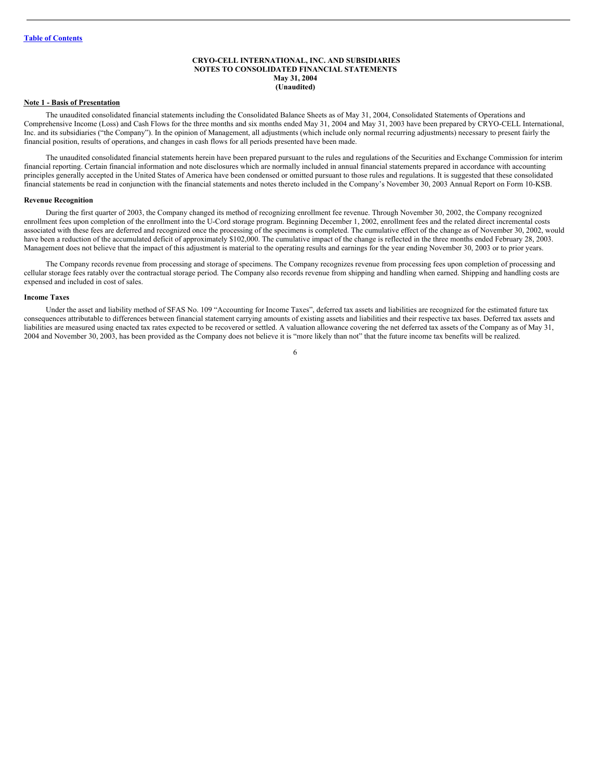# <span id="page-5-0"></span>**CRYO-CELL INTERNATIONAL, INC. AND SUBSIDIARIES NOTES TO CONSOLIDATED FINANCIAL STATEMENTS May 31, 2004 (Unaudited)**

## **Note 1 - Basis of Presentation**

The unaudited consolidated financial statements including the Consolidated Balance Sheets as of May 31, 2004, Consolidated Statements of Operations and Comprehensive Income (Loss) and Cash Flows for the three months and six months ended May 31, 2004 and May 31, 2003 have been prepared by CRYO-CELL International, Inc. and its subsidiaries ("the Company"). In the opinion of Management, all adjustments (which include only normal recurring adjustments) necessary to present fairly the financial position, results of operations, and changes in cash flows for all periods presented have been made.

The unaudited consolidated financial statements herein have been prepared pursuant to the rules and regulations of the Securities and Exchange Commission for interim financial reporting. Certain financial information and note disclosures which are normally included in annual financial statements prepared in accordance with accounting principles generally accepted in the United States of America have been condensed or omitted pursuant to those rules and regulations. It is suggested that these consolidated financial statements be read in conjunction with the financial statements and notes thereto included in the Company's November 30, 2003 Annual Report on Form 10-KSB.

# **Revenue Recognition**

During the first quarter of 2003, the Company changed its method of recognizing enrollment fee revenue. Through November 30, 2002, the Company recognized enrollment fees upon completion of the enrollment into the U-Cord storage program. Beginning December 1, 2002, enrollment fees and the related direct incremental costs associated with these fees are deferred and recognized once the processing of the specimens is completed. The cumulative effect of the change as of November 30, 2002, would have been a reduction of the accumulated deficit of approximately \$102,000. The cumulative impact of the change is reflected in the three months ended February 28, 2003. Management does not believe that the impact of this adjustment is material to the operating results and earnings for the year ending November 30, 2003 or to prior years.

The Company records revenue from processing and storage of specimens. The Company recognizes revenue from processing fees upon completion of processing and cellular storage fees ratably over the contractual storage period. The Company also records revenue from shipping and handling when earned. Shipping and handling costs are expensed and included in cost of sales.

#### **Income Taxes**

Under the asset and liability method of SFAS No. 109 "Accounting for Income Taxes", deferred tax assets and liabilities are recognized for the estimated future tax consequences attributable to differences between financial statement carrying amounts of existing assets and liabilities and their respective tax bases. Deferred tax assets and liabilities are measured using enacted tax rates expected to be recovered or settled. A valuation allowance covering the net deferred tax assets of the Company as of May 31, 2004 and November 30, 2003, has been provided as the Company does not believe it is "more likely than not" that the future income tax benefits will be realized.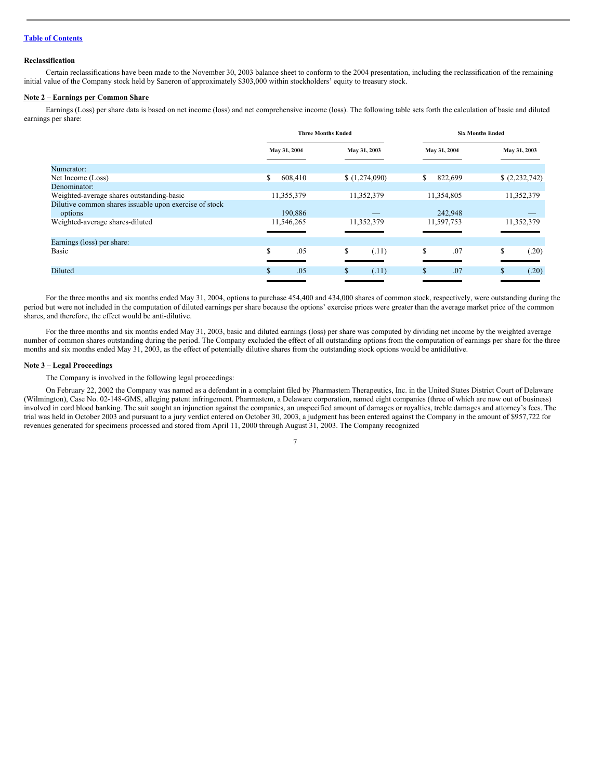# **Reclassification**

Certain reclassifications have been made to the November 30, 2003 balance sheet to conform to the 2004 presentation, including the reclassification of the remaining initial value of the Company stock held by Saneron of approximately \$303,000 within stockholders' equity to treasury stock.

# **Note 2 – Earnings per Common Share**

Earnings (Loss) per share data is based on net income (loss) and net comprehensive income (loss). The following table sets forth the calculation of basic and diluted earnings per share:

|                                                                   | <b>Three Months Ended</b> |              |            | <b>Six Months Ended</b> |            |              |    |              |
|-------------------------------------------------------------------|---------------------------|--------------|------------|-------------------------|------------|--------------|----|--------------|
|                                                                   |                           | May 31, 2004 |            | May 31, 2003            |            | May 31, 2004 |    | May 31, 2003 |
| Numerator:                                                        |                           |              |            |                         |            |              |    |              |
| Net Income (Loss)                                                 | \$                        | 608,410      |            | (1,274,090)             | \$         | 822,699      |    | (2,232,742)  |
| Denominator:                                                      |                           |              |            |                         |            |              |    |              |
| Weighted-average shares outstanding-basic                         |                           | 11,355,379   |            | 11,352,379              |            | 11,354,805   |    | 11,352,379   |
| Dilutive common shares issuable upon exercise of stock<br>options |                           | 190,886      |            |                         |            | 242,948      |    |              |
| Weighted-average shares-diluted                                   |                           | 11,546,265   | 11,352,379 |                         | 11,597,753 |              |    | 11,352,379   |
| Earnings (loss) per share:                                        |                           |              |            |                         |            |              |    |              |
| Basic                                                             | S                         | .05          | \$.        | (.11)                   | S          | .07          | \$ | (.20)        |
|                                                                   |                           |              |            |                         |            |              |    |              |
| <b>Diluted</b>                                                    | ъ.                        | .05          | \$         | (.11)                   | \$         | .07          | \$ | (.20)        |
|                                                                   |                           |              |            |                         |            |              |    |              |

For the three months and six months ended May 31, 2004, options to purchase 454,400 and 434,000 shares of common stock, respectively, were outstanding during the period but were not included in the computation of diluted earnings per share because the options' exercise prices were greater than the average market price of the common shares, and therefore, the effect would be anti-dilutive.

For the three months and six months ended May 31, 2003, basic and diluted earnings (loss) per share was computed by dividing net income by the weighted average number of common shares outstanding during the period. The Company excluded the effect of all outstanding options from the computation of earnings per share for the three months and six months ended May 31, 2003, as the effect of potentially dilutive shares from the outstanding stock options would be antidilutive.

#### **Note 3 – Legal Proceedings**

The Company is involved in the following legal proceedings:

On February 22, 2002 the Company was named as a defendant in a complaint filed by Pharmastem Therapeutics, Inc. in the United States District Court of Delaware (Wilmington), Case No. 02-148-GMS, alleging patent infringement. Pharmastem, a Delaware corporation, named eight companies (three of which are now out of business) involved in cord blood banking. The suit sought an injunction against the companies, an unspecified amount of damages or royalties, treble damages and attorney's fees. The trial was held in October 2003 and pursuant to a jury verdict entered on October 30, 2003, a judgment has been entered against the Company in the amount of \$957,722 for revenues generated for specimens processed and stored from April 11, 2000 through August 31, 2003. The Company recognized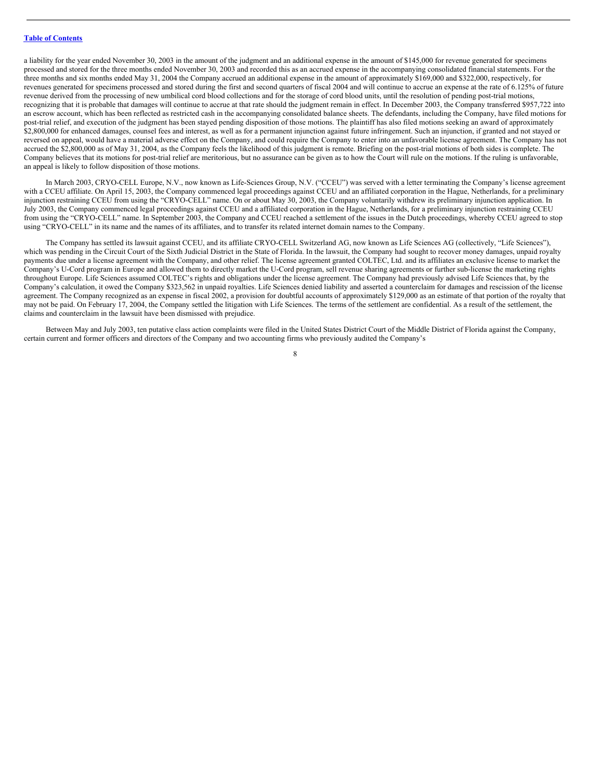a liability for the year ended November 30, 2003 in the amount of the judgment and an additional expense in the amount of \$145,000 for revenue generated for specimens processed and stored for the three months ended November 30, 2003 and recorded this as an accrued expense in the accompanying consolidated financial statements. For the three months and six months ended May 31, 2004 the Company accrued an additional expense in the amount of approximately \$169,000 and \$322,000, respectively, for revenues generated for specimens processed and stored during the first and second quarters of fiscal 2004 and will continue to accrue an expense at the rate of 6.125% of future revenue derived from the processing of new umbilical cord blood collections and for the storage of cord blood units, until the resolution of pending post-trial motions, recognizing that it is probable that damages will continue to accrue at that rate should the judgment remain in effect. In December 2003, the Company transferred \$957,722 into an escrow account, which has been reflected as restricted cash in the accompanying consolidated balance sheets. The defendants, including the Company, have filed motions for post-trial relief, and execution of the judgment has been stayed pending disposition of those motions. The plaintiff has also filed motions seeking an award of approximately \$2,800,000 for enhanced damages, counsel fees and interest, as well as for a permanent injunction against future infringement. Such an injunction, if granted and not stayed or reversed on appeal, would have a material adverse effect on the Company, and could require the Company to enter into an unfavorable license agreement. The Company has not accrued the \$2,800,000 as of May 31, 2004, as the Company feels the likelihood of this judgment is remote. Briefing on the post-trial motions of both sides is complete. The Company believes that its motions for post-trial relief are meritorious, but no assurance can be given as to how the Court will rule on the motions. If the ruling is unfavorable, an appeal is likely to follow disposition of those motions.

In March 2003, CRYO-CELL Europe, N.V., now known as Life-Sciences Group, N.V. ("CCEU") was served with a letter terminating the Company's license agreement with a CCEU affiliate. On April 15, 2003, the Company commenced legal proceedings against CCEU and an affiliated corporation in the Hague, Netherlands, for a preliminary injunction restraining CCEU from using the "CRYO-CELL" name. On or about May 30, 2003, the Company voluntarily withdrew its preliminary injunction application. In July 2003, the Company commenced legal proceedings against CCEU and a affiliated corporation in the Hague, Netherlands, for a preliminary injunction restraining CCEU from using the "CRYO-CELL" name. In September 2003, the Company and CCEU reached a settlement of the issues in the Dutch proceedings, whereby CCEU agreed to stop using "CRYO-CELL" in its name and the names of its affiliates, and to transfer its related internet domain names to the Company.

The Company has settled its lawsuit against CCEU, and its affiliate CRYO-CELL Switzerland AG, now known as Life Sciences AG (collectively, "Life Sciences"), which was pending in the Circuit Court of the Sixth Judicial District in the State of Florida. In the lawsuit, the Company had sought to recover money damages, unpaid royalty payments due under a license agreement with the Company, and other relief. The license agreement granted COLTEC, Ltd. and its affiliates an exclusive license to market the Company's U-Cord program in Europe and allowed them to directly market the U-Cord program, sell revenue sharing agreements or further sub-license the marketing rights throughout Europe. Life Sciences assumed COLTEC's rights and obligations under the license agreement. The Company had previously advised Life Sciences that, by the Company's calculation, it owed the Company \$323,562 in unpaid royalties. Life Sciences denied liability and asserted a counterclaim for damages and rescission of the license agreement. The Company recognized as an expense in fiscal 2002, a provision for doubtful accounts of approximately \$129,000 as an estimate of that portion of the royalty that may not be paid. On February 17, 2004, the Company settled the litigation with Life Sciences. The terms of the settlement are confidential. As a result of the settlement, the claims and counterclaim in the lawsuit have been dismissed with prejudice.

Between May and July 2003, ten putative class action complaints were filed in the United States District Court of the Middle District of Florida against the Company, certain current and former officers and directors of the Company and two accounting firms who previously audited the Company's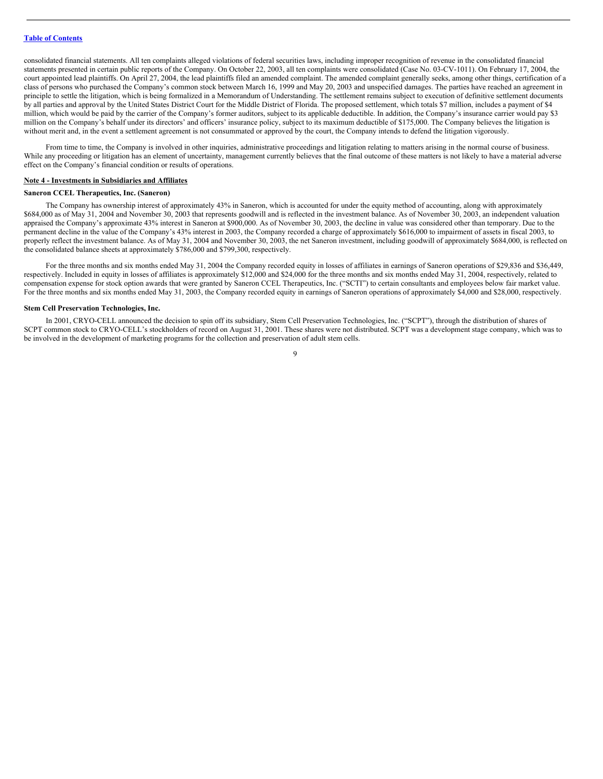consolidated financial statements. All ten complaints alleged violations of federal securities laws, including improper recognition of revenue in the consolidated financial statements presented in certain public reports of the Company. On October 22, 2003, all ten complaints were consolidated (Case No. 03-CV-1011). On February 17, 2004, the court appointed lead plaintiffs. On April 27, 2004, the lead plaintiffs filed an amended complaint. The amended complaint generally seeks, among other things, certification of a class of persons who purchased the Company's common stock between March 16, 1999 and May 20, 2003 and unspecified damages. The parties have reached an agreement in principle to settle the litigation, which is being formalized in a Memorandum of Understanding. The settlement remains subject to execution of definitive settlement documents by all parties and approval by the United States District Court for the Middle District of Florida. The proposed settlement, which totals \$7 million, includes a payment of \$4 million, which would be paid by the carrier of the Company's former auditors, subject to its applicable deductible. In addition, the Company's insurance carrier would pay \$3 million on the Company's behalf under its directors' and officers' insurance policy, subject to its maximum deductible of \$175,000. The Company believes the litigation is without merit and, in the event a settlement agreement is not consummated or approved by the court, the Company intends to defend the litigation vigorously.

From time to time, the Company is involved in other inquiries, administrative proceedings and litigation relating to matters arising in the normal course of business. While any proceeding or litigation has an element of uncertainty, management currently believes that the final outcome of these matters is not likely to have a material adverse effect on the Company's financial condition or results of operations.

#### **Note 4 - Investments in Subsidiaries and Affiliates**

# **Saneron CCEL Therapeutics, Inc. (Saneron)**

The Company has ownership interest of approximately 43% in Saneron, which is accounted for under the equity method of accounting, along with approximately \$684,000 as of May 31, 2004 and November 30, 2003 that represents goodwill and is reflected in the investment balance. As of November 30, 2003, an independent valuation appraised the Company's approximate 43% interest in Saneron at \$900,000. As of November 30, 2003, the decline in value was considered other than temporary. Due to the permanent decline in the value of the Company's 43% interest in 2003, the Company recorded a charge of approximately \$616,000 to impairment of assets in fiscal 2003, to properly reflect the investment balance. As of May 31, 2004 and November 30, 2003, the net Saneron investment, including goodwill of approximately \$684,000, is reflected on the consolidated balance sheets at approximately \$786,000 and \$799,300, respectively.

For the three months and six months ended May 31, 2004 the Company recorded equity in losses of affiliates in earnings of Saneron operations of \$29,836 and \$36,449, respectively. Included in equity in losses of affiliates is approximately \$12,000 and \$24,000 for the three months and six months ended May 31, 2004, respectively, related to compensation expense for stock option awards that were granted by Saneron CCEL Therapeutics, Inc. ("SCTI") to certain consultants and employees below fair market value. For the three months and six months ended May 31, 2003, the Company recorded equity in earnings of Saneron operations of approximately \$4,000 and \$28,000, respectively.

#### **Stem Cell Preservation Technologies, Inc.**

In 2001, CRYO-CELL announced the decision to spin off its subsidiary, Stem Cell Preservation Technologies, Inc. ("SCPT"), through the distribution of shares of SCPT common stock to CRYO-CELL's stockholders of record on August 31, 2001. These shares were not distributed. SCPT was a development stage company, which was to be involved in the development of marketing programs for the collection and preservation of adult stem cells.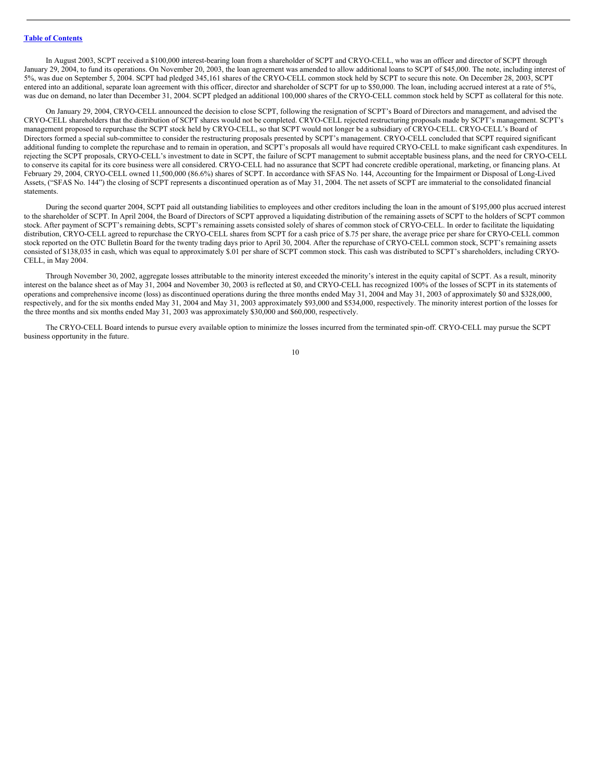In August 2003, SCPT received a \$100,000 interest-bearing loan from a shareholder of SCPT and CRYO-CELL, who was an officer and director of SCPT through January 29, 2004, to fund its operations. On November 20, 2003, the loan agreement was amended to allow additional loans to SCPT of \$45,000. The note, including interest of 5%, was due on September 5, 2004. SCPT had pledged 345,161 shares of the CRYO-CELL common stock held by SCPT to secure this note. On December 28, 2003, SCPT entered into an additional, separate loan agreement with this officer, director and shareholder of SCPT for up to \$50,000. The loan, including accrued interest at a rate of 5%, was due on demand, no later than December 31, 2004. SCPT pledged an additional 100,000 shares of the CRYO-CELL common stock held by SCPT as collateral for this note.

On January 29, 2004, CRYO-CELL announced the decision to close SCPT, following the resignation of SCPT's Board of Directors and management, and advised the CRYO-CELL shareholders that the distribution of SCPT shares would not be completed. CRYO-CELL rejected restructuring proposals made by SCPT's management. SCPT's management proposed to repurchase the SCPT stock held by CRYO-CELL, so that SCPT would not longer be a subsidiary of CRYO-CELL. CRYO-CELL's Board of Directors formed a special sub-committee to consider the restructuring proposals presented by SCPT's management. CRYO-CELL concluded that SCPT required significant additional funding to complete the repurchase and to remain in operation, and SCPT's proposals all would have required CRYO-CELL to make significant cash expenditures. In rejecting the SCPT proposals, CRYO-CELL's investment to date in SCPT, the failure of SCPT management to submit acceptable business plans, and the need for CRYO-CELL to conserve its capital for its core business were all considered. CRYO-CELL had no assurance that SCPT had concrete credible operational, marketing, or financing plans. At February 29, 2004, CRYO-CELL owned 11,500,000 (86.6%) shares of SCPT. In accordance with SFAS No. 144, Accounting for the Impairment or Disposal of Long-Lived Assets, ("SFAS No. 144") the closing of SCPT represents a discontinued operation as of May 31, 2004. The net assets of SCPT are immaterial to the consolidated financial statements.

During the second quarter 2004, SCPT paid all outstanding liabilities to employees and other creditors including the loan in the amount of \$195,000 plus accrued interest to the shareholder of SCPT. In April 2004, the Board of Directors of SCPT approved a liquidating distribution of the remaining assets of SCPT to the holders of SCPT common stock. After payment of SCPT's remaining debts, SCPT's remaining assets consisted solely of shares of common stock of CRYO-CELL. In order to facilitate the liquidating distribution, CRYO-CELL agreed to repurchase the CRYO-CELL shares from SCPT for a cash price of \$.75 per share, the average price per share for CRYO-CELL common stock reported on the OTC Bulletin Board for the twenty trading days prior to April 30, 2004. After the repurchase of CRYO-CELL common stock, SCPT's remaining assets consisted of \$138,035 in cash, which was equal to approximately \$.01 per share of SCPT common stock. This cash was distributed to SCPT's shareholders, including CRYO-CELL, in May 2004.

Through November 30, 2002, aggregate losses attributable to the minority interest exceeded the minority's interest in the equity capital of SCPT. As a result, minority interest on the balance sheet as of May 31, 2004 and November 30, 2003 is reflected at \$0, and CRYO-CELL has recognized 100% of the losses of SCPT in its statements of operations and comprehensive income (loss) as discontinued operations during the three months ended May 31, 2004 and May 31, 2003 of approximately \$0 and \$328,000, respectively, and for the six months ended May 31, 2004 and May 31, 2003 approximately \$93,000 and \$534,000, respectively. The minority interest portion of the losses for the three months and six months ended May 31, 2003 was approximately \$30,000 and \$60,000, respectively.

The CRYO-CELL Board intends to pursue every available option to minimize the losses incurred from the terminated spin-off. CRYO-CELL may pursue the SCPT business opportunity in the future.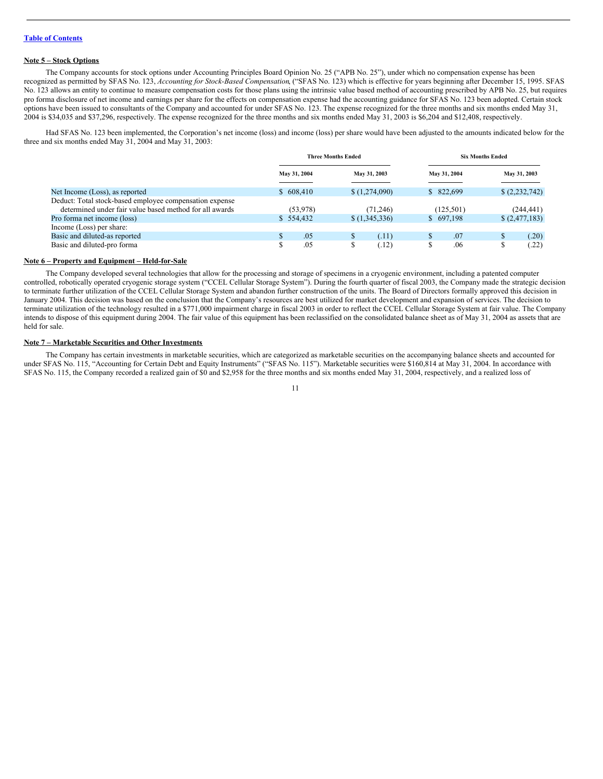# **Note 5 – Stock Options**

The Company accounts for stock options under Accounting Principles Board Opinion No. 25 ("APB No. 25"), under which no compensation expense has been recognized as permitted by SFAS No. 123, *Accounting for Stock-Based Compensation*, ("SFAS No. 123) which is effective for years beginning after December 15, 1995. SFAS No. 123 allows an entity to continue to measure compensation costs for those plans using the intrinsic value based method of accounting prescribed by APB No. 25, but requires pro forma disclosure of net income and earnings per share for the effects on compensation expense had the accounting guidance for SFAS No. 123 been adopted. Certain stock options have been issued to consultants of the Company and accounted for under SFAS No. 123. The expense recognized for the three months and six months ended May 31, 2004 is \$34,035 and \$37,296, respectively. The expense recognized for the three months and six months ended May 31, 2003 is \$6,204 and \$12,408, respectively.

Had SFAS No. 123 been implemented, the Corporation's net income (loss) and income (loss) per share would have been adjusted to the amounts indicated below for the three and six months ended May 31, 2004 and May 31, 2003:

|                                                         | <b>Three Months Ended</b> |              |    | <b>Six Months Ended</b> |   |              |   |              |
|---------------------------------------------------------|---------------------------|--------------|----|-------------------------|---|--------------|---|--------------|
|                                                         |                           | May 31, 2004 |    | May 31, 2003            |   | May 31, 2004 |   | May 31, 2003 |
| Net Income (Loss), as reported                          |                           | \$ 608,410   |    | \$(1,274,090)           |   | \$ 822,699   |   | (2,232,742)  |
| Deduct: Total stock-based employee compensation expense |                           |              |    |                         |   |              |   |              |
| determined under fair value based method for all awards |                           | (53, 978)    |    | (71,246)                |   | (125, 501)   |   | (244, 441)   |
| Pro forma net income (loss)                             |                           | \$554,432    |    | \$(1,345,336)           |   | \$697,198    |   | (2,477,183)  |
| Income (Loss) per share:                                |                           |              |    |                         |   |              |   |              |
| Basic and diluted-as reported                           |                           | .05          | S. | (.11)                   | S | .07          | S | (.20)        |
| Basic and diluted-pro forma                             |                           | .05          | S  | (.12)                   | Φ | .06          | Œ | .22)         |

# **Note 6 – Property and Equipment – Held-for-Sale**

The Company developed several technologies that allow for the processing and storage of specimens in a cryogenic environment, including a patented computer controlled, robotically operated cryogenic storage system ("CCEL Cellular Storage System"). During the fourth quarter of fiscal 2003, the Company made the strategic decision to terminate further utilization of the CCEL Cellular Storage System and abandon further construction of the units. The Board of Directors formally approved this decision in January 2004. This decision was based on the conclusion that the Company's resources are best utilized for market development and expansion of services. The decision to terminate utilization of the technology resulted in a \$771,000 impairment charge in fiscal 2003 in order to reflect the CCEL Cellular Storage System at fair value. The Company intends to dispose of this equipment during 2004. The fair value of this equipment has been reclassified on the consolidated balance sheet as of May 31, 2004 as assets that are held for sale.

# **Note 7 – Marketable Securities and Other Investments**

The Company has certain investments in marketable securities, which are categorized as marketable securities on the accompanying balance sheets and accounted for under SFAS No. 115, "Accounting for Certain Debt and Equity Instruments" ("SFAS No. 115"). Marketable securities were \$160,814 at May 31, 2004. In accordance with SFAS No. 115, the Company recorded a realized gain of \$0 and \$2,958 for the three months and six months ended May 31, 2004, respectively, and a realized loss of

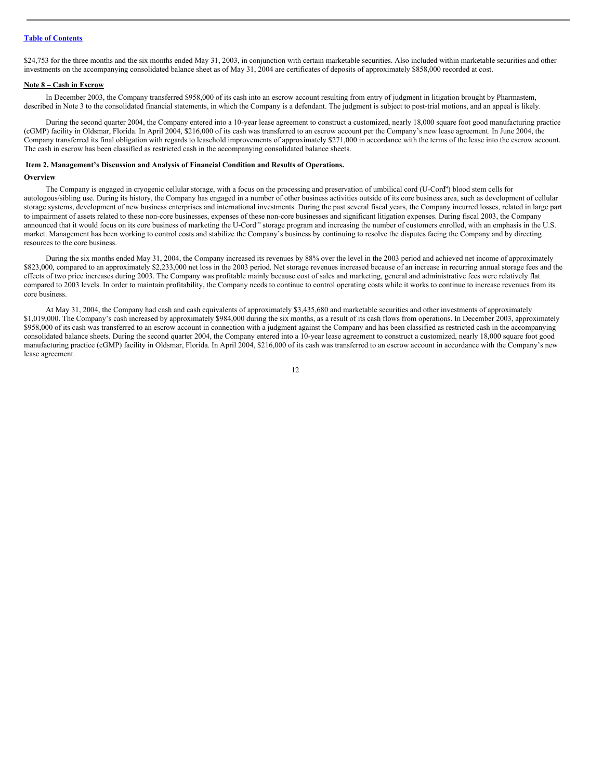# **Table of [Contents](#page-1-0)**

\$24,753 for the three months and the six months ended May 31, 2003, in conjunction with certain marketable securities. Also included within marketable securities and other investments on the accompanying consolidated balance sheet as of May 31, 2004 are certificates of deposits of approximately \$858,000 recorded at cost.

# **Note 8 – Cash in Escrow**

In December 2003, the Company transferred \$958,000 of its cash into an escrow account resulting from entry of judgment in litigation brought by Pharmastem, described in Note 3 to the consolidated financial statements, in which the Company is a defendant. The judgment is subject to post-trial motions, and an appeal is likely.

During the second quarter 2004, the Company entered into a 10-year lease agreement to construct a customized, nearly 18,000 square foot good manufacturing practice (cGMP) facility in Oldsmar, Florida. In April 2004, \$216,000 of its cash was transferred to an escrow account per the Company's new lease agreement. In June 2004, the Company transferred its final obligation with regards to leasehold improvements of approximately \$271,000 in accordance with the terms of the lease into the escrow account. The cash in escrow has been classified as restricted cash in the accompanying consolidated balance sheets.

# <span id="page-11-0"></span>**Item 2. Management's Discussion and Analysis of Financial Condition and Results of Operations.**

# **Overview**

The Company is engaged in cryogenic cellular storage, with a focus on the processing and preservation of umbilical cord (U-Cord<sup>™</sup>) blood stem cells for autologous/sibling use. During its history, the Company has engaged in a number of other business activities outside of its core business area, such as development of cellular storage systems, development of new business enterprises and international investments. During the past several fiscal years, the Company incurred losses, related in large part to impairment of assets related to these non-core businesses, expenses of these non-core businesses and significant litigation expenses. During fiscal 2003, the Company announced that it would focus on its core business of marketing the U-Cord™ storage program and increasing the number of customers enrolled, with an emphasis in the U.S. market. Management has been working to control costs and stabilize the Company's business by continuing to resolve the disputes facing the Company and by directing resources to the core business.

During the six months ended May 31, 2004, the Company increased its revenues by 88% over the level in the 2003 period and achieved net income of approximately \$823,000, compared to an approximately \$2,233,000 net loss in the 2003 period. Net storage revenues increased because of an increase in recurring annual storage fees and the effects of two price increases during 2003. The Company was profitable mainly because cost of sales and marketing, general and administrative fees were relatively flat compared to 2003 levels. In order to maintain profitability, the Company needs to continue to control operating costs while it works to continue to increase revenues from its core business.

At May 31, 2004, the Company had cash and cash equivalents of approximately \$3,435,680 and marketable securities and other investments of approximately \$1,019,000. The Company's cash increased by approximately \$984,000 during the six months, as a result of its cash flows from operations. In December 2003, approximately \$958,000 of its cash was transferred to an escrow account in connection with a judgment against the Company and has been classified as restricted cash in the accompanying consolidated balance sheets. During the second quarter 2004, the Company entered into a 10-year lease agreement to construct a customized, nearly 18,000 square foot good manufacturing practice (cGMP) facility in Oldsmar, Florida. In April 2004, \$216,000 of its cash was transferred to an escrow account in accordance with the Company's new lease agreement.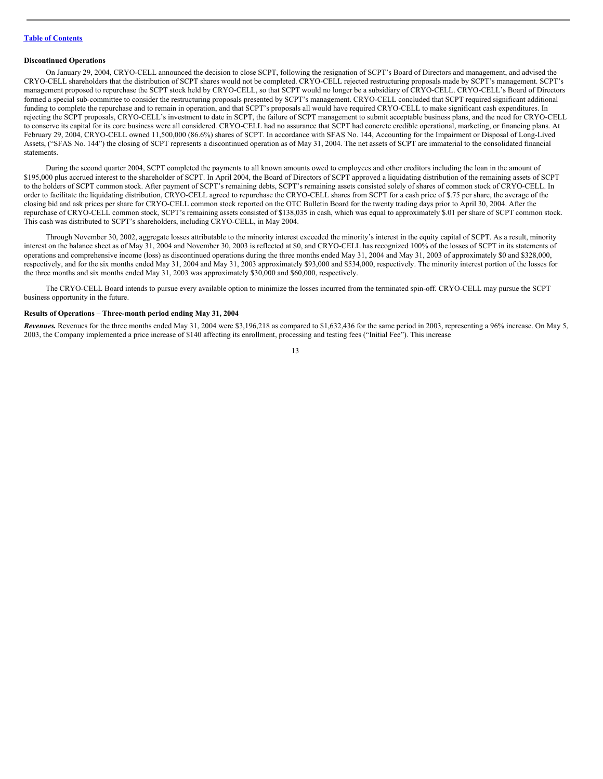# **Discontinued Operations**

On January 29, 2004, CRYO-CELL announced the decision to close SCPT, following the resignation of SCPT's Board of Directors and management, and advised the CRYO-CELL shareholders that the distribution of SCPT shares would not be completed. CRYO-CELL rejected restructuring proposals made by SCPT's management. SCPT's management proposed to repurchase the SCPT stock held by CRYO-CELL, so that SCPT would no longer be a subsidiary of CRYO-CELL. CRYO-CELL's Board of Directors formed a special sub-committee to consider the restructuring proposals presented by SCPT's management. CRYO-CELL concluded that SCPT required significant additional funding to complete the repurchase and to remain in operation, and that SCPT's proposals all would have required CRYO-CELL to make significant cash expenditures. In rejecting the SCPT proposals, CRYO-CELL's investment to date in SCPT, the failure of SCPT management to submit acceptable business plans, and the need for CRYO-CELL to conserve its capital for its core business were all considered. CRYO-CELL had no assurance that SCPT had concrete credible operational, marketing, or financing plans. At February 29, 2004, CRYO-CELL owned 11,500,000 (86.6%) shares of SCPT. In accordance with SFAS No. 144, Accounting for the Impairment or Disposal of Long-Lived Assets, ("SFAS No. 144") the closing of SCPT represents a discontinued operation as of May 31, 2004. The net assets of SCPT are immaterial to the consolidated financial statements.

During the second quarter 2004, SCPT completed the payments to all known amounts owed to employees and other creditors including the loan in the amount of \$195,000 plus accrued interest to the shareholder of SCPT. In April 2004, the Board of Directors of SCPT approved a liquidating distribution of the remaining assets of SCPT to the holders of SCPT common stock. After payment of SCPT's remaining debts, SCPT's remaining assets consisted solely of shares of common stock of CRYO-CELL. In order to facilitate the liquidating distribution, CRYO-CELL agreed to repurchase the CRYO-CELL shares from SCPT for a cash price of \$.75 per share, the average of the closing bid and ask prices per share for CRYO-CELL common stock reported on the OTC Bulletin Board for the twenty trading days prior to April 30, 2004. After the repurchase of CRYO-CELL common stock, SCPT's remaining assets consisted of \$138,035 in cash, which was equal to approximately \$.01 per share of SCPT common stock. This cash was distributed to SCPT's shareholders, including CRYO-CELL, in May 2004.

Through November 30, 2002, aggregate losses attributable to the minority interest exceeded the minority's interest in the equity capital of SCPT. As a result, minority interest on the balance sheet as of May 31, 2004 and November 30, 2003 is reflected at \$0, and CRYO-CELL has recognized 100% of the losses of SCPT in its statements of operations and comprehensive income (loss) as discontinued operations during the three months ended May 31, 2004 and May 31, 2003 of approximately \$0 and \$328,000, respectively, and for the six months ended May 31, 2004 and May 31, 2003 approximately \$93,000 and \$534,000, respectively. The minority interest portion of the losses for the three months and six months ended May 31, 2003 was approximately \$30,000 and \$60,000, respectively.

The CRYO-CELL Board intends to pursue every available option to minimize the losses incurred from the terminated spin-off. CRYO-CELL may pursue the SCPT business opportunity in the future.

#### **Results of Operations – Three-month period ending May 31, 2004**

*Revenues.* Revenues for the three months ended May 31, 2004 were \$3,196,218 as compared to \$1,632,436 for the same period in 2003, representing a 96% increase. On May 5, 2003, the Company implemented a price increase of \$140 affecting its enrollment, processing and testing fees ("Initial Fee"). This increase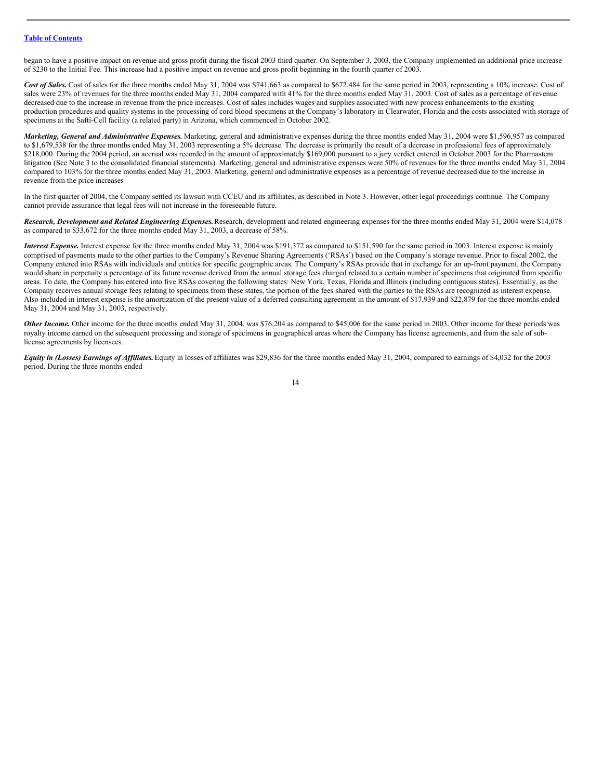# **Table of [Contents](#page-1-0)**

began to have a positive impact on revenue and gross profit during the fiscal 2003 third quarter. On September 3, 2003, the Company implemented an additional price increase of \$230 to the Initial Fee. This increase had a positive impact on revenue and gross profit beginning in the fourth quarter of 2003.

Cost of Sales. Cost of sales for the three months ended May 31, 2004 was \$741,663 as compared to \$672,484 for the same period in 2003, representing a 10% increase. Cost of sales were 23% of revenues for the three months ended May 31, 2004 compared with 41% for the three months ended May 31, 2003. Cost of sales as a percentage of revenue decreased due to the increase in revenue from the price increases. Cost of sales includes wages and supplies associated with new process enhancements to the existing production procedures and quality systems in the processing of cord blood specimens at the Company's laboratory in Clearwater, Florida and the costs associated with storage of specimens at the Safti-Cell facility (a related party) in Arizona, which commenced in October 2002.

*Marketing, General and Administrative Expenses.* Marketing, general and administrative expenses during the three months ended May 31, 2004 were \$1,596,957 as compared to \$1,679,538 for the three months ended May 31, 2003 representing a 5% decrease. The decrease is primarily the result of a decrease in professional fees of approximately \$218,000. During the 2004 period, an accrual was recorded in the amount of approximately \$169,000 pursuant to a jury verdict entered in October 2003 for the Pharmastem litigation (See Note 3 to the consolidated financial statements). Marketing, general and administrative expenses were 50% of revenues for the three months ended May 31, 2004 compared to 103% for the three months ended May 31, 2003. Marketing, general and administrative expenses as a percentage of revenue decreased due to the increase in revenue from the price increases

In the first quarter of 2004, the Company settled its lawsuit with CCEU and its affiliates, as described in Note 3. However, other legal proceedings continue. The Company cannot provide assurance that legal fees will not increase in the foreseeable future.

*Research, Development and Related Engineering Expenses.*Research, development and related engineering expenses for the three months ended May 31, 2004 were \$14,078 as compared to \$33,672 for the three months ended May 31, 2003, a decrease of 58%.

*Interest Expense.* Interest expense for the three months ended May 31, 2004 was \$191,372 as compared to \$151,590 for the same period in 2003. Interest expense is mainly comprised of payments made to the other parties to the Company's Revenue Sharing Agreements ('RSAs') based on the Company's storage revenue. Prior to fiscal 2002, the Company entered into RSAs with individuals and entities for specific geographic areas. The Company's RSAs provide that in exchange for an up-front payment, the Company would share in perpetuity a percentage of its future revenue derived from the annual storage fees charged related to a certain number of specimens that originated from specific areas. To date, the Company has entered into five RSAs covering the following states: New York, Texas, Florida and Illinois (including contiguous states). Essentially, as the Company receives annual storage fees relating to specimens from these states, the portion of the fees shared with the parties to the RSAs are recognized as interest expense. Also included in interest expense is the amortization of the present value of a deferred consulting agreement in the amount of \$17,939 and \$22,879 for the three months ended May 31, 2004 and May 31, 2003, respectively.

*Other Income.* Other income for the three months ended May 31, 2004, was \$76,204 as compared to \$45,006 for the same period in 2003. Other income for these periods was royalty income earned on the subsequent processing and storage of specimens in geographical areas where the Company has license agreements, and from the sale of sublicense agreements by licensees.

*Equity in (Losses) Earnings of Af iliates.*Equity in losses of affiliates was \$29,836 for the three months ended May 31, 2004, compared to earnings of \$4,032 for the 2003 period. During the three months ended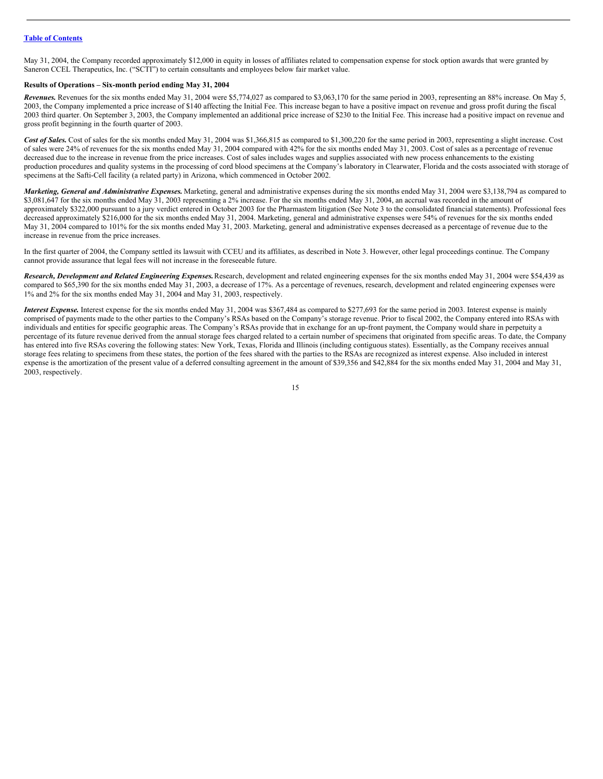# **Table of [Contents](#page-1-0)**

May 31, 2004, the Company recorded approximately \$12,000 in equity in losses of affiliates related to compensation expense for stock option awards that were granted by Saneron CCEL Therapeutics, Inc. ("SCTI") to certain consultants and employees below fair market value.

# **Results of Operations – Six-month period ending May 31, 2004**

*Revenues.* Revenues for the six months ended May 31, 2004 were \$5,774,027 as compared to \$3,063,170 for the same period in 2003, representing an 88% increase. On May 5, 2003, the Company implemented a price increase of \$140 affecting the Initial Fee. This increase began to have a positive impact on revenue and gross profit during the fiscal 2003 third quarter. On September 3, 2003, the Company implemented an additional price increase of \$230 to the Initial Fee. This increase had a positive impact on revenue and gross profit beginning in the fourth quarter of 2003.

Cost of Sales. Cost of sales for the six months ended May 31, 2004 was \$1,366,815 as compared to \$1,300,220 for the same period in 2003, representing a slight increase. Cost of sales were 24% of revenues for the six months ended May 31, 2004 compared with 42% for the six months ended May 31, 2003. Cost of sales as a percentage of revenue decreased due to the increase in revenue from the price increases. Cost of sales includes wages and supplies associated with new process enhancements to the existing production procedures and quality systems in the processing of cord blood specimens at the Company's laboratory in Clearwater, Florida and the costs associated with storage of specimens at the Safti-Cell facility (a related party) in Arizona, which commenced in October 2002.

*Marketing, General and Administrative Expenses.* Marketing, general and administrative expenses during the six months ended May 31, 2004 were \$3,138,794 as compared to \$3,081,647 for the six months ended May 31, 2003 representing a 2% increase. For the six months ended May 31, 2004, an accrual was recorded in the amount of approximately \$322,000 pursuant to a jury verdict entered in October 2003 for the Pharmastem litigation (See Note 3 to the consolidated financial statements). Professional fees decreased approximately \$216,000 for the six months ended May 31, 2004. Marketing, general and administrative expenses were 54% of revenues for the six months ended May 31, 2004 compared to 101% for the six months ended May 31, 2003. Marketing, general and administrative expenses decreased as a percentage of revenue due to the increase in revenue from the price increases.

In the first quarter of 2004, the Company settled its lawsuit with CCEU and its affiliates, as described in Note 3. However, other legal proceedings continue. The Company cannot provide assurance that legal fees will not increase in the foreseeable future.

*Research, Development and Related Engineering Expenses.*Research, development and related engineering expenses for the six months ended May 31, 2004 were \$54,439 as compared to \$65,390 for the six months ended May 31, 2003, a decrease of 17%. As a percentage of revenues, research, development and related engineering expenses were 1% and 2% for the six months ended May 31, 2004 and May 31, 2003, respectively.

*Interest Expense.* Interest expense for the six months ended May 31, 2004 was \$367,484 as compared to \$277,693 for the same period in 2003. Interest expense is mainly comprised of payments made to the other parties to the Company's RSAs based on the Company's storage revenue. Prior to fiscal 2002, the Company entered into RSAs with individuals and entities for specific geographic areas. The Company's RSAs provide that in exchange for an up-front payment, the Company would share in perpetuity a percentage of its future revenue derived from the annual storage fees charged related to a certain number of specimens that originated from specific areas. To date, the Company has entered into five RSAs covering the following states: New York, Texas, Florida and Illinois (including contiguous states). Essentially, as the Company receives annual storage fees relating to specimens from these states, the portion of the fees shared with the parties to the RSAs are recognized as interest expense. Also included in interest expense is the amortization of the present value of a deferred consulting agreement in the amount of \$39,356 and \$42,884 for the six months ended May 31, 2004 and May 31, 2003, respectively.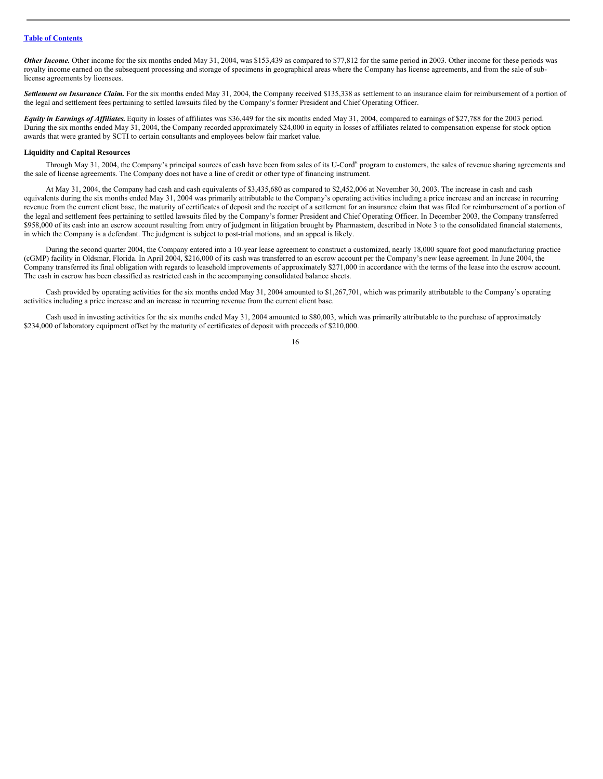*Other Income*. Other income for the six months ended May 31, 2004, was \$153,439 as compared to \$77,812 for the same period in 2003. Other income for these periods was royalty income earned on the subsequent processing and storage of specimens in geographical areas where the Company has license agreements, and from the sale of sublicense agreements by licensees.

*Settlement on Insurance Claim.* For the six months ended May 31, 2004, the Company received \$135,338 as settlement to an insurance claim for reimbursement of a portion of the legal and settlement fees pertaining to settled lawsuits filed by the Company's former President and Chief Operating Officer.

*Equity in Earnings of Af iliates.* Equity in losses of affiliates was \$36,449 for the six months ended May 31, 2004, compared to earnings of \$27,788 for the 2003 period. During the six months ended May 31, 2004, the Company recorded approximately \$24,000 in equity in losses of affiliates related to compensation expense for stock option awards that were granted by SCTI to certain consultants and employees below fair market value.

#### **Liquidity and Capital Resources**

Through May 31, 2004, the Company's principal sources of cash have been from sales of its U-Cord™ program to customers, the sales of revenue sharing agreements and the sale of license agreements. The Company does not have a line of credit or other type of financing instrument.

At May 31, 2004, the Company had cash and cash equivalents of \$3,435,680 as compared to \$2,452,006 at November 30, 2003. The increase in cash and cash equivalents during the six months ended May 31, 2004 was primarily attributable to the Company's operating activities including a price increase and an increase in recurring revenue from the current client base, the maturity of certificates of deposit and the receipt of a settlement for an insurance claim that was filed for reimbursement of a portion of the legal and settlement fees pertaining to settled lawsuits filed by the Company's former President and Chief Operating Officer. In December 2003, the Company transferred \$958,000 of its cash into an escrow account resulting from entry of judgment in litigation brought by Pharmastem, described in Note 3 to the consolidated financial statements, in which the Company is a defendant. The judgment is subject to post-trial motions, and an appeal is likely.

During the second quarter 2004, the Company entered into a 10-year lease agreement to construct a customized, nearly 18,000 square foot good manufacturing practice (cGMP) facility in Oldsmar, Florida. In April 2004, \$216,000 of its cash was transferred to an escrow account per the Company's new lease agreement. In June 2004, the Company transferred its final obligation with regards to leasehold improvements of approximately \$271,000 in accordance with the terms of the lease into the escrow account. The cash in escrow has been classified as restricted cash in the accompanying consolidated balance sheets.

Cash provided by operating activities for the six months ended May 31, 2004 amounted to \$1,267,701, which was primarily attributable to the Company's operating activities including a price increase and an increase in recurring revenue from the current client base.

Cash used in investing activities for the six months ended May 31, 2004 amounted to \$80,003, which was primarily attributable to the purchase of approximately \$234,000 of laboratory equipment offset by the maturity of certificates of deposit with proceeds of \$210,000.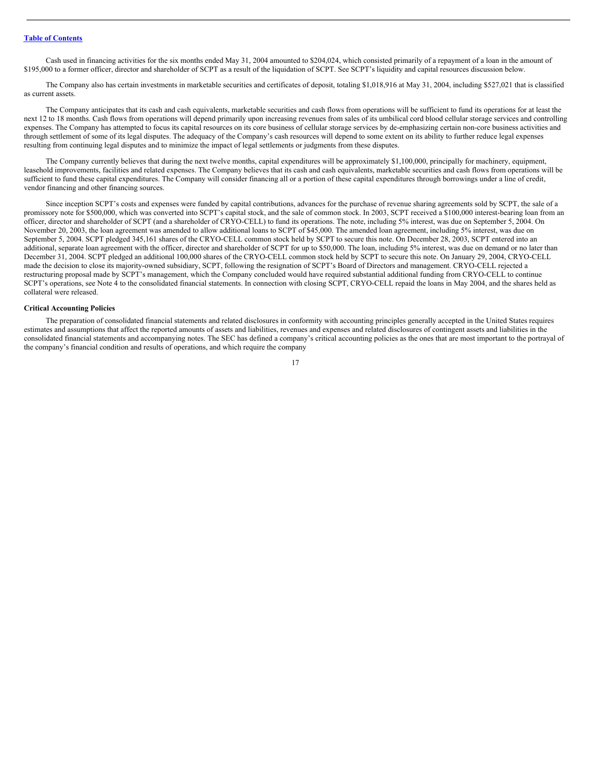# **Table of [Contents](#page-1-0)**

Cash used in financing activities for the six months ended May 31, 2004 amounted to \$204,024, which consisted primarily of a repayment of a loan in the amount of \$195,000 to a former officer, director and shareholder of SCPT as a result of the liquidation of SCPT. See SCPT's liquidity and capital resources discussion below.

The Company also has certain investments in marketable securities and certificates of deposit, totaling \$1,018,916 at May 31, 2004, including \$527,021 that is classified as current assets.

The Company anticipates that its cash and cash equivalents, marketable securities and cash flows from operations will be sufficient to fund its operations for at least the next 12 to 18 months. Cash flows from operations will depend primarily upon increasing revenues from sales of its umbilical cord blood cellular storage services and controlling expenses. The Company has attempted to focus its capital resources on its core business of cellular storage services by de-emphasizing certain non-core business activities and through settlement of some of its legal disputes. The adequacy of the Company's cash resources will depend to some extent on its ability to further reduce legal expenses resulting from continuing legal disputes and to minimize the impact of legal settlements or judgments from these disputes.

The Company currently believes that during the next twelve months, capital expenditures will be approximately \$1,100,000, principally for machinery, equipment, leasehold improvements, facilities and related expenses. The Company believes that its cash and cash equivalents, marketable securities and cash flows from operations will be sufficient to fund these capital expenditures. The Company will consider financing all or a portion of these capital expenditures through borrowings under a line of credit, vendor financing and other financing sources.

Since inception SCPT's costs and expenses were funded by capital contributions, advances for the purchase of revenue sharing agreements sold by SCPT, the sale of a promissory note for \$500,000, which was converted into SCPT's capital stock, and the sale of common stock. In 2003, SCPT received a \$100,000 interest-bearing loan from an officer, director and shareholder of SCPT (and a shareholder of CRYO-CELL) to fund its operations. The note, including 5% interest, was due on September 5, 2004. On November 20, 2003, the loan agreement was amended to allow additional loans to SCPT of \$45,000. The amended loan agreement, including 5% interest, was due on September 5, 2004. SCPT pledged 345,161 shares of the CRYO-CELL common stock held by SCPT to secure this note. On December 28, 2003, SCPT entered into an additional, separate loan agreement with the officer, director and shareholder of SCPT for up to \$50,000. The loan, including 5% interest, was due on demand or no later than December 31, 2004. SCPT pledged an additional 100,000 shares of the CRYO-CELL common stock held by SCPT to secure this note. On January 29, 2004, CRYO-CELL made the decision to close its majority-owned subsidiary, SCPT, following the resignation of SCPT's Board of Directors and management. CRYO-CELL rejected a restructuring proposal made by SCPT's management, which the Company concluded would have required substantial additional funding from CRYO-CELL to continue SCPT's operations, see Note 4 to the consolidated financial statements. In connection with closing SCPT, CRYO-CELL repaid the loans in May 2004, and the shares held as collateral were released.

# **Critical Accounting Policies**

The preparation of consolidated financial statements and related disclosures in conformity with accounting principles generally accepted in the United States requires estimates and assumptions that affect the reported amounts of assets and liabilities, revenues and expenses and related disclosures of contingent assets and liabilities in the consolidated financial statements and accompanying notes. The SEC has defined a company's critical accounting policies as the ones that are most important to the portrayal of the company's financial condition and results of operations, and which require the company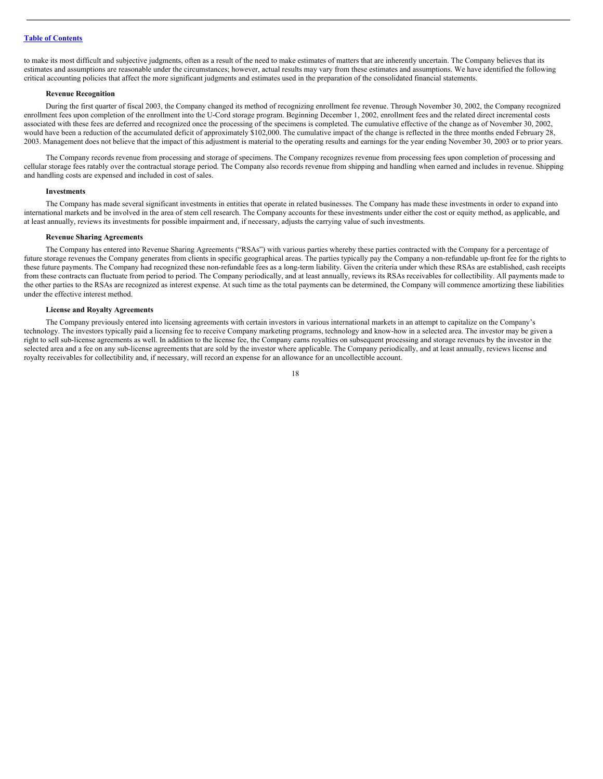# **Table of [Contents](#page-1-0)**

to make its most difficult and subjective judgments, often as a result of the need to make estimates of matters that are inherently uncertain. The Company believes that its estimates and assumptions are reasonable under the circumstances; however, actual results may vary from these estimates and assumptions. We have identified the following critical accounting policies that affect the more significant judgments and estimates used in the preparation of the consolidated financial statements.

# **Revenue Recognition**

During the first quarter of fiscal 2003, the Company changed its method of recognizing enrollment fee revenue. Through November 30, 2002, the Company recognized enrollment fees upon completion of the enrollment into the U-Cord storage program. Beginning December 1, 2002, enrollment fees and the related direct incremental costs associated with these fees are deferred and recognized once the processing of the specimens is completed. The cumulative effective of the change as of November 30, 2002, would have been a reduction of the accumulated deficit of approximately \$102,000. The cumulative impact of the change is reflected in the three months ended February 28, 2003. Management does not believe that the impact of this adjustment is material to the operating results and earnings for the year ending November 30, 2003 or to prior years.

The Company records revenue from processing and storage of specimens. The Company recognizes revenue from processing fees upon completion of processing and cellular storage fees ratably over the contractual storage period. The Company also records revenue from shipping and handling when earned and includes in revenue. Shipping and handling costs are expensed and included in cost of sales.

#### **Investments**

The Company has made several significant investments in entities that operate in related businesses. The Company has made these investments in order to expand into international markets and be involved in the area of stem cell research. The Company accounts for these investments under either the cost or equity method, as applicable, and at least annually, reviews its investments for possible impairment and, if necessary, adjusts the carrying value of such investments.

# **Revenue Sharing Agreements**

The Company has entered into Revenue Sharing Agreements ("RSAs") with various parties whereby these parties contracted with the Company for a percentage of future storage revenues the Company generates from clients in specific geographical areas. The parties typically pay the Company a non-refundable up-front fee for the rights to these future payments. The Company had recognized these non-refundable fees as a long-term liability. Given the criteria under which these RSAs are established, cash receipts from these contracts can fluctuate from period to period. The Company periodically, and at least annually, reviews its RSAs receivables for collectibility. All payments made to the other parties to the RSAs are recognized as interest expense. At such time as the total payments can be determined, the Company will commence amortizing these liabilities under the effective interest method.

# **License and Royalty Agreements**

The Company previously entered into licensing agreements with certain investors in various international markets in an attempt to capitalize on the Company's technology. The investors typically paid a licensing fee to receive Company marketing programs, technology and know-how in a selected area. The investor may be given a right to sell sub-license agreements as well. In addition to the license fee, the Company earns royalties on subsequent processing and storage revenues by the investor in the selected area and a fee on any sub-license agreements that are sold by the investor where applicable. The Company periodically, and at least annually, reviews license and royalty receivables for collectibility and, if necessary, will record an expense for an allowance for an uncollectible account.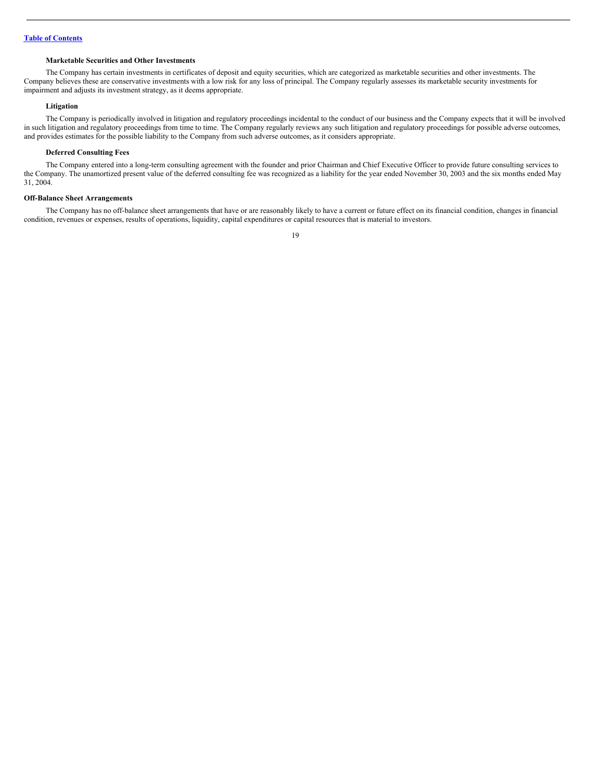# **Marketable Securities and Other Investments**

The Company has certain investments in certificates of deposit and equity securities, which are categorized as marketable securities and other investments. The Company believes these are conservative investments with a low risk for any loss of principal. The Company regularly assesses its marketable security investments for impairment and adjusts its investment strategy, as it deems appropriate.

# **Litigation**

The Company is periodically involved in litigation and regulatory proceedings incidental to the conduct of our business and the Company expects that it will be involved in such litigation and regulatory proceedings from time to time. The Company regularly reviews any such litigation and regulatory proceedings for possible adverse outcomes, and provides estimates for the possible liability to the Company from such adverse outcomes, as it considers appropriate.

# **Deferred Consulting Fees**

The Company entered into a long-term consulting agreement with the founder and prior Chairman and Chief Executive Officer to provide future consulting services to the Company. The unamortized present value of the deferred consulting fee was recognized as a liability for the year ended November 30, 2003 and the six months ended May 31, 2004.

# **Off-Balance Sheet Arrangements**

The Company has no off-balance sheet arrangements that have or are reasonably likely to have a current or future effect on its financial condition, changes in financial condition, revenues or expenses, results of operations, liquidity, capital expenditures or capital resources that is material to investors.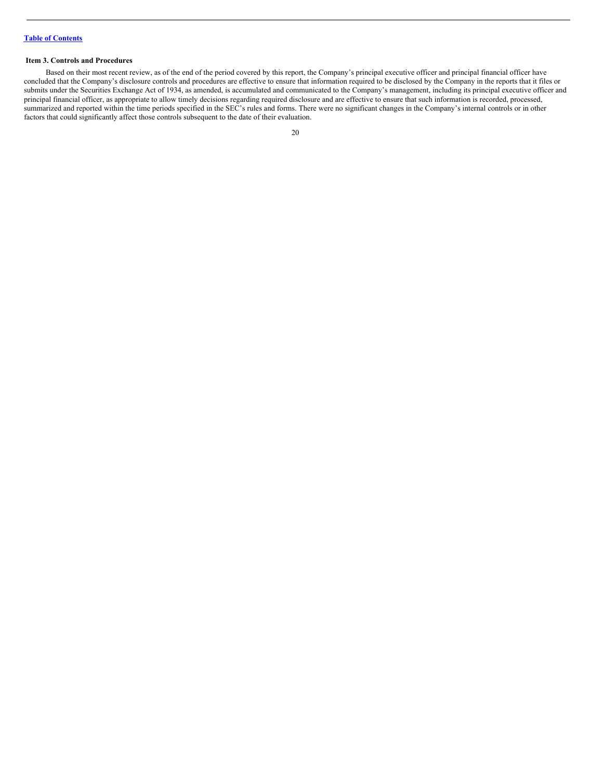# <span id="page-19-0"></span>**Item 3. Controls and Procedures**

Based on their most recent review, as of the end of the period covered by this report, the Company's principal executive officer and principal financial officer have concluded that the Company's disclosure controls and procedures are effective to ensure that information required to be disclosed by the Company in the reports that it files or submits under the Securities Exchange Act of 1934, as amended, is accumulated and communicated to the Company's management, including its principal executive officer and principal financial officer, as appropriate to allow timely decisions regarding required disclosure and are effective to ensure that such information is recorded, processed, summarized and reported within the time periods specified in the SEC's rules and forms. There were no significant changes in the Company's internal controls or in other factors that could significantly affect those controls subsequent to the date of their evaluation.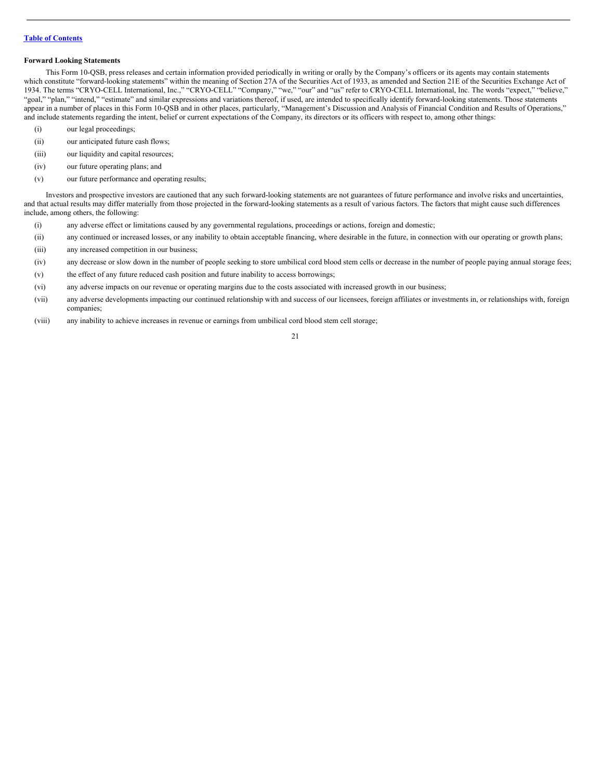# **Forward Looking Statements**

This Form 10-QSB, press releases and certain information provided periodically in writing or orally by the Company's officers or its agents may contain statements which constitute "forward-looking statements" within the meaning of Section 27A of the Securities Act of 1933, as amended and Section 21E of the Securities Exchange Act of 1934. The terms "CRYO-CELL International, Inc.," "CRYO-CELL" "Company," "we," "our" and "us" refer to CRYO-CELL International, Inc. The words "expect," "believe," "goal," "plan," "intend," "estimate" and similar expressions and variations thereof, if used, are intended to specifically identify forward-looking statements. Those statements appear in a number of places in this Form 10-QSB and in other places, particularly, "Management's Discussion and Analysis of Financial Condition and Results of Operations," and include statements regarding the intent, belief or current expectations of the Company, its directors or its officers with respect to, among other things:

- (i) our legal proceedings;
- (ii) our anticipated future cash flows;
- (iii) our liquidity and capital resources;
- (iv) our future operating plans; and
- (v) our future performance and operating results;

Investors and prospective investors are cautioned that any such forward-looking statements are not guarantees of future performance and involve risks and uncertainties, and that actual results may differ materially from those projected in the forward-looking statements as a result of various factors. The factors that might cause such differences include, among others, the following:

- (i) any adverse effect or limitations caused by any governmental regulations, proceedings or actions, foreign and domestic;
- (ii) any continued or increased losses, or any inability to obtain acceptable financing, where desirable in the future, in connection with our operating or growth plans;
- (iii) any increased competition in our business;
- (iv) any decrease or slow down in the number of people seeking to store umbilical cord blood stem cells or decrease in the number of people paying annual storage fees;
- (v) the effect of any future reduced cash position and future inability to access borrowings;
- (vi) any adverse impacts on our revenue or operating margins due to the costs associated with increased growth in our business;
- (vii) any adverse developments impacting our continued relationship with and success of our licensees, foreign affiliates or investments in, or relationships with, foreign companies;
- (viii) any inability to achieve increases in revenue or earnings from umbilical cord blood stem cell storage;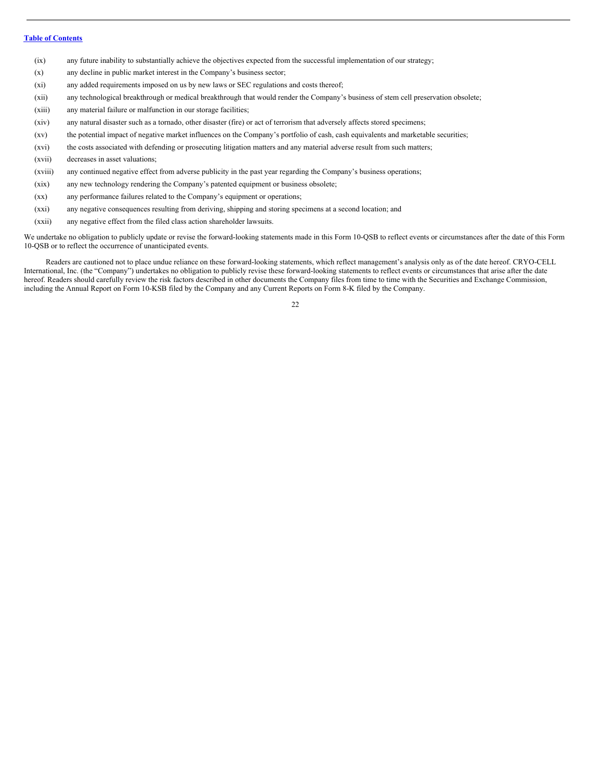# **Table of [Contents](#page-1-0)**

- (ix) any future inability to substantially achieve the objectives expected from the successful implementation of our strategy;
- (x) any decline in public market interest in the Company's business sector;
- (xi) any added requirements imposed on us by new laws or SEC regulations and costs thereof;
- (xii) any technological breakthrough or medical breakthrough that would render the Company's business of stem cell preservation obsolete;
- (xiii) any material failure or malfunction in our storage facilities;
- (xiv) any natural disaster such as a tornado, other disaster (fire) or act of terrorism that adversely affects stored specimens;
- (xv) the potential impact of negative market influences on the Company's portfolio of cash, cash equivalents and marketable securities;
- (xvi) the costs associated with defending or prosecuting litigation matters and any material adverse result from such matters;
- (xvii) decreases in asset valuations;
- (xviii) any continued negative effect from adverse publicity in the past year regarding the Company's business operations;
- (xix) any new technology rendering the Company's patented equipment or business obsolete;
- (xx) any performance failures related to the Company's equipment or operations;
- (xxi) any negative consequences resulting from deriving, shipping and storing specimens at a second location; and
- (xxii) any negative effect from the filed class action shareholder lawsuits.

We undertake no obligation to publicly update or revise the forward-looking statements made in this Form 10-QSB to reflect events or circumstances after the date of this Form 10-QSB or to reflect the occurrence of unanticipated events.

Readers are cautioned not to place undue reliance on these forward-looking statements, which reflect management's analysis only as of the date hereof. CRYO-CELL International, Inc. (the "Company") undertakes no obligation to publicly revise these forward-looking statements to reflect events or circumstances that arise after the date hereof. Readers should carefully review the risk factors described in other documents the Company files from time to time with the Securities and Exchange Commission, including the Annual Report on Form 10-KSB filed by the Company and any Current Reports on Form 8-K filed by the Company.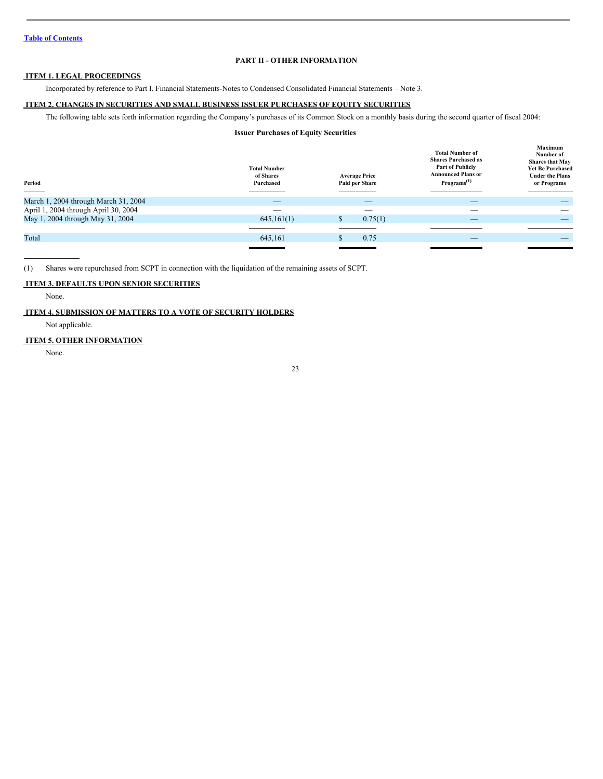# <span id="page-22-0"></span>**PART II - OTHER INFORMATION**

# <span id="page-22-1"></span>**ITEM 1. LEGAL PROCEEDINGS**

Incorporated by reference to Part I. Financial Statements-Notes to Condensed Consolidated Financial Statements – Note 3.

# <span id="page-22-2"></span>**ITEM 2. CHANGES IN SECURITIES AND SMALL BUSINESS ISSUER PURCHASES OF EQUITY SECURITIES**

The following table sets forth information regarding the Company's purchases of its Common Stock on a monthly basis during the second quarter of fiscal 2004:

# **Issuer Purchases of Equity Securities**

| Period                               | <b>Total Number</b><br>of Shares<br>Purchased | <b>Average Price</b><br>Paid per Share | <b>Total Number of</b><br><b>Shares Purchased as</b><br><b>Part of Publicly</b><br><b>Announced Plans or</b><br>Programs <sup>(1)</sup> | Maximum<br>Number of<br><b>Shares that May</b><br><b>Yet Be Purchased</b><br><b>Under the Plans</b><br>or Programs |
|--------------------------------------|-----------------------------------------------|----------------------------------------|-----------------------------------------------------------------------------------------------------------------------------------------|--------------------------------------------------------------------------------------------------------------------|
| March 1, 2004 through March 31, 2004 | $\overline{\phantom{a}}$                      |                                        |                                                                                                                                         |                                                                                                                    |
| April 1, 2004 through April 30, 2004 | $\overline{\phantom{a}}$                      | $\overline{\phantom{a}}$               | $\overline{\phantom{a}}$                                                                                                                | $\overline{\phantom{a}}$                                                                                           |
| May 1, 2004 through May 31, 2004     | 645,161(1)                                    | 0.75(1)                                |                                                                                                                                         | $-$                                                                                                                |
|                                      |                                               |                                        |                                                                                                                                         |                                                                                                                    |
| Total                                | 645,161                                       | 0.75                                   |                                                                                                                                         | _                                                                                                                  |
|                                      |                                               |                                        |                                                                                                                                         |                                                                                                                    |

(1) Shares were repurchased from SCPT in connection with the liquidation of the remaining assets of SCPT.

# <span id="page-22-3"></span>**ITEM 3. DEFAULTS UPON SENIOR SECURITIES**

None.

# <span id="page-22-4"></span>**ITEM 4. SUBMISSION OF MATTERS TO A VOTE OF SECURITY HOLDERS**

Not applicable.

# <span id="page-22-5"></span>**ITEM 5. OTHER INFORMATION**

None.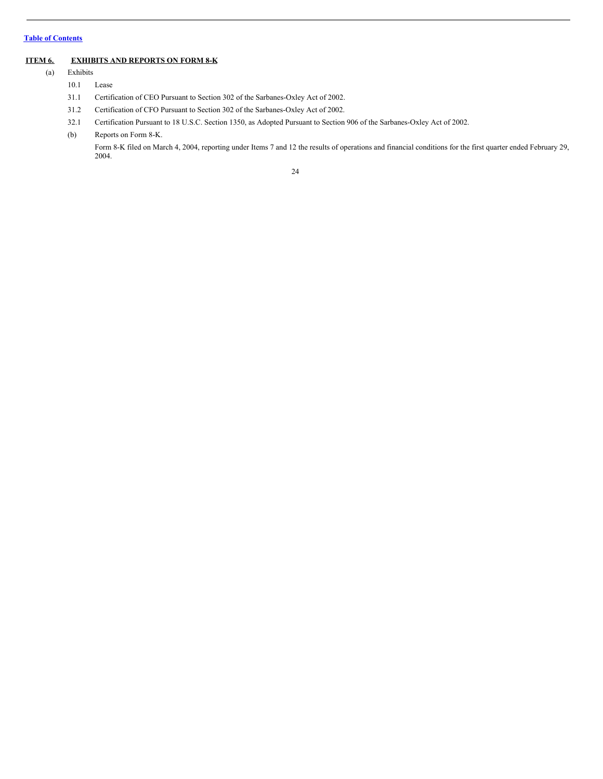# **Table of [Contents](#page-1-0)**

# <span id="page-23-0"></span>**ITEM 6. EXHIBITS AND REPORTS ON FORM 8-K**

- (a) Exhibits
	- 10.1 Lease
	- 31.1 Certification of CEO Pursuant to Section 302 of the Sarbanes-Oxley Act of 2002.
	- 31.2 Certification of CFO Pursuant to Section 302 of the Sarbanes-Oxley Act of 2002.
	- 32.1 Certification Pursuant to 18 U.S.C. Section 1350, as Adopted Pursuant to Section 906 of the Sarbanes-Oxley Act of 2002.
	- (b) Reports on Form 8-K.

Form 8-K filed on March 4, 2004, reporting under Items 7 and 12 the results of operations and financial conditions for the first quarter ended February 29, 2004.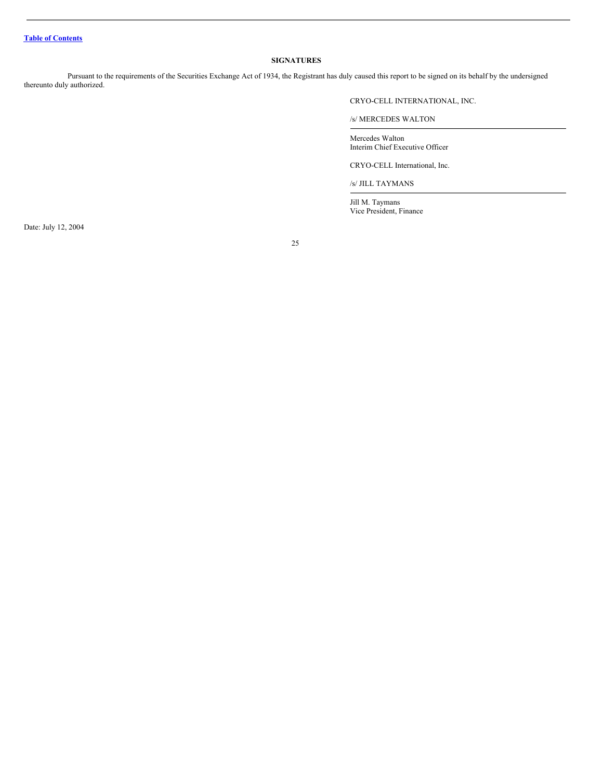# <span id="page-24-0"></span>**SIGNATURES**

Pursuant to the requirements of the Securities Exchange Act of 1934, the Registrant has duly caused this report to be signed on its behalf by the undersigned thereunto duly authorized.

CRYO-CELL INTERNATIONAL, INC.

/s/ MERCEDES WALTON

Mercedes Walton Interim Chief Executive Officer

CRYO-CELL International, Inc.

/s/ JILL TAYMANS

Jill M. Taymans Vice President, Finance

Date: July 12, 2004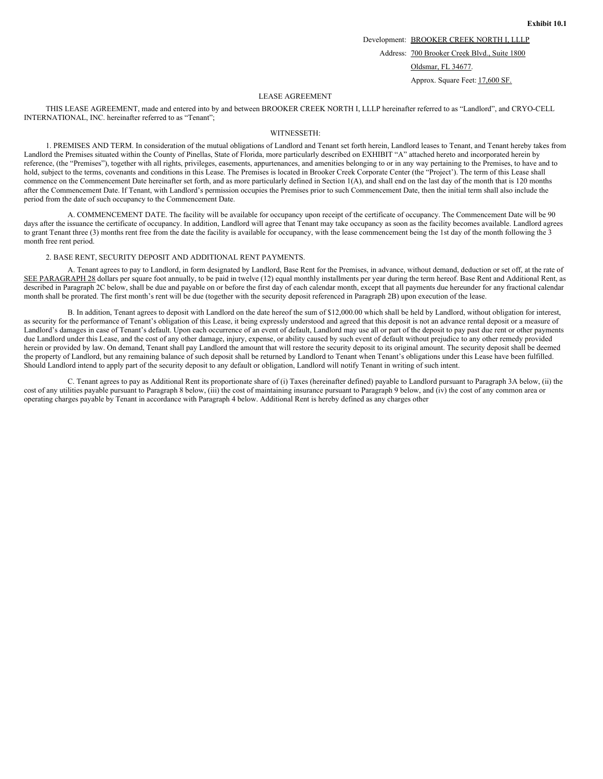Address: 700 Brooker Creek Blvd., Suite 1800

Oldsmar, FL 34677.

Approx. Square Feet: 17,600 SF.

# LEASE AGREEMENT

THIS LEASE AGREEMENT, made and entered into by and between BROOKER CREEK NORTH I, LLLP hereinafter referred to as "Landlord", and CRYO-CELL INTERNATIONAL, INC. hereinafter referred to as "Tenant";

# WITNESSETH:

1. PREMISES AND TERM. In consideration of the mutual obligations of Landlord and Tenant set forth herein, Landlord leases to Tenant, and Tenant hereby takes from Landlord the Premises situated within the County of Pinellas, State of Florida, more particularly described on EXHIBIT "A" attached hereto and incorporated herein by reference, (the "Premises"), together with all rights, privileges, easements, appurtenances, and amenities belonging to or in any way pertaining to the Premises, to have and to hold, subject to the terms, covenants and conditions in this Lease. The Premises is located in Brooker Creek Corporate Center (the "Project'). The term of this Lease shall commence on the Commencement Date hereinafter set forth, and as more particularly defined in Section 1(A), and shall end on the last day of the month that is 120 months after the Commencement Date. If Tenant, with Landlord's permission occupies the Premises prior to such Commencement Date, then the initial term shall also include the period from the date of such occupancy to the Commencement Date.

A. COMMENCEMENT DATE. The facility will be available for occupancy upon receipt of the certificate of occupancy. The Commencement Date will be 90 days after the issuance the certificate of occupancy. In addition, Landlord will agree that Tenant may take occupancy as soon as the facility becomes available. Landlord agrees to grant Tenant three (3) months rent free from the date the facility is available for occupancy, with the lease commencement being the 1st day of the month following the 3 month free rent period.

# 2. BASE RENT, SECURITY DEPOSIT AND ADDITIONAL RENT PAYMENTS.

A. Tenant agrees to pay to Landlord, in form designated by Landlord, Base Rent for the Premises, in advance, without demand, deduction or set off, at the rate of SEE PARAGRAPH 28 dollars per square foot annually, to be paid in twelve (12) equal monthly installments per year during the term hereof. Base Rent and Additional Rent, as described in Paragraph 2C below, shall be due and payable on or before the first day of each calendar month, except that all payments due hereunder for any fractional calendar month shall be prorated. The first month's rent will be due (together with the security deposit referenced in Paragraph 2B) upon execution of the lease.

B. In addition, Tenant agrees to deposit with Landlord on the date hereof the sum of \$12,000.00 which shall be held by Landlord, without obligation for interest, as security for the performance of Tenant's obligation of this Lease, it being expressly understood and agreed that this deposit is not an advance rental deposit or a measure of Landlord's damages in case of Tenant's default. Upon each occurrence of an event of default, Landlord may use all or part of the deposit to pay past due rent or other payments due Landlord under this Lease, and the cost of any other damage, injury, expense, or ability caused by such event of default without prejudice to any other remedy provided herein or provided by law. On demand, Tenant shall pay Landlord the amount that will restore the security deposit to its original amount. The security deposit shall be deemed the property of Landlord, but any remaining balance of such deposit shall be returned by Landlord to Tenant when Tenant's obligations under this Lease have been fulfilled. Should Landlord intend to apply part of the security deposit to any default or obligation, Landlord will notify Tenant in writing of such intent.

C. Tenant agrees to pay as Additional Rent its proportionate share of (i) Taxes (hereinafter defined) payable to Landlord pursuant to Paragraph 3A below, (ii) the cost of any utilities payable pursuant to Paragraph 8 below, (iii) the cost of maintaining insurance pursuant to Paragraph 9 below, and (iv) the cost of any common area or operating charges payable by Tenant in accordance with Paragraph 4 below. Additional Rent is hereby defined as any charges other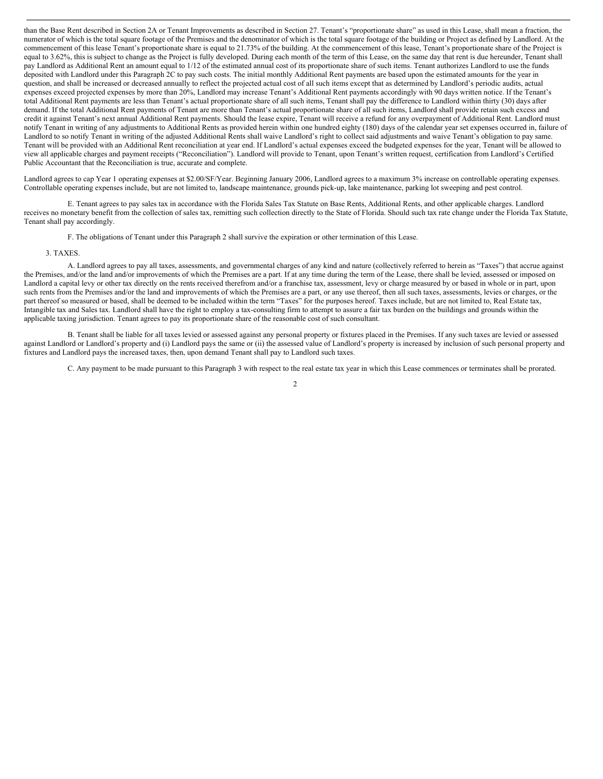than the Base Rent described in Section 2A or Tenant Improvements as described in Section 27. Tenant's "proportionate share" as used in this Lease, shall mean a fraction, the numerator of which is the total square footage of the Premises and the denominator of which is the total square footage of the building or Project as defined by Landlord. At the commencement of this lease Tenant's proportionate share is equal to 21.73% of the building. At the commencement of this lease, Tenant's proportionate share of the Project is equal to 3.62%, this is subject to change as the Project is fully developed. During each month of the term of this Lease, on the same day that rent is due hereunder. Tenant shall pay Landlord as Additional Rent an amount equal to 1/12 of the estimated annual cost of its proportionate share of such items. Tenant authorizes Landlord to use the funds deposited with Landlord under this Paragraph 2C to pay such costs. The initial monthly Additional Rent payments are based upon the estimated amounts for the year in question, and shall be increased or decreased annually to reflect the projected actual cost of all such items except that as determined by Landlord's periodic audits, actual expenses exceed projected expenses by more than 20%, Landlord may increase Tenant's Additional Rent payments accordingly with 90 days written notice. If the Tenant's total Additional Rent payments are less than Tenant's actual proportionate share of all such items, Tenant shall pay the difference to Landlord within thirty (30) days after demand. If the total Additional Rent payments of Tenant are more than Tenant's actual proportionate share of all such items, Landlord shall provide retain such excess and credit it against Tenant's next annual Additional Rent payments. Should the lease expire, Tenant will receive a refund for any overpayment of Additional Rent. Landlord must notify Tenant in writing of any adjustments to Additional Rents as provided herein within one hundred eighty (180) days of the calendar year set expenses occurred in, failure of Landlord to so notify Tenant in writing of the adjusted Additional Rents shall waive Landlord's right to collect said adjustments and waive Tenant's obligation to pay same. Tenant will be provided with an Additional Rent reconciliation at year end. If Landlord's actual expenses exceed the budgeted expenses for the year, Tenant will be allowed to view all applicable charges and payment receipts ("Reconciliation"). Landlord will provide to Tenant, upon Tenant's written request, certification from Landlord's Certified Public Accountant that the Reconciliation is true, accurate and complete.

Landlord agrees to cap Year 1 operating expenses at \$2.00/SF/Year. Beginning January 2006, Landlord agrees to a maximum 3% increase on controllable operating expenses. Controllable operating expenses include, but are not limited to, landscape maintenance, grounds pick-up, lake maintenance, parking lot sweeping and pest control.

E. Tenant agrees to pay sales tax in accordance with the Florida Sales Tax Statute on Base Rents, Additional Rents, and other applicable charges. Landlord receives no monetary benefit from the collection of sales tax, remitting such collection directly to the State of Florida. Should such tax rate change under the Florida Tax Statute, Tenant shall pay accordingly.

F. The obligations of Tenant under this Paragraph 2 shall survive the expiration or other termination of this Lease.

#### 3. TAXES.

A. Landlord agrees to pay all taxes, assessments, and governmental charges of any kind and nature (collectively referred to herein as "Taxes") that accrue against the Premises, and/or the land and/or improvements of which the Premises are a part. If at any time during the term of the Lease, there shall be levied, assessed or imposed on Landlord a capital levy or other tax directly on the rents received therefrom and/or a franchise tax, assessment, levy or charge measured by or based in whole or in part, upon such rents from the Premises and/or the land and improvements of which the Premises are a part, or any use thereof, then all such taxes, assessments, levies or charges, or the part thereof so measured or based, shall be deemed to be included within the term "Taxes" for the purposes hereof. Taxes include, but are not limited to, Real Estate tax, Intangible tax and Sales tax. Landlord shall have the right to employ a tax-consulting firm to attempt to assure a fair tax burden on the buildings and grounds within the applicable taxing jurisdiction. Tenant agrees to pay its proportionate share of the reasonable cost of such consultant.

B. Tenant shall be liable for all taxes levied or assessed against any personal property or fixtures placed in the Premises. If any such taxes are levied or assessed against Landlord or Landlord's property and (i) Landlord pays the same or (ii) the assessed value of Landlord's property is increased by inclusion of such personal property and fixtures and Landlord pays the increased taxes, then, upon demand Tenant shall pay to Landlord such taxes.

C. Any payment to be made pursuant to this Paragraph 3 with respect to the real estate tax year in which this Lease commences or terminates shall be prorated.

 $\overline{\phantom{a}}$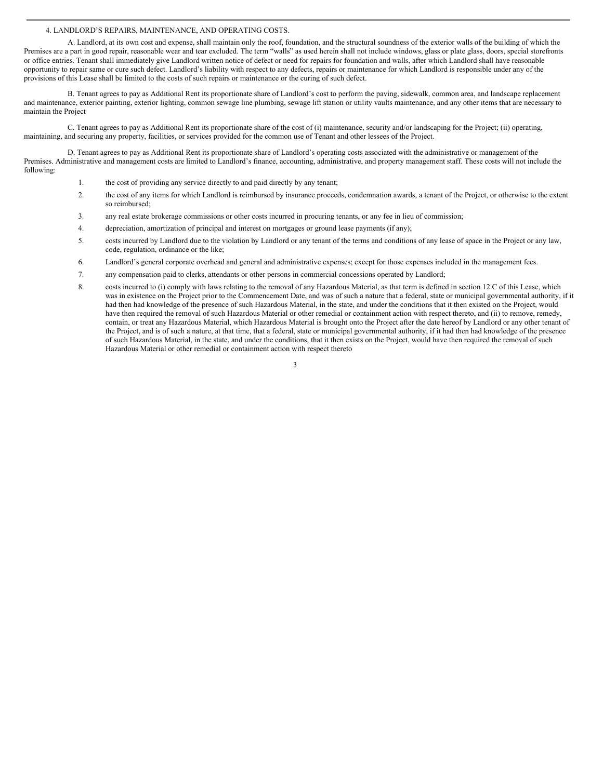# 4. LANDLORD'S REPAIRS, MAINTENANCE, AND OPERATING COSTS.

A. Landlord, at its own cost and expense, shall maintain only the roof, foundation, and the structural soundness of the exterior walls of the building of which the Premises are a part in good repair, reasonable wear and tear excluded. The term "walls" as used herein shall not include windows, glass or plate glass, doors, special storefronts or office entries. Tenant shall immediately give Landlord written notice of defect or need for repairs for foundation and walls, after which Landlord shall have reasonable opportunity to repair same or cure such defect. Landlord's liability with respect to any defects, repairs or maintenance for which Landlord is responsible under any of the provisions of this Lease shall be limited to the costs of such repairs or maintenance or the curing of such defect.

B. Tenant agrees to pay as Additional Rent its proportionate share of Landlord's cost to perform the paving, sidewalk, common area, and landscape replacement and maintenance, exterior painting, exterior lighting, common sewage line plumbing, sewage lift station or utility vaults maintenance, and any other items that are necessary to maintain the Project

C. Tenant agrees to pay as Additional Rent its proportionate share of the cost of (i) maintenance, security and/or landscaping for the Project; (ii) operating, maintaining, and securing any property, facilities, or services provided for the common use of Tenant and other lessees of the Project.

D. Tenant agrees to pay as Additional Rent its proportionate share of Landlord's operating costs associated with the administrative or management of the Premises. Administrative and management costs are limited to Landlord's finance, accounting, administrative, and property management staff. These costs will not include the following:

- 1. the cost of providing any service directly to and paid directly by any tenant;
- 2. the cost of any items for which Landlord is reimbursed by insurance proceeds, condemnation awards, a tenant of the Project, or otherwise to the extent so reimbursed;
- 3. any real estate brokerage commissions or other costs incurred in procuring tenants, or any fee in lieu of commission;
- 4. depreciation, amortization of principal and interest on mortgages or ground lease payments (if any);
- 5. costs incurred by Landlord due to the violation by Landlord or any tenant of the terms and conditions of any lease of space in the Project or any law, code, regulation, ordinance or the like;
- 6. Landlord's general corporate overhead and general and administrative expenses; except for those expenses included in the management fees.
- 7. any compensation paid to clerks, attendants or other persons in commercial concessions operated by Landlord;
- 8. costs incurred to (i) comply with laws relating to the removal of any Hazardous Material, as that term is defined in section 12 C of this Lease, which was in existence on the Project prior to the Commencement Date, and was of such a nature that a federal, state or municipal governmental authority, if it had then had knowledge of the presence of such Hazardous Material, in the state, and under the conditions that it then existed on the Project, would have then required the removal of such Hazardous Material or other remedial or containment action with respect thereto, and (ii) to remove, remedy, contain, or treat any Hazardous Material, which Hazardous Material is brought onto the Project after the date hereof by Landlord or any other tenant of the Project, and is of such a nature, at that time, that a federal, state or municipal governmental authority, if it had then had knowledge of the presence of such Hazardous Material, in the state, and under the conditions, that it then exists on the Project, would have then required the removal of such Hazardous Material or other remedial or containment action with respect thereto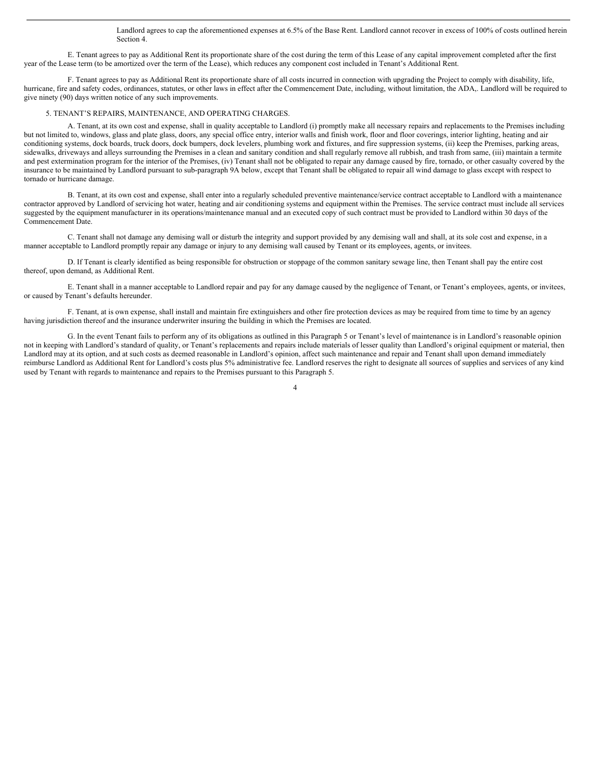Landlord agrees to cap the aforementioned expenses at 6.5% of the Base Rent. Landlord cannot recover in excess of 100% of costs outlined herein Section 4.

E. Tenant agrees to pay as Additional Rent its proportionate share of the cost during the term of this Lease of any capital improvement completed after the first year of the Lease term (to be amortized over the term of the Lease), which reduces any component cost included in Tenant's Additional Rent.

F. Tenant agrees to pay as Additional Rent its proportionate share of all costs incurred in connection with upgrading the Project to comply with disability, life, hurricane, fire and safety codes, ordinances, statutes, or other laws in effect after the Commencement Date, including, without limitation, the ADA,. Landlord will be required to give ninety (90) days written notice of any such improvements.

# 5. TENANT'S REPAIRS, MAINTENANCE, AND OPERATING CHARGES.

A. Tenant, at its own cost and expense, shall in quality acceptable to Landlord (i) promptly make all necessary repairs and replacements to the Premises including but not limited to, windows, glass and plate glass, doors, any special office entry, interior walls and finish work, floor and floor coverings, interior lighting, heating and air conditioning systems, dock boards, truck doors, dock bumpers, dock levelers, plumbing work and fixtures, and fire suppression systems, (ii) keep the Premises, parking areas, sidewalks, driveways and alleys surrounding the Premises in a clean and sanitary condition and shall regularly remove all rubbish, and trash from same, (iii) maintain a termite and pest extermination program for the interior of the Premises, (iv) Tenant shall not be obligated to repair any damage caused by fire, tornado, or other casualty covered by the insurance to be maintained by Landlord pursuant to sub-paragraph 9A below, except that Tenant shall be obligated to repair all wind damage to glass except with respect to tornado or hurricane damage.

B. Tenant, at its own cost and expense, shall enter into a regularly scheduled preventive maintenance/service contract acceptable to Landlord with a maintenance contractor approved by Landlord of servicing hot water, heating and air conditioning systems and equipment within the Premises. The service contract must include all services suggested by the equipment manufacturer in its operations/maintenance manual and an executed copy of such contract must be provided to Landlord within 30 days of the Commencement Date.

C. Tenant shall not damage any demising wall or disturb the integrity and support provided by any demising wall and shall, at its sole cost and expense, in a manner acceptable to Landlord promptly repair any damage or injury to any demising wall caused by Tenant or its employees, agents, or invitees.

D. If Tenant is clearly identified as being responsible for obstruction or stoppage of the common sanitary sewage line, then Tenant shall pay the entire cost thereof, upon demand, as Additional Rent.

E. Tenant shall in a manner acceptable to Landlord repair and pay for any damage caused by the negligence of Tenant, or Tenant's employees, agents, or invitees, or caused by Tenant's defaults hereunder.

F. Tenant, at is own expense, shall install and maintain fire extinguishers and other fire protection devices as may be required from time to time by an agency having jurisdiction thereof and the insurance underwriter insuring the building in which the Premises are located.

G. In the event Tenant fails to perform any of its obligations as outlined in this Paragraph 5 or Tenant's level of maintenance is in Landlord's reasonable opinion not in keeping with Landlord's standard of quality, or Tenant's replacements and repairs include materials of lesser quality than Landlord's original equipment or material, then Landlord may at its option, and at such costs as deemed reasonable in Landlord's opinion, affect such maintenance and repair and Tenant shall upon demand immediately reimburse Landlord as Additional Rent for Landlord's costs plus 5% administrative fee. Landlord reserves the right to designate all sources of supplies and services of any kind used by Tenant with regards to maintenance and repairs to the Premises pursuant to this Paragraph 5.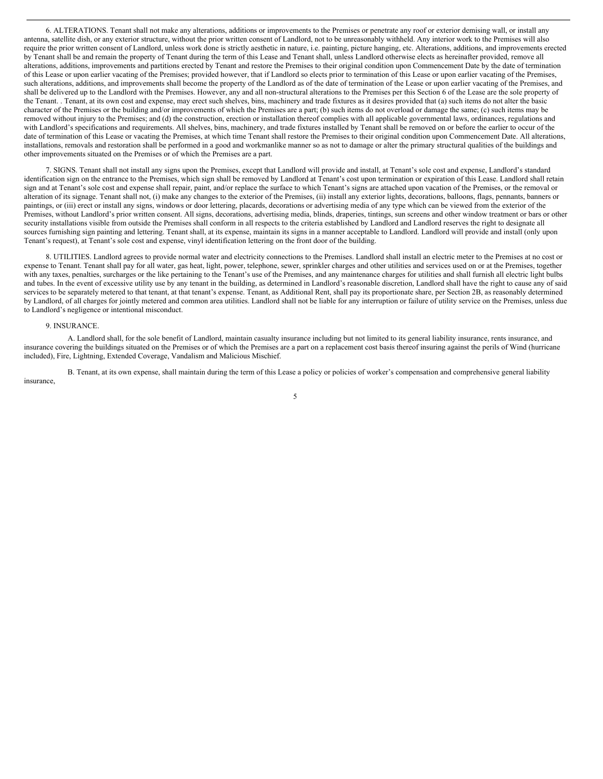6. ALTERATIONS. Tenant shall not make any alterations, additions or improvements to the Premises or penetrate any roof or exterior demising wall, or install any antenna, satellite dish, or any exterior structure, without the prior written consent of Landlord, not to be unreasonably withheld. Any interior work to the Premises will also require the prior written consent of Landlord, unless work done is strictly aesthetic in nature, i.e. painting, picture hanging, etc. Alterations, additions, and improvements erected by Tenant shall be and remain the property of Tenant during the term of this Lease and Tenant shall, unless Landlord otherwise elects as hereinafter provided, remove all alterations, additions, improvements and partitions erected by Tenant and restore the Premises to their original condition upon Commencement Date by the date of termination of this Lease or upon earlier vacating of the Premises; provided however, that if Landlord so elects prior to termination of this Lease or upon earlier vacating of the Premises, such alterations, additions, and improvements shall become the property of the Landlord as of the date of termination of the Lease or upon earlier vacating of the Premises, and shall be delivered up to the Landlord with the Premises. However, any and all non-structural alterations to the Premises per this Section 6 of the Lease are the sole property of the Tenant. . Tenant, at its own cost and expense, may erect such shelves, bins, machinery and trade fixtures as it desires provided that (a) such items do not alter the basic character of the Premises or the building and/or improvements of which the Premises are a part; (b) such items do not overload or damage the same; (c) such items may be removed without injury to the Premises; and (d) the construction, erection or installation thereof complies with all applicable governmental laws, ordinances, regulations and with Landlord's specifications and requirements. All shelves, bins, machinery, and trade fixtures installed by Tenant shall be removed on or before the earlier to occur of the date of termination of this Lease or vacating the Premises, at which time Tenant shall restore the Premises to their original condition upon Commencement Date. All alterations, installations, removals and restoration shall be performed in a good and workmanlike manner so as not to damage or alter the primary structural qualities of the buildings and other improvements situated on the Premises or of which the Premises are a part.

7. SIGNS. Tenant shall not install any signs upon the Premises, except that Landlord will provide and install, at Tenant's sole cost and expense, Landlord's standard identification sign on the entrance to the Premises, which sign shall be removed by Landlord at Tenant's cost upon termination or expiration of this Lease. Landlord shall retain sign and at Tenant's sole cost and expense shall repair, paint, and/or replace the surface to which Tenant's signs are attached upon vacation of the Premises, or the removal or alteration of its signage. Tenant shall not, (i) make any changes to the exterior of the Premises, (ii) install any exterior lights, decorations, balloons, flags, pennants, banners or paintings, or (iii) erect or install any signs, windows or door lettering, placards, decorations or advertising media of any type which can be viewed from the exterior of the Premises, without Landlord's prior written consent. All signs, decorations, advertising media, blinds, draperies, tintings, sun screens and other window treatment or bars or other security installations visible from outside the Premises shall conform in all respects to the criteria established by Landlord and Landlord reserves the right to designate all sources furnishing sign painting and lettering. Tenant shall, at its expense, maintain its signs in a manner acceptable to Landlord. Landlord will provide and install (only upon Tenant's request), at Tenant's sole cost and expense, vinyl identification lettering on the front door of the building.

8. UTILITIES. Landlord agrees to provide normal water and electricity connections to the Premises. Landlord shall install an electric meter to the Premises at no cost or expense to Tenant. Tenant shall pay for all water, gas heat, light, power, telephone, sewer, sprinkler charges and other utilities and services used on or at the Premises, together with any taxes, penalties, surcharges or the like pertaining to the Tenant's use of the Premises, and any maintenance charges for utilities and shall furnish all electric light bulbs and tubes. In the event of excessive utility use by any tenant in the building, as determined in Landlord's reasonable discretion, Landlord shall have the right to cause any of said services to be separately metered to that tenant, at that tenant's expense. Tenant, as Additional Rent, shall pay its proportionate share, per Section 2B, as reasonably determined by Landlord, of all charges for jointly metered and common area utilities. Landlord shall not be liable for any interruption or failure of utility service on the Premises, unless due to Landlord's negligence or intentional misconduct.

## 9. INSURANCE.

A. Landlord shall, for the sole benefit of Landlord, maintain casualty insurance including but not limited to its general liability insurance, rents insurance, and insurance covering the buildings situated on the Premises or of which the Premises are a part on a replacement cost basis thereof insuring against the perils of Wind (hurricane included), Fire, Lightning, Extended Coverage, Vandalism and Malicious Mischief.

B. Tenant, at its own expense, shall maintain during the term of this Lease a policy or policies of worker's compensation and comprehensive general liability insurance,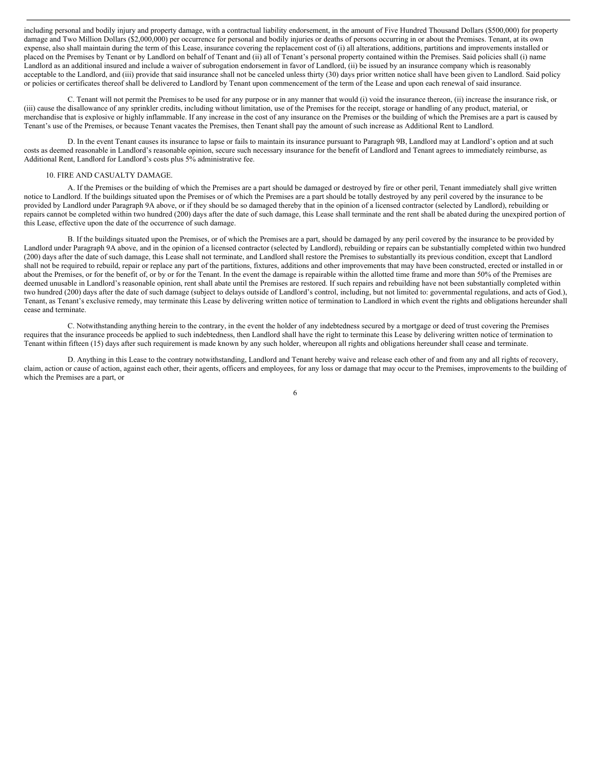including personal and bodily injury and property damage, with a contractual liability endorsement, in the amount of Five Hundred Thousand Dollars (\$500,000) for property damage and Two Million Dollars (\$2,000,000) per occurrence for personal and bodily injuries or deaths of persons occurring in or about the Premises. Tenant, at its own expense, also shall maintain during the term of this Lease, insurance covering the replacement cost of (i) all alterations, additions, partitions and improvements installed or placed on the Premises by Tenant or by Landlord on behalf of Tenant and (ii) all of Tenant's personal property contained within the Premises. Said policies shall (i) name Landlord as an additional insured and include a waiver of subrogation endorsement in favor of Landlord, (ii) be issued by an insurance company which is reasonably acceptable to the Landlord, and (iii) provide that said insurance shall not be canceled unless thirty (30) days prior written notice shall have been given to Landlord. Said policy or policies or certificates thereof shall be delivered to Landlord by Tenant upon commencement of the term of the Lease and upon each renewal of said insurance.

C. Tenant will not permit the Premises to be used for any purpose or in any manner that would (i) void the insurance thereon, (ii) increase the insurance risk, or (iii) cause the disallowance of any sprinkler credits, including without limitation, use of the Premises for the receipt, storage or handling of any product, material, or merchandise that is explosive or highly inflammable. If any increase in the cost of any insurance on the Premises or the building of which the Premises are a part is caused by Tenant's use of the Premises, or because Tenant vacates the Premises, then Tenant shall pay the amount of such increase as Additional Rent to Landlord.

D. In the event Tenant causes its insurance to lapse or fails to maintain its insurance pursuant to Paragraph 9B, Landlord may at Landlord's option and at such costs as deemed reasonable in Landlord's reasonable opinion, secure such necessary insurance for the benefit of Landlord and Tenant agrees to immediately reimburse, as Additional Rent, Landlord for Landlord's costs plus 5% administrative fee.

# 10. FIRE AND CASUALTY DAMAGE.

A. If the Premises or the building of which the Premises are a part should be damaged or destroyed by fire or other peril, Tenant immediately shall give written notice to Landlord. If the buildings situated upon the Premises or of which the Premises are a part should be totally destroyed by any peril covered by the insurance to be provided by Landlord under Paragraph 9A above, or if they should be so damaged thereby that in the opinion of a licensed contractor (selected by Landlord), rebuilding or repairs cannot be completed within two hundred (200) days after the date of such damage, this Lease shall terminate and the rent shall be abated during the unexpired portion of this Lease, effective upon the date of the occurrence of such damage.

B. If the buildings situated upon the Premises, or of which the Premises are a part, should be damaged by any peril covered by the insurance to be provided by Landlord under Paragraph 9A above, and in the opinion of a licensed contractor (selected by Landlord), rebuilding or repairs can be substantially completed within two hundred (200) days after the date of such damage, this Lease shall not terminate, and Landlord shall restore the Premises to substantially its previous condition, except that Landlord shall not be required to rebuild, repair or replace any part of the partitions, fixtures, additions and other improvements that may have been constructed, erected or installed in or about the Premises, or for the benefit of, or by or for the Tenant. In the event the damage is repairable within the allotted time frame and more than 50% of the Premises are deemed unusable in Landlord's reasonable opinion, rent shall abate until the Premises are restored. If such repairs and rebuilding have not been substantially completed within two hundred (200) days after the date of such damage (subject to delays outside of Landlord's control, including, but not limited to: governmental regulations, and acts of God.), Tenant, as Tenant's exclusive remedy, may terminate this Lease by delivering written notice of termination to Landlord in which event the rights and obligations hereunder shall cease and terminate.

C. Notwithstanding anything herein to the contrary, in the event the holder of any indebtedness secured by a mortgage or deed of trust covering the Premises requires that the insurance proceeds be applied to such indebtedness, then Landlord shall have the right to terminate this Lease by delivering written notice of termination to Tenant within fifteen (15) days after such requirement is made known by any such holder, whereupon all rights and obligations hereunder shall cease and terminate.

D. Anything in this Lease to the contrary notwithstanding, Landlord and Tenant hereby waive and release each other of and from any and all rights of recovery, claim, action or cause of action, against each other, their agents, officers and employees, for any loss or damage that may occur to the Premises, improvements to the building of which the Premises are a part, or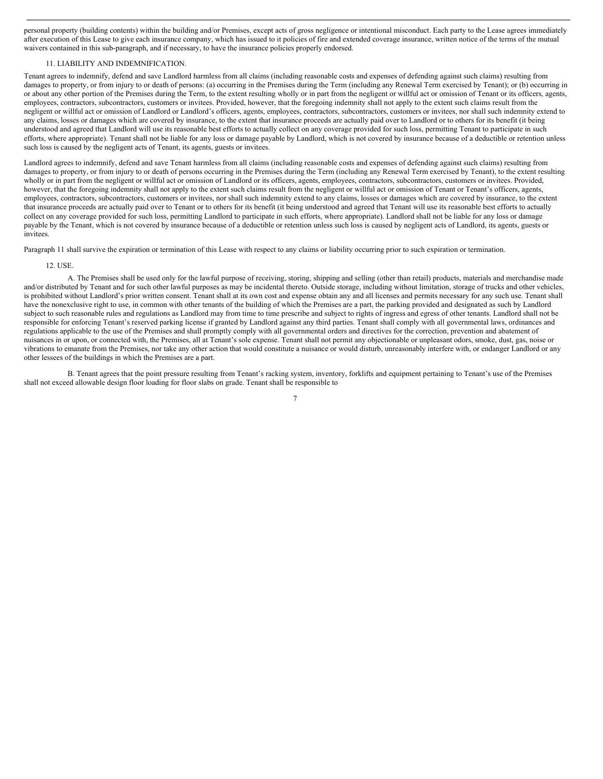personal property (building contents) within the building and/or Premises, except acts of gross negligence or intentional misconduct. Each party to the Lease agrees immediately after execution of this Lease to give each insurance company, which has issued to it policies of fire and extended coverage insurance, written notice of the terms of the mutual waivers contained in this sub-paragraph, and if necessary, to have the insurance policies properly endorsed.

## 11. LIABILITY AND INDEMNIFICATION.

Tenant agrees to indemnify, defend and save Landlord harmless from all claims (including reasonable costs and expenses of defending against such claims) resulting from damages to property, or from injury to or death of persons: (a) occurring in the Premises during the Term (including any Renewal Term exercised by Tenant); or (b) occurring in or about any other portion of the Premises during the Term, to the extent resulting wholly or in part from the negligent or willful act or omission of Tenant or its officers, agents, employees, contractors, subcontractors, customers or invitees. Provided, however, that the foregoing indemnity shall not apply to the extent such claims result from the negligent or willful act or omission of Landlord or Landlord's officers, agents, employees, contractors, subcontractors, customers or invitees, nor shall such indemnity extend to any claims, losses or damages which are covered by insurance, to the extent that insurance proceeds are actually paid over to Landlord or to others for its benefit (it being understood and agreed that Landlord will use its reasonable best efforts to actually collect on any coverage provided for such loss, permitting Tenant to participate in such efforts, where appropriate). Tenant shall not be liable for any loss or damage payable by Landlord, which is not covered by insurance because of a deductible or retention unless such loss is caused by the negligent acts of Tenant, its agents, guests or invitees.

Landlord agrees to indemnify, defend and save Tenant harmless from all claims (including reasonable costs and expenses of defending against such claims) resulting from damages to property, or from injury to or death of persons occurring in the Premises during the Term (including any Renewal Term exercised by Tenant), to the extent resulting wholly or in part from the negligent or willful act or omission of Landlord or its officers, agents, employees, contractors, subcontractors, customers or invitees. Provided, however, that the foregoing indemnity shall not apply to the extent such claims result from the negligent or willful act or omission of Tenant or Tenant's officers, agents, employees, contractors, subcontractors, customers or invitees, nor shall such indemnity extend to any claims, losses or damages which are covered by insurance, to the extent that insurance proceeds are actually paid over to Tenant or to others for its benefit (it being understood and agreed that Tenant will use its reasonable best efforts to actually collect on any coverage provided for such loss, permitting Landlord to participate in such efforts, where appropriate). Landlord shall not be liable for any loss or damage payable by the Tenant, which is not covered by insurance because of a deductible or retention unless such loss is caused by negligent acts of Landlord, its agents, guests or invitees.

Paragraph 11 shall survive the expiration or termination of this Lease with respect to any claims or liability occurring prior to such expiration or termination.

#### 12. USE.

A. The Premises shall be used only for the lawful purpose of receiving, storing, shipping and selling (other than retail) products, materials and merchandise made and/or distributed by Tenant and for such other lawful purposes as may be incidental thereto. Outside storage, including without limitation, storage of trucks and other vehicles, is prohibited without Landlord's prior written consent. Tenant shall at its own cost and expense obtain any and all licenses and permits necessary for any such use. Tenant shall have the nonexclusive right to use, in common with other tenants of the building of which the Premises are a part, the parking provided and designated as such by Landlord subject to such reasonable rules and regulations as Landlord may from time to time prescribe and subject to rights of ingress and egress of other tenants. Landlord shall not be responsible for enforcing Tenant's reserved parking license if granted by Landlord against any third parties. Tenant shall comply with all governmental laws, ordinances and regulations applicable to the use of the Premises and shall promptly comply with all governmental orders and directives for the correction, prevention and abatement of nuisances in or upon, or connected with, the Premises, all at Tenant's sole expense. Tenant shall not permit any objectionable or unpleasant odors, smoke, dust, gas, noise or vibrations to emanate from the Premises, nor take any other action that would constitute a nuisance or would disturb, unreasonably interfere with, or endanger Landlord or any other lessees of the buildings in which the Premises are a part.

B. Tenant agrees that the point pressure resulting from Tenant's racking system, inventory, forklifts and equipment pertaining to Tenant's use of the Premises shall not exceed allowable design floor loading for floor slabs on grade. Tenant shall be responsible to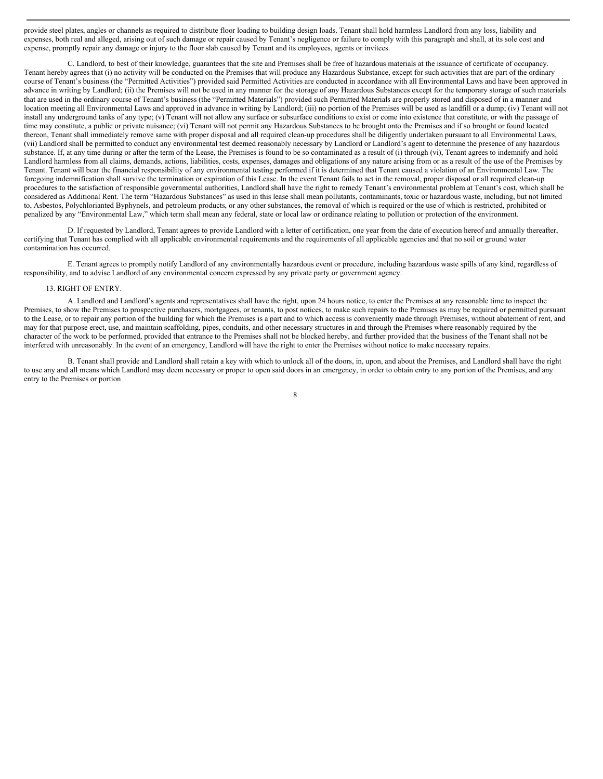provide steel plates, angles or channels as required to distribute floor loading to building design loads. Tenant shall hold harmless Landlord from any loss, liability and expenses, both real and alleged, arising out of such damage or repair caused by Tenant's negligence or failure to comply with this paragraph and shall, at its sole cost and expense, promptly repair any damage or injury to the floor slab caused by Tenant and its employees, agents or invitees.

C. Landlord, to best of their knowledge, guarantees that the site and Premises shall be free of hazardous materials at the issuance of certificate of occupancy. Tenant hereby agrees that (i) no activity will be conducted on the Premises that will produce any Hazardous Substance, except for such activities that are part of the ordinary course of Tenant's business (the "Permitted Activities") provided said Permitted Activities are conducted in accordance with all Environmental Laws and have been approved in advance in writing by Landlord; (ii) the Premises will not be used in any manner for the storage of any Hazardous Substances except for the temporary storage of such materials that are used in the ordinary course of Tenant's business (the "Permitted Materials") provided such Permitted Materials are properly stored and disposed of in a manner and location meeting all Environmental Laws and approved in advance in writing by Landlord; (iii) no portion of the Premises will be used as landfill or a dump; (iv) Tenant will not install any underground tanks of any type; (v) Tenant will not allow any surface or subsurface conditions to exist or come into existence that constitute, or with the passage of time may constitute, a public or private nuisance; (vi) Tenant will not permit any Hazardous Substances to be brought onto the Premises and if so brought or found located thereon, Tenant shall immediately remove same with proper disposal and all required clean-up procedures shall be diligently undertaken pursuant to all Environmental Laws, (vii) Landlord shall be permitted to conduct any environmental test deemed reasonably necessary by Landlord or Landlord's agent to determine the presence of any hazardous substance. If, at any time during or after the term of the Lease, the Premises is found to be so contaminated as a result of (i) through (vi), Tenant agrees to indemnify and hold Landlord harmless from all claims, demands, actions, liabilities, costs, expenses, damages and obligations of any nature arising from or as a result of the use of the Premises by Tenant. Tenant will bear the financial responsibility of any environmental testing performed if it is determined that Tenant caused a violation of an Environmental Law. The foregoing indemnification shall survive the termination or expiration of this Lease. In the event Tenant fails to act in the removal, proper disposal or all required clean-up procedures to the satisfaction of responsible governmental authorities, Landlord shall have the right to remedy Tenant's environmental problem at Tenant's cost, which shall be considered as Additional Rent. The term "Hazardous Substances" as used in this lease shall mean pollutants, contaminants, toxic or hazardous waste, including, but not limited to, Asbestos, Polychlorianted Byphynels, and petroleum products, or any other substances, the removal of which is required or the use of which is restricted, prohibited or penalized by any "Environmental Law," which term shall mean any federal, state or local law or ordinance relating to pollution or protection of the environment.

D. If requested by Landlord, Tenant agrees to provide Landlord with a letter of certification, one year from the date of execution hereof and annually thereafter, certifying that Tenant has complied with all applicable environmental requirements and the requirements of all applicable agencies and that no soil or ground water contamination has occurred.

E. Tenant agrees to promptly notify Landlord of any environmentally hazardous event or procedure, including hazardous waste spills of any kind, regardless of responsibility, and to advise Landlord of any environmental concern expressed by any private party or government agency.

### 13. RIGHT OF ENTRY.

A. Landlord and Landlord's agents and representatives shall have the right, upon 24 hours notice, to enter the Premises at any reasonable time to inspect the Premises, to show the Premises to prospective purchasers, mortgagees, or tenants, to post notices, to make such repairs to the Premises as may be required or permitted pursuant to the Lease, or to repair any portion of the building for which the Premises is a part and to which access is conveniently made through Premises, without abatement of rent, and may for that purpose erect, use, and maintain scaffolding, pipes, conduits, and other necessary structures in and through the Premises where reasonably required by the character of the work to be performed, provided that entrance to the Premises shall not be blocked hereby, and further provided that the business of the Tenant shall not be interfered with unreasonably. In the event of an emergency, Landlord will have the right to enter the Premises without notice to make necessary repairs.

B. Tenant shall provide and Landlord shall retain a key with which to unlock all of the doors, in, upon, and about the Premises, and Landlord shall have the right to use any and all means which Landlord may deem necessary or proper to open said doors in an emergency, in order to obtain entry to any portion of the Premises, and any entry to the Premises or portion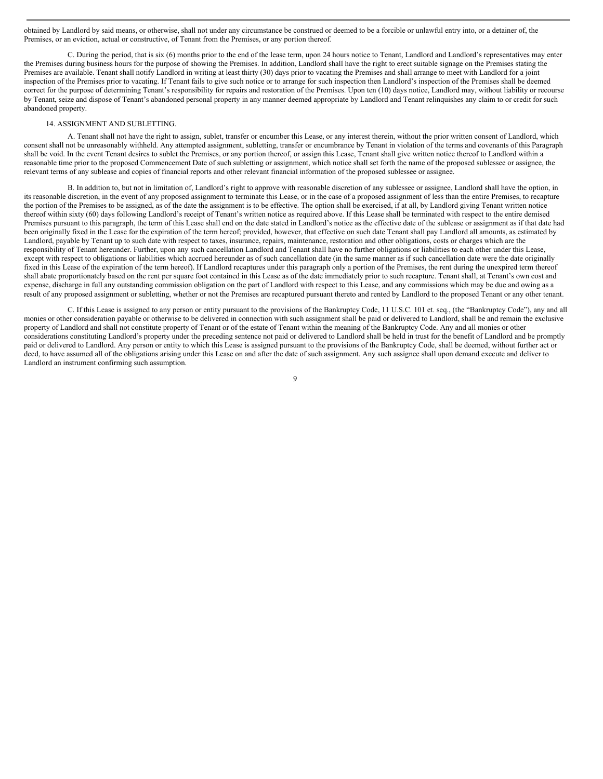obtained by Landlord by said means, or otherwise, shall not under any circumstance be construed or deemed to be a forcible or unlawful entry into, or a detainer of, the Premises, or an eviction, actual or constructive, of Tenant from the Premises, or any portion thereof.

C. During the period, that is six (6) months prior to the end of the lease term, upon 24 hours notice to Tenant, Landlord and Landlord's representatives may enter the Premises during business hours for the purpose of showing the Premises. In addition, Landlord shall have the right to erect suitable signage on the Premises stating the Premises are available. Tenant shall notify Landlord in writing at least thirty (30) days prior to vacating the Premises and shall arrange to meet with Landlord for a joint inspection of the Premises prior to vacating. If Tenant fails to give such notice or to arrange for such inspection then Landlord's inspection of the Premises shall be deemed correct for the purpose of determining Tenant's responsibility for repairs and restoration of the Premises. Upon ten (10) days notice, Landlord may, without liability or recourse by Tenant, seize and dispose of Tenant's abandoned personal property in any manner deemed appropriate by Landlord and Tenant relinquishes any claim to or credit for such abandoned property.

# 14. ASSIGNMENT AND SUBLETTING.

A. Tenant shall not have the right to assign, sublet, transfer or encumber this Lease, or any interest therein, without the prior written consent of Landlord, which consent shall not be unreasonably withheld. Any attempted assignment, subletting, transfer or encumbrance by Tenant in violation of the terms and covenants of this Paragraph shall be void. In the event Tenant desires to sublet the Premises, or any portion thereof, or assign this Lease, Tenant shall give written notice thereof to Landlord within a reasonable time prior to the proposed Commencement Date of such subletting or assignment, which notice shall set forth the name of the proposed sublessee or assignee, the relevant terms of any sublease and copies of financial reports and other relevant financial information of the proposed sublessee or assignee.

B. In addition to, but not in limitation of, Landlord's right to approve with reasonable discretion of any sublessee or assignee, Landlord shall have the option, in its reasonable discretion, in the event of any proposed assignment to terminate this Lease, or in the case of a proposed assignment of less than the entire Premises, to recapture the portion of the Premises to be assigned, as of the date the assignment is to be effective. The option shall be exercised, if at all, by Landlord giving Tenant written notice thereof within sixty (60) days following Landlord's receipt of Tenant's written notice as required above. If this Lease shall be terminated with respect to the entire demised Premises pursuant to this paragraph, the term of this Lease shall end on the date stated in Landlord's notice as the effective date of the sublease or assignment as if that date had been originally fixed in the Lease for the expiration of the term hereof; provided, however, that effective on such date Tenant shall pay Landlord all amounts, as estimated by Landlord, payable by Tenant up to such date with respect to taxes, insurance, repairs, maintenance, restoration and other obligations, costs or charges which are the responsibility of Tenant hereunder. Further, upon any such cancellation Landlord and Tenant shall have no further obligations or liabilities to each other under this Lease, except with respect to obligations or liabilities which accrued hereunder as of such cancellation date (in the same manner as if such cancellation date were the date originally fixed in this Lease of the expiration of the term hereof). If Landlord recaptures under this paragraph only a portion of the Premises, the rent during the unexpired term thereof shall abate proportionately based on the rent per square foot contained in this Lease as of the date immediately prior to such recapture. Tenant shall, at Tenant's own cost and expense, discharge in full any outstanding commission obligation on the part of Landlord with respect to this Lease, and any commissions which may be due and owing as a result of any proposed assignment or subletting, whether or not the Premises are recaptured pursuant thereto and rented by Landlord to the proposed Tenant or any other tenant.

C. If this Lease is assigned to any person or entity pursuant to the provisions of the Bankruptcy Code, 11 U.S.C. 101 et. seq., (the "Bankruptcy Code"), any and all monies or other consideration payable or otherwise to be delivered in connection with such assignment shall be paid or delivered to Landlord, shall be and remain the exclusive property of Landlord and shall not constitute property of Tenant or of the estate of Tenant within the meaning of the Bankruptcy Code. Any and all monies or other considerations constituting Landlord's property under the preceding sentence not paid or delivered to Landlord shall be held in trust for the benefit of Landlord and be promptly paid or delivered to Landlord. Any person or entity to which this Lease is assigned pursuant to the provisions of the Bankruptcy Code, shall be deemed, without further act or deed, to have assumed all of the obligations arising under this Lease on and after the date of such assignment. Any such assignee shall upon demand execute and deliver to Landlord an instrument confirming such assumption.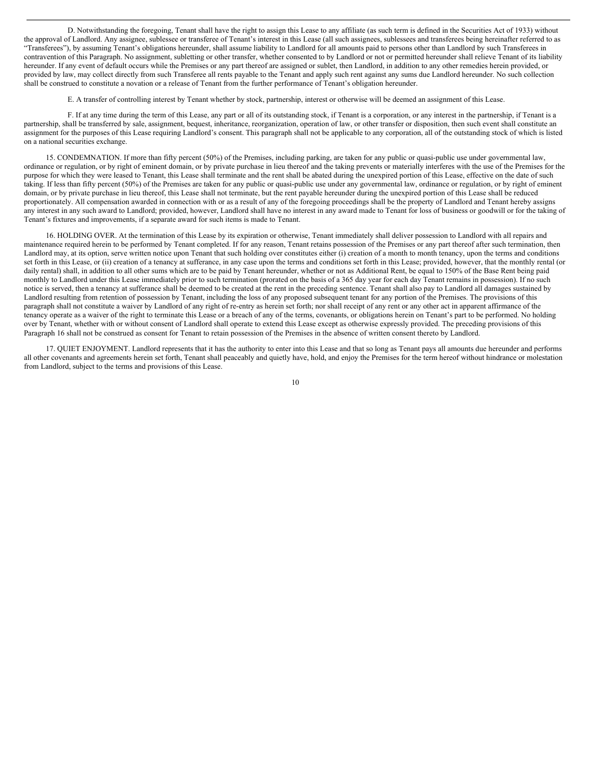D. Notwithstanding the foregoing, Tenant shall have the right to assign this Lease to any affiliate (as such term is defined in the Securities Act of 1933) without the approval of Landlord. Any assignee, sublessee or transferee of Tenant's interest in this Lease (all such assignees, sublessees and transferees being hereinafter referred to as "Transferees"), by assuming Tenant's obligations hereunder, shall assume liability to Landlord for all amounts paid to persons other than Landlord by such Transferees in contravention of this Paragraph. No assignment, subletting or other transfer, whether consented to by Landlord or not or permitted hereunder shall relieve Tenant of its liability hereunder. If any event of default occurs while the Premises or any part thereof are assigned or sublet, then Landlord, in addition to any other remedies herein provided, or provided by law, may collect directly from such Transferee all rents payable to the Tenant and apply such rent against any sums due Landlord hereunder. No such collection shall be construed to constitute a novation or a release of Tenant from the further performance of Tenant's obligation hereunder.

E. A transfer of controlling interest by Tenant whether by stock, partnership, interest or otherwise will be deemed an assignment of this Lease.

F. If at any time during the term of this Lease, any part or all of its outstanding stock, if Tenant is a corporation, or any interest in the partnership, if Tenant is a partnership, shall be transferred by sale, assignment, bequest, inheritance, reorganization, operation of law, or other transfer or disposition, then such event shall constitute an assignment for the purposes of this Lease requiring Landlord's consent. This paragraph shall not be applicable to any corporation, all of the outstanding stock of which is listed on a national securities exchange.

15. CONDEMNATION. If more than fifty percent (50%) of the Premises, including parking, are taken for any public or quasi-public use under governmental law, ordinance or regulation, or by right of eminent domain, or by private purchase in lieu thereof and the taking prevents or materially interferes with the use of the Premises for the purpose for which they were leased to Tenant, this Lease shall terminate and the rent shall be abated during the unexpired portion of this Lease, effective on the date of such taking. If less than fifty percent (50%) of the Premises are taken for any public or quasi-public use under any governmental law, ordinance or regulation, or by right of eminent domain, or by private purchase in lieu thereof, this Lease shall not terminate, but the rent payable hereunder during the unexpired portion of this Lease shall be reduced proportionately. All compensation awarded in connection with or as a result of any of the foregoing proceedings shall be the property of Landlord and Tenant hereby assigns any interest in any such award to Landlord; provided, however, Landlord shall have no interest in any award made to Tenant for loss of business or goodwill or for the taking of Tenant's fixtures and improvements, if a separate award for such items is made to Tenant.

16. HOLDING OVER. At the termination of this Lease by its expiration or otherwise, Tenant immediately shall deliver possession to Landlord with all repairs and maintenance required herein to be performed by Tenant completed. If for any reason, Tenant retains possession of the Premises or any part thereof after such termination, then Landlord may, at its option, serve written notice upon Tenant that such holding over constitutes either (i) creation of a month to month tenancy, upon the terms and conditions set forth in this Lease, or (ii) creation of a tenancy at sufferance, in any case upon the terms and conditions set forth in this Lease; provided, however, that the monthly rental (or daily rental) shall, in addition to all other sums which are to be paid by Tenant hereunder, whether or not as Additional Rent, be equal to 150% of the Base Rent being paid monthly to Landlord under this Lease immediately prior to such termination (prorated on the basis of a 365 day year for each day Tenant remains in possession). If no such notice is served, then a tenancy at sufferance shall be deemed to be created at the rent in the preceding sentence. Tenant shall also pay to Landlord all damages sustained by Landlord resulting from retention of possession by Tenant, including the loss of any proposed subsequent tenant for any portion of the Premises. The provisions of this paragraph shall not constitute a waiver by Landlord of any right of re-entry as herein set forth; nor shall receipt of any rent or any other act in apparent affirmance of the tenancy operate as a waiver of the right to terminate this Lease or a breach of any of the terms, covenants, or obligations herein on Tenant's part to be performed. No holding over by Tenant, whether with or without consent of Landlord shall operate to extend this Lease except as otherwise expressly provided. The preceding provisions of this Paragraph 16 shall not be construed as consent for Tenant to retain possession of the Premises in the absence of written consent thereto by Landlord.

17. QUIET ENJOYMENT. Landlord represents that it has the authority to enter into this Lease and that so long as Tenant pays all amounts due hereunder and performs all other covenants and agreements herein set forth, Tenant shall peaceably and quietly have, hold, and enjoy the Premises for the term hereof without hindrance or molestation from Landlord, subject to the terms and provisions of this Lease.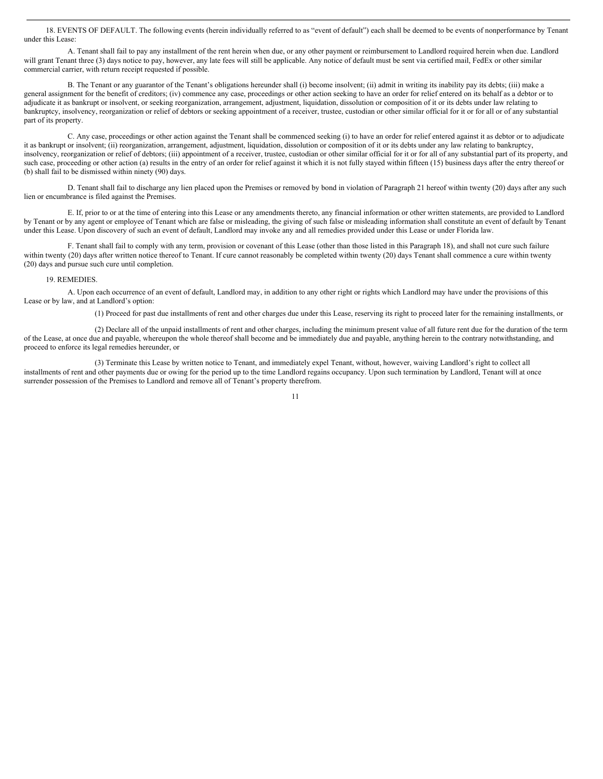18. EVENTS OF DEFAULT. The following events (herein individually referred to as "event of default") each shall be deemed to be events of nonperformance by Tenant under this Lease:

A. Tenant shall fail to pay any installment of the rent herein when due, or any other payment or reimbursement to Landlord required herein when due. Landlord will grant Tenant three (3) days notice to pay, however, any late fees will still be applicable. Any notice of default must be sent via certified mail, FedEx or other similar commercial carrier, with return receipt requested if possible.

B. The Tenant or any guarantor of the Tenant's obligations hereunder shall (i) become insolvent; (ii) admit in writing its inability pay its debts; (iii) make a general assignment for the benefit of creditors; (iv) commence any case, proceedings or other action seeking to have an order for relief entered on its behalf as a debtor or to adjudicate it as bankrupt or insolvent, or seeking reorganization, arrangement, adjustment, liquidation, dissolution or composition of it or its debts under law relating to bankruptcy, insolvency, reorganization or relief of debtors or seeking appointment of a receiver, trustee, custodian or other similar official for it or for all or of any substantial part of its property.

C. Any case, proceedings or other action against the Tenant shall be commenced seeking (i) to have an order for relief entered against it as debtor or to adjudicate it as bankrupt or insolvent; (ii) reorganization, arrangement, adjustment, liquidation, dissolution or composition of it or its debts under any law relating to bankruptcy, insolvency, reorganization or relief of debtors; (iii) appointment of a receiver, trustee, custodian or other similar official for it or for all of any substantial part of its property, and such case, proceeding or other action (a) results in the entry of an order for relief against it which it is not fully stayed within fifteen (15) business days after the entry thereof or (b) shall fail to be dismissed within ninety (90) days.

D. Tenant shall fail to discharge any lien placed upon the Premises or removed by bond in violation of Paragraph 21 hereof within twenty (20) days after any such lien or encumbrance is filed against the Premises.

E. If, prior to or at the time of entering into this Lease or any amendments thereto, any financial information or other written statements, are provided to Landlord by Tenant or by any agent or employee of Tenant which are false or misleading, the giving of such false or misleading information shall constitute an event of default by Tenant under this Lease. Upon discovery of such an event of default, Landlord may invoke any and all remedies provided under this Lease or under Florida law.

F. Tenant shall fail to comply with any term, provision or covenant of this Lease (other than those listed in this Paragraph 18), and shall not cure such failure within twenty (20) days after written notice thereof to Tenant. If cure cannot reasonably be completed within twenty (20) days Tenant shall commence a cure within twenty (20) days and pursue such cure until completion.

# 19. REMEDIES.

A. Upon each occurrence of an event of default, Landlord may, in addition to any other right or rights which Landlord may have under the provisions of this Lease or by law, and at Landlord's option:

(1) Proceed for past due installments of rent and other charges due under this Lease, reserving its right to proceed later for the remaining installments, or

(2) Declare all of the unpaid installments of rent and other charges, including the minimum present value of all future rent due for the duration of the term of the Lease, at once due and payable, whereupon the whole thereof shall become and be immediately due and payable, anything herein to the contrary notwithstanding, and proceed to enforce its legal remedies hereunder, or

(3) Terminate this Lease by written notice to Tenant, and immediately expel Tenant, without, however, waiving Landlord's right to collect all installments of rent and other payments due or owing for the period up to the time Landlord regains occupancy. Upon such termination by Landlord, Tenant will at once surrender possession of the Premises to Landlord and remove all of Tenant's property therefrom.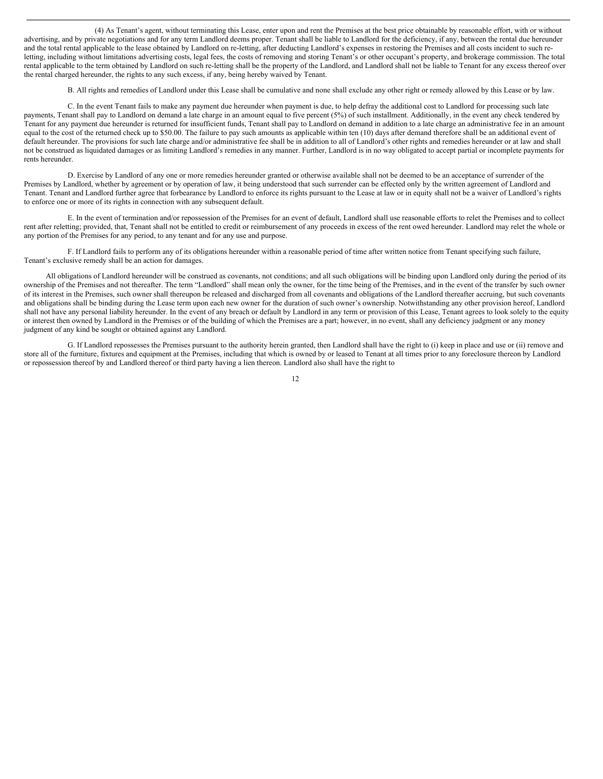(4) As Tenant's agent, without terminating this Lease, enter upon and rent the Premises at the best price obtainable by reasonable effort, with or without advertising, and by private negotiations and for any term Landlord deems proper. Tenant shall be liable to Landlord for the deficiency, if any, between the rental due hereunder and the total rental applicable to the lease obtained by Landlord on re-letting, after deducting Landlord's expenses in restoring the Premises and all costs incident to such reletting, including without limitations advertising costs, legal fees, the costs of removing and storing Tenant's or other occupant's property, and brokerage commission. The total rental applicable to the term obtained by Landlord on such re-letting shall be the property of the Landlord, and Landlord shall not be liable to Tenant for any excess thereof over the rental charged hereunder, the rights to any such excess, if any, being hereby waived by Tenant.

B. All rights and remedies of Landlord under this Lease shall be cumulative and none shall exclude any other right or remedy allowed by this Lease or by law.

C. In the event Tenant fails to make any payment due hereunder when payment is due, to help defray the additional cost to Landlord for processing such late payments, Tenant shall pay to Landlord on demand a late charge in an amount equal to five percent (5%) of such installment. Additionally, in the event any check tendered by Tenant for any payment due hereunder is returned for insufficient funds, Tenant shall pay to Landlord on demand in addition to a late charge an administrative fee in an amount equal to the cost of the returned check up to \$50.00. The failure to pay such amounts as applicable within ten (10) days after demand therefore shall be an additional event of default hereunder. The provisions for such late charge and/or administrative fee shall be in addition to all of Landlord's other rights and remedies hereunder or at law and shall not be construed as liquidated damages or as limiting Landlord's remedies in any manner. Further, Landlord is in no way obligated to accept partial or incomplete payments for rents hereunder.

D. Exercise by Landlord of any one or more remedies hereunder granted or otherwise available shall not be deemed to be an acceptance of surrender of the Premises by Landlord, whether by agreement or by operation of law, it being understood that such surrender can be effected only by the written agreement of Landlord and Tenant. Tenant and Landlord further agree that forbearance by Landlord to enforce its rights pursuant to the Lease at law or in equity shall not be a waiver of Landlord's rights to enforce one or more of its rights in connection with any subsequent default.

E. In the event of termination and/or repossession of the Premises for an event of default, Landlord shall use reasonable efforts to relet the Premises and to collect rent after reletting; provided, that, Tenant shall not be entitled to credit or reimbursement of any proceeds in excess of the rent owed hereunder. Landlord may relet the whole or any portion of the Premises for any period, to any tenant and for any use and purpose.

F. If Landlord fails to perform any of its obligations hereunder within a reasonable period of time after written notice from Tenant specifying such failure, Tenant's exclusive remedy shall be an action for damages.

All obligations of Landlord hereunder will be construed as covenants, not conditions; and all such obligations will be binding upon Landlord only during the period of its ownership of the Premises and not thereafter. The term "Landlord" shall mean only the owner, for the time being of the Premises, and in the event of the transfer by such owner of its interest in the Premises, such owner shall thereupon be released and discharged from all covenants and obligations of the Landlord thereafter accruing, but such covenants and obligations shall be binding during the Lease term upon each new owner for the duration of such owner's ownership. Notwithstanding any other provision hereof, Landlord shall not have any personal liability hereunder. In the event of any breach or default by Landlord in any term or provision of this Lease, Tenant agrees to look solely to the equity or interest then owned by Landlord in the Premises or of the building of which the Premises are a part; however, in no event, shall any deficiency judgment or any money judgment of any kind be sought or obtained against any Landlord.

G. If Landlord repossesses the Premises pursuant to the authority herein granted, then Landlord shall have the right to (i) keep in place and use or (ii) remove and store all of the furniture, fixtures and equipment at the Premises, including that which is owned by or leased to Tenant at all times prior to any foreclosure thereon by Landlord or repossession thereof by and Landlord thereof or third party having a lien thereon. Landlord also shall have the right to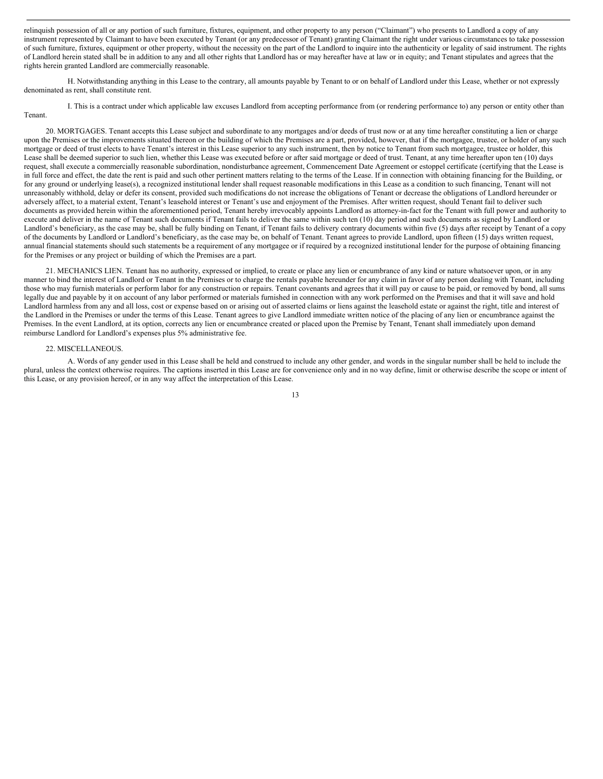relinquish possession of all or any portion of such furniture, fixtures, equipment, and other property to any person ("Claimant") who presents to Landlord a copy of any instrument represented by Claimant to have been executed by Tenant (or any predecessor of Tenant) granting Claimant the right under various circumstances to take possession of such furniture, fixtures, equipment or other property, without the necessity on the part of the Landlord to inquire into the authenticity or legality of said instrument. The rights of Landlord herein stated shall be in addition to any and all other rights that Landlord has or may hereafter have at law or in equity; and Tenant stipulates and agrees that the rights herein granted Landlord are commercially reasonable.

H. Notwithstanding anything in this Lease to the contrary, all amounts payable by Tenant to or on behalf of Landlord under this Lease, whether or not expressly denominated as rent, shall constitute rent.

I. This is a contract under which applicable law excuses Landlord from accepting performance from (or rendering performance to) any person or entity other than Tenant.

20. MORTGAGES. Tenant accepts this Lease subject and subordinate to any mortgages and/or deeds of trust now or at any time hereafter constituting a lien or charge upon the Premises or the improvements situated thereon or the building of which the Premises are a part, provided, however, that if the mortgagee, trustee, or holder of any such mortgage or deed of trust elects to have Tenant's interest in this Lease superior to any such instrument, then by notice to Tenant from such mortgagee, trustee or holder, this Lease shall be deemed superior to such lien, whether this Lease was executed before or after said mortgage or deed of trust. Tenant, at any time hereafter upon ten (10) days request, shall execute a commercially reasonable subordination, nondisturbance agreement, Commencement Date Agreement or estoppel certificate (certifying that the Lease is in full force and effect, the date the rent is paid and such other pertinent matters relating to the terms of the Lease. If in connection with obtaining financing for the Building, or for any ground or underlying lease(s), a recognized institutional lender shall request reasonable modifications in this Lease as a condition to such financing, Tenant will not unreasonably withhold, delay or defer its consent, provided such modifications do not increase the obligations of Tenant or decrease the obligations of Landlord hereunder or adversely affect, to a material extent, Tenant's leasehold interest or Tenant's use and enjoyment of the Premises. After written request, should Tenant fail to deliver such documents as provided herein within the aforementioned period, Tenant hereby irrevocably appoints Landlord as attorney-in-fact for the Tenant with full power and authority to execute and deliver in the name of Tenant such documents if Tenant fails to deliver the same within such ten (10) day period and such documents as signed by Landlord or Landlord's beneficiary, as the case may be, shall be fully binding on Tenant, if Tenant fails to delivery contrary documents within five (5) days after receipt by Tenant of a copy of the documents by Landlord or Landlord's beneficiary, as the case may be, on behalf of Tenant. Tenant agrees to provide Landlord, upon fifteen (15) days written request, annual financial statements should such statements be a requirement of any mortgagee or if required by a recognized institutional lender for the purpose of obtaining financing for the Premises or any project or building of which the Premises are a part.

21. MECHANICS LIEN. Tenant has no authority, expressed or implied, to create or place any lien or encumbrance of any kind or nature whatsoever upon, or in any manner to bind the interest of Landlord or Tenant in the Premises or to charge the rentals payable hereunder for any claim in favor of any person dealing with Tenant, including those who may furnish materials or perform labor for any construction or repairs. Tenant covenants and agrees that it will pay or cause to be paid, or removed by bond, all sums legally due and payable by it on account of any labor performed or materials furnished in connection with any work performed on the Premises and that it will save and hold Landlord harmless from any and all loss, cost or expense based on or arising out of asserted claims or liens against the leasehold estate or against the right, title and interest of the Landlord in the Premises or under the terms of this Lease. Tenant agrees to give Landlord immediate written notice of the placing of any lien or encumbrance against the Premises. In the event Landlord, at its option, corrects any lien or encumbrance created or placed upon the Premise by Tenant, Tenant shall immediately upon demand reimburse Landlord for Landlord's expenses plus 5% administrative fee.

#### 22. MISCELLANEOUS.

A. Words of any gender used in this Lease shall be held and construed to include any other gender, and words in the singular number shall be held to include the plural, unless the context otherwise requires. The captions inserted in this Lease are for convenience only and in no way define, limit or otherwise describe the scope or intent of this Lease, or any provision hereof, or in any way affect the interpretation of this Lease.

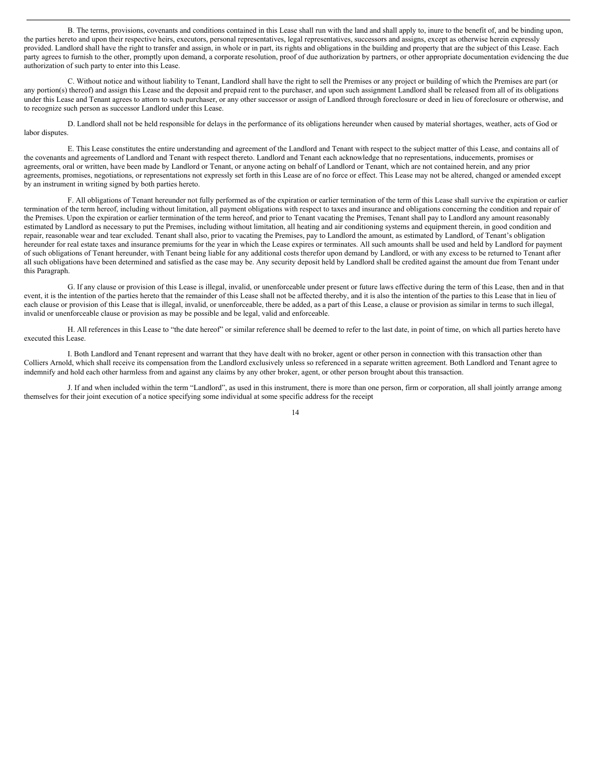B. The terms, provisions, covenants and conditions contained in this Lease shall run with the land and shall apply to, inure to the benefit of, and be binding upon, the parties hereto and upon their respective heirs, executors, personal representatives, legal representatives, successors and assigns, except as otherwise herein expressly provided. Landlord shall have the right to transfer and assign, in whole or in part, its rights and obligations in the building and property that are the subject of this Lease. Each party agrees to furnish to the other, promptly upon demand, a corporate resolution, proof of due authorization by partners, or other appropriate documentation evidencing the due authorization of such party to enter into this Lease.

C. Without notice and without liability to Tenant, Landlord shall have the right to sell the Premises or any project or building of which the Premises are part (or any portion(s) thereof) and assign this Lease and the deposit and prepaid rent to the purchaser, and upon such assignment Landlord shall be released from all of its obligations under this Lease and Tenant agrees to attorn to such purchaser, or any other successor or assign of Landlord through foreclosure or deed in lieu of foreclosure or otherwise, and to recognize such person as successor Landlord under this Lease.

D. Landlord shall not be held responsible for delays in the performance of its obligations hereunder when caused by material shortages, weather, acts of God or labor disputes.

E. This Lease constitutes the entire understanding and agreement of the Landlord and Tenant with respect to the subject matter of this Lease, and contains all of the covenants and agreements of Landlord and Tenant with respect thereto. Landlord and Tenant each acknowledge that no representations, inducements, promises or agreements, oral or written, have been made by Landlord or Tenant, or anyone acting on behalf of Landlord or Tenant, which are not contained herein, and any prior agreements, promises, negotiations, or representations not expressly set forth in this Lease are of no force or effect. This Lease may not be altered, changed or amended except by an instrument in writing signed by both parties hereto.

F. All obligations of Tenant hereunder not fully performed as of the expiration or earlier termination of the term of this Lease shall survive the expiration or earlier termination of the term hereof, including without limitation, all payment obligations with respect to taxes and insurance and obligations concerning the condition and repair of the Premises. Upon the expiration or earlier termination of the term hereof, and prior to Tenant vacating the Premises, Tenant shall pay to Landlord any amount reasonably estimated by Landlord as necessary to put the Premises, including without limitation, all heating and air conditioning systems and equipment therein, in good condition and repair, reasonable wear and tear excluded. Tenant shall also, prior to vacating the Premises, pay to Landlord the amount, as estimated by Landlord, of Tenant's obligation hereunder for real estate taxes and insurance premiums for the year in which the Lease expires or terminates. All such amounts shall be used and held by Landlord for payment of such obligations of Tenant hereunder, with Tenant being liable for any additional costs therefor upon demand by Landlord, or with any excess to be returned to Tenant after all such obligations have been determined and satisfied as the case may be. Any security deposit held by Landlord shall be credited against the amount due from Tenant under this Paragraph.

G. If any clause or provision of this Lease is illegal, invalid, or unenforceable under present or future laws effective during the term of this Lease, then and in that event, it is the intention of the parties hereto that the remainder of this Lease shall not be affected thereby, and it is also the intention of the parties to this Lease that in lieu of each clause or provision of this Lease that is illegal, invalid, or unenforceable, there be added, as a part of this Lease, a clause or provision as similar in terms to such illegal, invalid or unenforceable clause or provision as may be possible and be legal, valid and enforceable.

H. All references in this Lease to "the date hereof" or similar reference shall be deemed to refer to the last date, in point of time, on which all parties hereto have executed this Lease.

I. Both Landlord and Tenant represent and warrant that they have dealt with no broker, agent or other person in connection with this transaction other than Colliers Arnold, which shall receive its compensation from the Landlord exclusively unless so referenced in a separate written agreement. Both Landlord and Tenant agree to indemnify and hold each other harmless from and against any claims by any other broker, agent, or other person brought about this transaction.

J. If and when included within the term "Landlord", as used in this instrument, there is more than one person, firm or corporation, all shall jointly arrange among themselves for their joint execution of a notice specifying some individual at some specific address for the receipt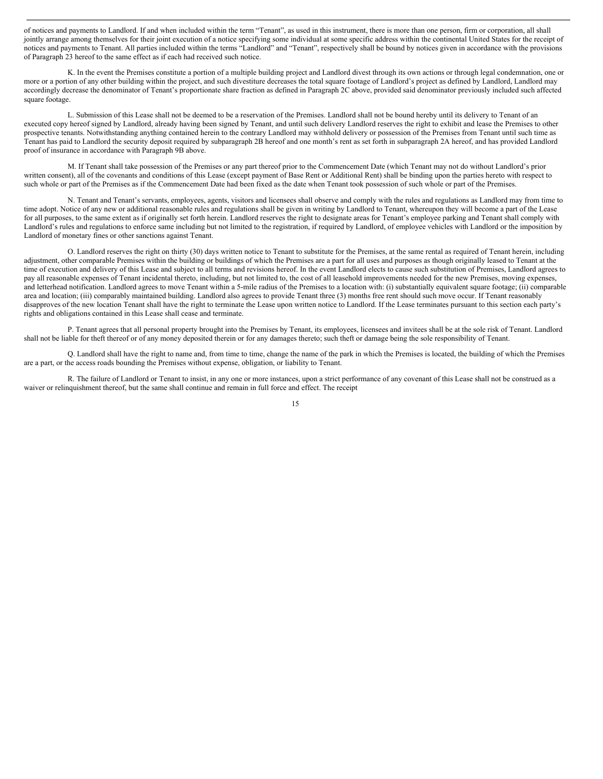of notices and payments to Landlord. If and when included within the term "Tenant", as used in this instrument, there is more than one person, firm or corporation, all shall jointly arrange among themselves for their joint execution of a notice specifying some individual at some specific address within the continental United States for the receipt of notices and payments to Tenant. All parties included within the terms "Landlord" and "Tenant", respectively shall be bound by notices given in accordance with the provisions of Paragraph 23 hereof to the same effect as if each had received such notice.

K. In the event the Premises constitute a portion of a multiple building project and Landlord divest through its own actions or through legal condemnation, one or more or a portion of any other building within the project, and such divestiture decreases the total square footage of Landlord's project as defined by Landlord, Landlord may accordingly decrease the denominator of Tenant's proportionate share fraction as defined in Paragraph 2C above, provided said denominator previously included such affected square footage.

L. Submission of this Lease shall not be deemed to be a reservation of the Premises. Landlord shall not be bound hereby until its delivery to Tenant of an executed copy hereof signed by Landlord, already having been signed by Tenant, and until such delivery Landlord reserves the right to exhibit and lease the Premises to other prospective tenants. Notwithstanding anything contained herein to the contrary Landlord may withhold delivery or possession of the Premises from Tenant until such time as Tenant has paid to Landlord the security deposit required by subparagraph 2B hereof and one month's rent as set forth in subparagraph 2A hereof, and has provided Landlord proof of insurance in accordance with Paragraph 9B above.

M. If Tenant shall take possession of the Premises or any part thereof prior to the Commencement Date (which Tenant may not do without Landlord's prior written consent), all of the covenants and conditions of this Lease (except payment of Base Rent or Additional Rent) shall be binding upon the parties hereto with respect to such whole or part of the Premises as if the Commencement Date had been fixed as the date when Tenant took possession of such whole or part of the Premises.

N. Tenant and Tenant's servants, employees, agents, visitors and licensees shall observe and comply with the rules and regulations as Landlord may from time to time adopt. Notice of any new or additional reasonable rules and regulations shall be given in writing by Landlord to Tenant, whereupon they will become a part of the Lease for all purposes, to the same extent as if originally set forth herein. Landlord reserves the right to designate areas for Tenant's employee parking and Tenant shall comply with Landlord's rules and regulations to enforce same including but not limited to the registration, if required by Landlord, of employee vehicles with Landlord or the imposition by Landlord of monetary fines or other sanctions against Tenant.

O. Landlord reserves the right on thirty (30) days written notice to Tenant to substitute for the Premises, at the same rental as required of Tenant herein, including adjustment, other comparable Premises within the building or buildings of which the Premises are a part for all uses and purposes as though originally leased to Tenant at the time of execution and delivery of this Lease and subject to all terms and revisions hereof. In the event Landlord elects to cause such substitution of Premises, Landlord agrees to pay all reasonable expenses of Tenant incidental thereto, including, but not limited to, the cost of all leasehold improvements needed for the new Premises, moving expenses, and letterhead notification. Landlord agrees to move Tenant within a 5-mile radius of the Premises to a location with: (i) substantially equivalent square footage; (ii) comparable area and location; (iii) comparably maintained building. Landlord also agrees to provide Tenant three (3) months free rent should such move occur. If Tenant reasonably disapproves of the new location Tenant shall have the right to terminate the Lease upon written notice to Landlord. If the Lease terminates pursuant to this section each party's rights and obligations contained in this Lease shall cease and terminate.

P. Tenant agrees that all personal property brought into the Premises by Tenant, its employees, licensees and invitees shall be at the sole risk of Tenant. Landlord shall not be liable for theft thereof or of any money deposited therein or for any damages thereto; such theft or damage being the sole responsibility of Tenant.

Q. Landlord shall have the right to name and, from time to time, change the name of the park in which the Premises is located, the building of which the Premises are a part, or the access roads bounding the Premises without expense, obligation, or liability to Tenant.

R. The failure of Landlord or Tenant to insist, in any one or more instances, upon a strict performance of any covenant of this Lease shall not be construed as a waiver or relinquishment thereof, but the same shall continue and remain in full force and effect. The receipt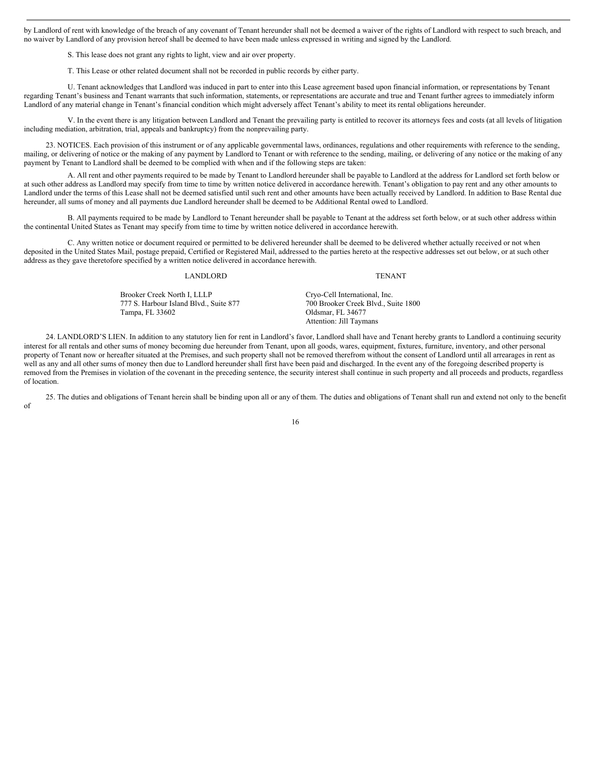by Landlord of rent with knowledge of the breach of any covenant of Tenant hereunder shall not be deemed a waiver of the rights of Landlord with respect to such breach, and no waiver by Landlord of any provision hereof shall be deemed to have been made unless expressed in writing and signed by the Landlord.

S. This lease does not grant any rights to light, view and air over property.

T. This Lease or other related document shall not be recorded in public records by either party.

U. Tenant acknowledges that Landlord was induced in part to enter into this Lease agreement based upon financial information, or representations by Tenant regarding Tenant's business and Tenant warrants that such information, statements, or representations are accurate and true and Tenant further agrees to immediately inform Landlord of any material change in Tenant's financial condition which might adversely affect Tenant's ability to meet its rental obligations hereunder.

V. In the event there is any litigation between Landlord and Tenant the prevailing party is entitled to recover its attorneys fees and costs (at all levels of litigation including mediation, arbitration, trial, appeals and bankruptcy) from the nonprevailing party.

23. NOTICES. Each provision of this instrument or of any applicable governmental laws, ordinances, regulations and other requirements with reference to the sending, mailing, or delivering of notice or the making of any payment by Landlord to Tenant or with reference to the sending, mailing, or delivering of any notice or the making of any payment by Tenant to Landlord shall be deemed to be complied with when and if the following steps are taken:

A. All rent and other payments required to be made by Tenant to Landlord hereunder shall be payable to Landlord at the address for Landlord set forth below or at such other address as Landlord may specify from time to time by written notice delivered in accordance herewith. Tenant's obligation to pay rent and any other amounts to Landlord under the terms of this Lease shall not be deemed satisfied until such rent and other amounts have been actually received by Landlord. In addition to Base Rental due hereunder, all sums of money and all payments due Landlord hereunder shall be deemed to be Additional Rental owed to Landlord.

B. All payments required to be made by Landlord to Tenant hereunder shall be payable to Tenant at the address set forth below, or at such other address within the continental United States as Tenant may specify from time to time by written notice delivered in accordance herewith.

C. Any written notice or document required or permitted to be delivered hereunder shall be deemed to be delivered whether actually received or not when deposited in the United States Mail, postage prepaid, Certified or Registered Mail, addressed to the parties hereto at the respective addresses set out below, or at such other address as they gave theretofore specified by a written notice delivered in accordance herewith.

LANDLORD TENANT

Brooker Creek North I, LLLP Cryo-Cell International, Inc. 777 S. Harbour Island Blvd., Suite 877 700 Brooker Creek Blvd., Suite 1800 Tampa, FL 33602 Oldsmar, FL 34677

Attention: Jill Taymans

24. LANDLORD'S LIEN. In addition to any statutory lien for rent in Landlord's favor, Landlord shall have and Tenant hereby grants to Landlord a continuing security interest for all rentals and other sums of money becoming due hereunder from Tenant, upon all goods, wares, equipment, fixtures, furniture, inventory, and other personal property of Tenant now or hereafter situated at the Premises, and such property shall not be removed therefrom without the consent of Landlord until all arrearages in rent as well as any and all other sums of money then due to Landlord hereunder shall first have been paid and discharged. In the event any of the foregoing described property is removed from the Premises in violation of the covenant in the preceding sentence, the security interest shall continue in such property and all proceeds and products, regardless of location.

25. The duties and obligations of Tenant herein shall be binding upon all or any of them. The duties and obligations of Tenant shall run and extend not only to the benefit of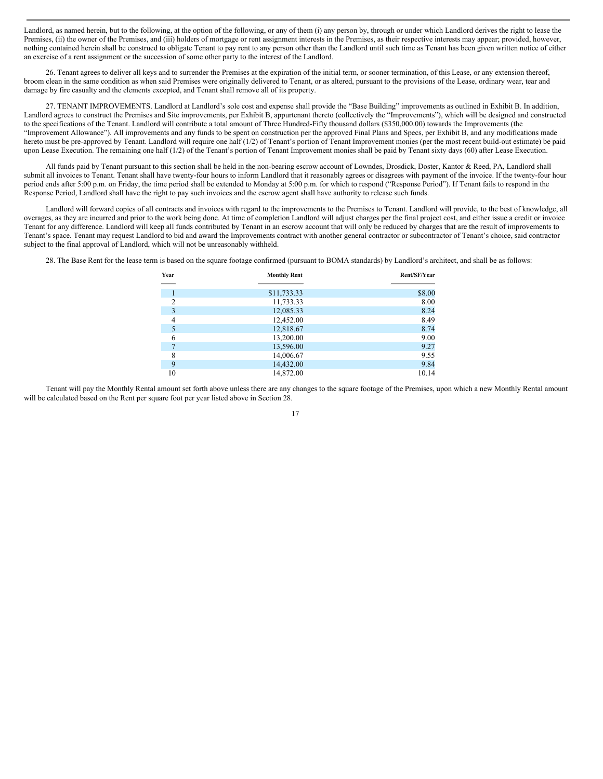Landlord, as named herein, but to the following, at the option of the following, or any of them (i) any person by, through or under which Landlord derives the right to lease the Premises, (ii) the owner of the Premises, and (iii) holders of mortgage or rent assignment interests in the Premises, as their respective interests may appear; provided, however, nothing contained herein shall be construed to obligate Tenant to pay rent to any person other than the Landlord until such time as Tenant has been given written notice of either an exercise of a rent assignment or the succession of some other party to the interest of the Landlord.

26. Tenant agrees to deliver all keys and to surrender the Premises at the expiration of the initial term, or sooner termination, of this Lease, or any extension thereof, broom clean in the same condition as when said Premises were originally delivered to Tenant, or as altered, pursuant to the provisions of the Lease, ordinary wear, tear and damage by fire casualty and the elements excepted, and Tenant shall remove all of its property.

27. TENANT IMPROVEMENTS. Landlord at Landlord's sole cost and expense shall provide the "Base Building" improvements as outlined in Exhibit B. In addition, Landlord agrees to construct the Premises and Site improvements, per Exhibit B, appurtenant thereto (collectively the "Improvements"), which will be designed and constructed to the specifications of the Tenant. Landlord will contribute a total amount of Three Hundred-Fifty thousand dollars (\$350,000.00) towards the Improvements (the "Improvement Allowance"). All improvements and any funds to be spent on construction per the approved Final Plans and Specs, per Exhibit B, and any modifications made hereto must be pre-approved by Tenant. Landlord will require one half (1/2) of Tenant's portion of Tenant Improvement monies (per the most recent build-out estimate) be paid upon Lease Execution. The remaining one half (1/2) of the Tenant's portion of Tenant Improvement monies shall be paid by Tenant sixty days (60) after Lease Execution.

All funds paid by Tenant pursuant to this section shall be held in the non-bearing escrow account of Lowndes, Drosdick, Doster, Kantor & Reed, PA, Landlord shall submit all invoices to Tenant. Tenant shall have twenty-four hours to inform Landlord that it reasonably agrees or disagrees with payment of the invoice. If the twenty-four hour period ends after 5:00 p.m. on Friday, the time period shall be extended to Monday at 5:00 p.m. for which to respond ("Response Period"). If Tenant fails to respond in the Response Period, Landlord shall have the right to pay such invoices and the escrow agent shall have authority to release such funds.

Landlord will forward copies of all contracts and invoices with regard to the improvements to the Premises to Tenant. Landlord will provide, to the best of knowledge, all overages, as they are incurred and prior to the work being done. At time of completion Landlord will adjust charges per the final project cost, and either issue a credit or invoice Tenant for any difference. Landlord will keep all funds contributed by Tenant in an escrow account that will only be reduced by charges that are the result of improvements to Tenant's space. Tenant may request Landlord to bid and award the Improvements contract with another general contractor or subcontractor of Tenant's choice, said contractor subject to the final approval of Landlord, which will not be unreasonably withheld.

28. The Base Rent for the lease term is based on the square footage confirmed (pursuant to BOMA standards) by Landlord's architect, and shall be as follows:

| Year | <b>Monthly Rent</b> | Rent/SF/Year |
|------|---------------------|--------------|
|      |                     |              |
|      | \$11,733.33         | \$8.00       |
| 2    | 11,733.33           | 8.00         |
| 3    | 12,085.33           | 8.24         |
| 4    | 12,452.00           | 8.49         |
| 5    | 12,818.67           | 8.74         |
| 6    | 13,200.00           | 9.00         |
| 7    | 13,596.00           | 9.27         |
| 8    | 14,006.67           | 9.55         |
| 9    | 14,432.00           | 9.84         |
| 10   | 14,872.00           | 10.14        |

Tenant will pay the Monthly Rental amount set forth above unless there are any changes to the square footage of the Premises, upon which a new Monthly Rental amount will be calculated based on the Rent per square foot per year listed above in Section 28.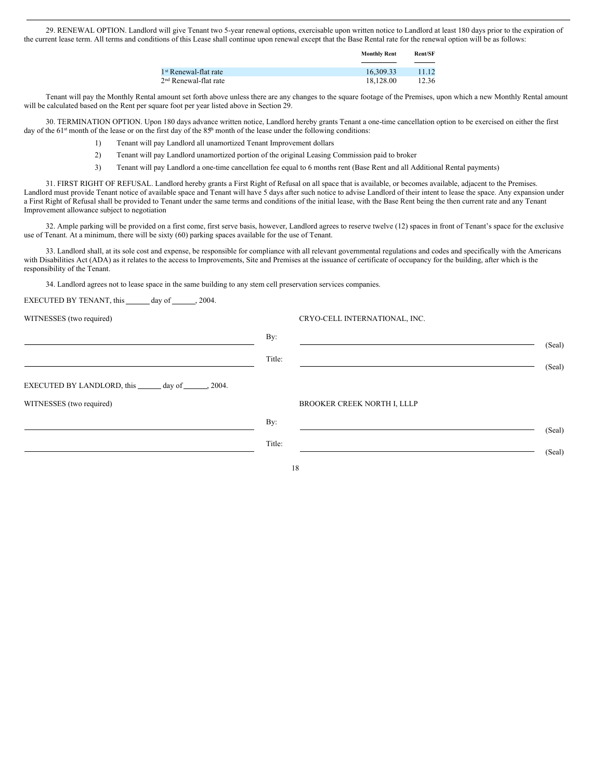29. RENEWAL OPTION. Landlord will give Tenant two 5-year renewal options, exercisable upon written notice to Landlord at least 180 days prior to the expiration of the current lease term. All terms and conditions of this Lease shall continue upon renewal except that the Base Rental rate for the renewal option will be as follows:

|                                   | <b>Monthly Rent</b> | Rent/SF |
|-----------------------------------|---------------------|---------|
|                                   |                     |         |
| 1 <sup>st</sup> Renewal-flat rate | 16.309.33           | 11.12   |
| 2 <sup>nd</sup> Renewal-flat rate | 18.128.00           | 12.36   |

Tenant will pay the Monthly Rental amount set forth above unless there are any changes to the square footage of the Premises, upon which a new Monthly Rental amount will be calculated based on the Rent per square foot per year listed above in Section 29.

30. TERMINATION OPTION. Upon 180 days advance written notice, Landlord hereby grants Tenant a one-time cancellation option to be exercised on either the first day of the 61<sup>st</sup> month of the lease or on the first day of the  $85<sup>h</sup>$  month of the lease under the following conditions:

- 1) Tenant will pay Landlord all unamortized Tenant Improvement dollars
- 2) Tenant will pay Landlord unamortized portion of the original Leasing Commission paid to broker
- 3) Tenant will pay Landlord a one-time cancellation fee equal to 6 months rent (Base Rent and all Additional Rental payments)

31. FIRST RIGHT OF REFUSAL. Landlord hereby grants a First Right of Refusal on all space that is available, or becomes available, adjacent to the Premises. Landlord must provide Tenant notice of available space and Tenant will have 5 days after such notice to advise Landlord of their intent to lease the space. Any expansion under a First Right of Refusal shall be provided to Tenant under the same terms and conditions of the initial lease, with the Base Rent being the then current rate and any Tenant Improvement allowance subject to negotiation

32. Ample parking will be provided on a first come, first serve basis, however, Landlord agrees to reserve twelve (12) spaces in front of Tenant's space for the exclusive use of Tenant. At a minimum, there will be sixty (60) parking spaces available for the use of Tenant.

33. Landlord shall, at its sole cost and expense, be responsible for compliance with all relevant governmental regulations and codes and specifically with the Americans with Disabilities Act (ADA) as it relates to the access to Improvements, Site and Premises at the issuance of certificate of occupancy for the building, after which is the responsibility of the Tenant.

34. Landlord agrees not to lease space in the same building to any stem cell preservation services companies.

EXECUTED BY TENANT, this \_\_\_\_\_\_ day of \_\_\_\_\_\_, 2004.

WITNESSES (two required) CRYO-CELL INTERNATIONAL, INC.

| $\cdots$                                                 |        |                             |        |
|----------------------------------------------------------|--------|-----------------------------|--------|
|                                                          | By:    |                             | (Seal) |
|                                                          | Title: |                             |        |
|                                                          |        |                             | (Seal) |
| EXECUTED BY LANDLORD, this _______ day of _______, 2004. |        |                             |        |
| WITNESSES (two required)                                 |        | BROOKER CREEK NORTH I, LLLP |        |
|                                                          | By:    |                             | (Seal) |
|                                                          |        |                             |        |
|                                                          | Title: |                             | (Seal) |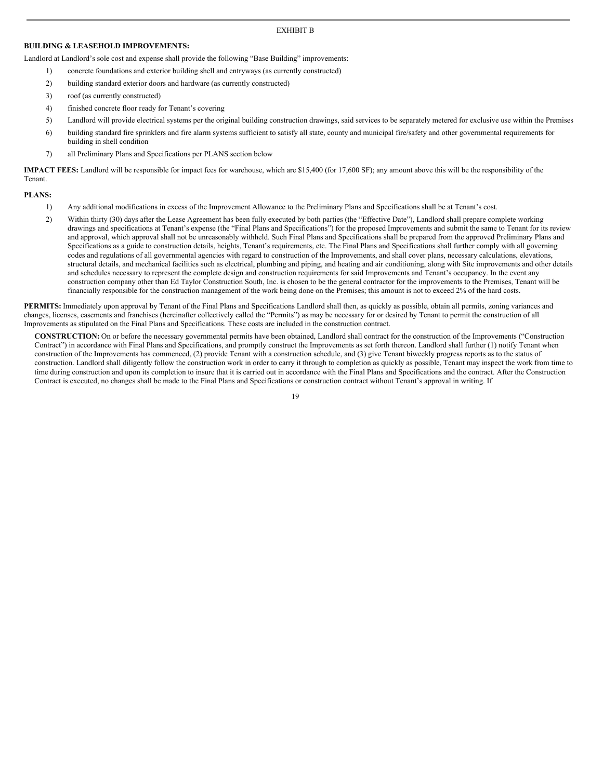# EXHIBIT B

# **BUILDING & LEASEHOLD IMPROVEMENTS:**

Landlord at Landlord's sole cost and expense shall provide the following "Base Building" improvements:

- 1) concrete foundations and exterior building shell and entryways (as currently constructed)
- 2) building standard exterior doors and hardware (as currently constructed)
- 3) roof (as currently constructed)
- 4) finished concrete floor ready for Tenant's covering
- 5) Landlord will provide electrical systems per the original building construction drawings, said services to be separately metered for exclusive use within the Premises
- 6) building standard fire sprinklers and fire alarm systems sufficient to satisfy all state, county and municipal fire/safety and other governmental requirements for building in shell condition
- 7) all Preliminary Plans and Specifications per PLANS section below

**IMPACT FEES:** Landlord will be responsible for impact fees for warehouse, which are \$15,400 (for 17,600 SF); any amount above this will be the responsibility of the Tenant.

# **PLANS:**

- 1) Any additional modifications in excess of the Improvement Allowance to the Preliminary Plans and Specifications shall be at Tenant's cost.
- 2) Within thirty (30) days after the Lease Agreement has been fully executed by both parties (the "Effective Date"), Landlord shall prepare complete working drawings and specifications at Tenant's expense (the "Final Plans and Specifications") for the proposed Improvements and submit the same to Tenant for its review and approval, which approval shall not be unreasonably withheld. Such Final Plans and Specifications shall be prepared from the approved Preliminary Plans and Specifications as a guide to construction details, heights, Tenant's requirements, etc. The Final Plans and Specifications shall further comply with all governing codes and regulations of all governmental agencies with regard to construction of the Improvements, and shall cover plans, necessary calculations, elevations, structural details, and mechanical facilities such as electrical, plumbing and piping, and heating and air conditioning, along with Site improvements and other details and schedules necessary to represent the complete design and construction requirements for said Improvements and Tenant's occupancy. In the event any construction company other than Ed Taylor Construction South, Inc. is chosen to be the general contractor for the improvements to the Premises, Tenant will be financially responsible for the construction management of the work being done on the Premises; this amount is not to exceed 2% of the hard costs.

**PERMITS:** Immediately upon approval by Tenant of the Final Plans and Specifications Landlord shall then, as quickly as possible, obtain all permits, zoning variances and changes, licenses, easements and franchises (hereinafter collectively called the "Permits") as may be necessary for or desired by Tenant to permit the construction of all Improvements as stipulated on the Final Plans and Specifications. These costs are included in the construction contract.

**CONSTRUCTION:** On or before the necessary governmental permits have been obtained, Landlord shall contract for the construction of the Improvements ("Construction Contract") in accordance with Final Plans and Specifications, and promptly construct the Improvements as set forth thereon. Landlord shall further (1) notify Tenant when construction of the Improvements has commenced, (2) provide Tenant with a construction schedule, and (3) give Tenant biweekly progress reports as to the status of construction. Landlord shall diligently follow the construction work in order to carry it through to completion as quickly as possible, Tenant may inspect the work from time to time during construction and upon its completion to insure that it is carried out in accordance with the Final Plans and Specifications and the contract. After the Construction Contract is executed, no changes shall be made to the Final Plans and Specifications or construction contract without Tenant's approval in writing. If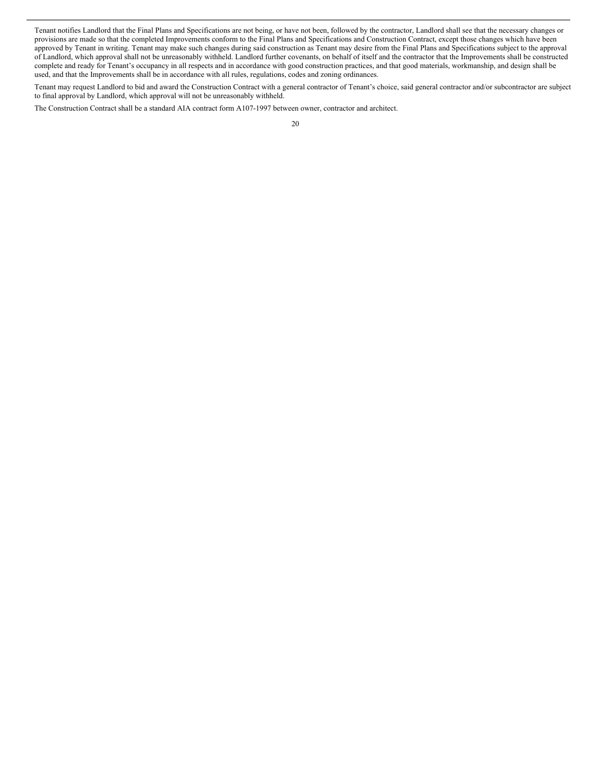Tenant notifies Landlord that the Final Plans and Specifications are not being, or have not been, followed by the contractor, Landlord shall see that the necessary changes or provisions are made so that the completed Improvements conform to the Final Plans and Specifications and Construction Contract, except those changes which have been approved by Tenant in writing. Tenant may make such changes during said construction as Tenant may desire from the Final Plans and Specifications subject to the approval of Landlord, which approval shall not be unreasonably withheld. Landlord further covenants, on behalf of itself and the contractor that the Improvements shall be constructed complete and ready for Tenant's occupancy in all respects and in accordance with good construction practices, and that good materials, workmanship, and design shall be used, and that the Improvements shall be in accordance with all rules, regulations, codes and zoning ordinances.

Tenant may request Landlord to bid and award the Construction Contract with a general contractor of Tenant's choice, said general contractor and/or subcontractor are subject to final approval by Landlord, which approval will not be unreasonably withheld.

The Construction Contract shall be a standard AIA contract form A107-1997 between owner, contractor and architect.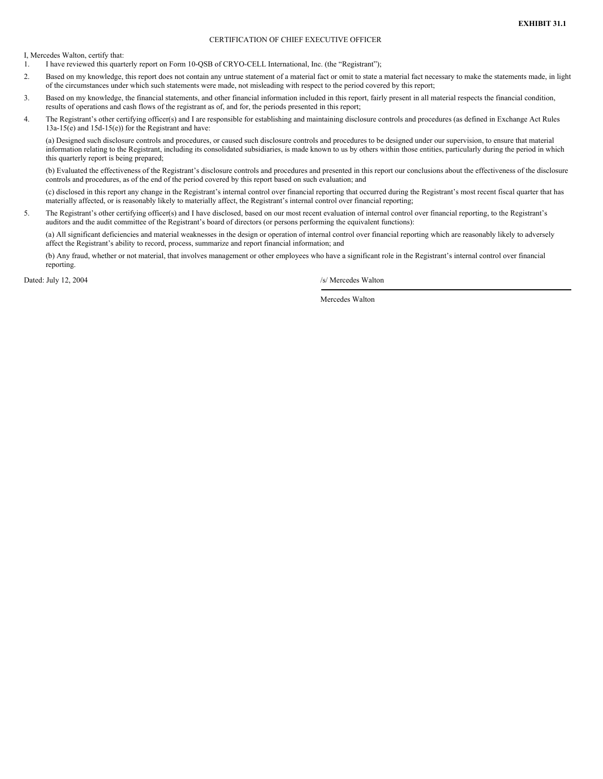# CERTIFICATION OF CHIEF EXECUTIVE OFFICER

I, Mercedes Walton, certify that:

1. I have reviewed this quarterly report on Form 10-QSB of CRYO-CELL International, Inc. (the "Registrant");

- 2. Based on my knowledge, this report does not contain any untrue statement of a material fact or omit to state a material fact necessary to make the statements made, in light of the circumstances under which such statements were made, not misleading with respect to the period covered by this report;
- 3. Based on my knowledge, the financial statements, and other financial information included in this report, fairly present in all material respects the financial condition, results of operations and cash flows of the registrant as of, and for, the periods presented in this report;
- 4. The Registrant's other certifying officer(s) and I are responsible for establishing and maintaining disclosure controls and procedures (as defined in Exchange Act Rules 13a-15(e) and 15d-15(e)) for the Registrant and have:

(a) Designed such disclosure controls and procedures, or caused such disclosure controls and procedures to be designed under our supervision, to ensure that material information relating to the Registrant, including its consolidated subsidiaries, is made known to us by others within those entities, particularly during the period in which this quarterly report is being prepared;

(b) Evaluated the effectiveness of the Registrant's disclosure controls and procedures and presented in this report our conclusions about the effectiveness of the disclosure controls and procedures, as of the end of the period covered by this report based on such evaluation; and

(c) disclosed in this report any change in the Registrant's internal control over financial reporting that occurred during the Registrant's most recent fiscal quarter that has materially affected, or is reasonably likely to materially affect, the Registrant's internal control over financial reporting;

5. The Registrant's other certifying officer(s) and I have disclosed, based on our most recent evaluation of internal control over financial reporting, to the Registrant's auditors and the audit committee of the Registrant's board of directors (or persons performing the equivalent functions):

(a) All significant deficiencies and material weaknesses in the design or operation of internal control over financial reporting which are reasonably likely to adversely affect the Registrant's ability to record, process, summarize and report financial information; and

(b) Any fraud, whether or not material, that involves management or other employees who have a significant role in the Registrant's internal control over financial reporting.

Dated: July 12, 2004 /s/ Mercedes Walton

Mercedes Walton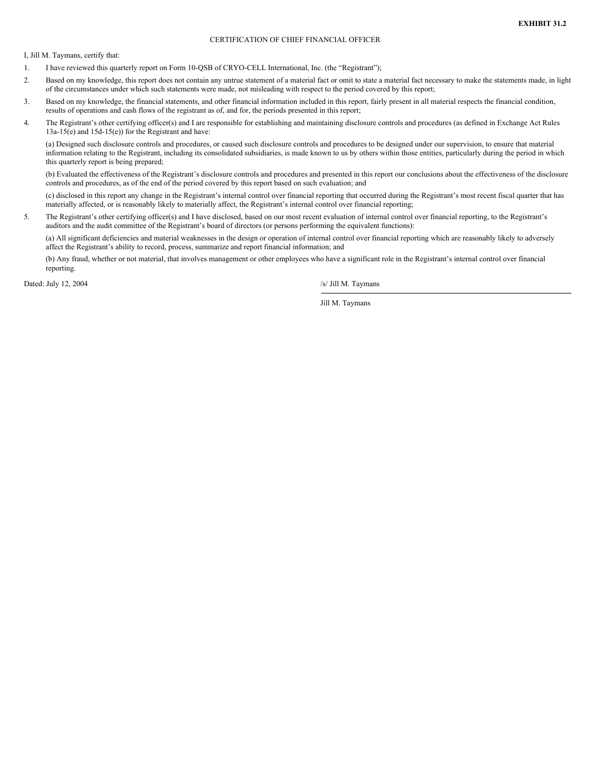# CERTIFICATION OF CHIEF FINANCIAL OFFICER

I, Jill M. Taymans, certify that:

- 1. I have reviewed this quarterly report on Form 10-QSB of CRYO-CELL International, Inc. (the "Registrant");
- 2. Based on my knowledge, this report does not contain any untrue statement of a material fact or omit to state a material fact necessary to make the statements made, in light of the circumstances under which such statements were made, not misleading with respect to the period covered by this report;
- 3. Based on my knowledge, the financial statements, and other financial information included in this report, fairly present in all material respects the financial condition, results of operations and cash flows of the registrant as of, and for, the periods presented in this report;
- 4. The Registrant's other certifying officer(s) and I are responsible for establishing and maintaining disclosure controls and procedures (as defined in Exchange Act Rules 13a-15(e) and 15d-15(e)) for the Registrant and have:

(a) Designed such disclosure controls and procedures, or caused such disclosure controls and procedures to be designed under our supervision, to ensure that material information relating to the Registrant, including its consolidated subsidiaries, is made known to us by others within those entities, particularly during the period in which this quarterly report is being prepared;

(b) Evaluated the effectiveness of the Registrant's disclosure controls and procedures and presented in this report our conclusions about the effectiveness of the disclosure controls and procedures, as of the end of the period covered by this report based on such evaluation; and

(c) disclosed in this report any change in the Registrant's internal control over financial reporting that occurred during the Registrant's most recent fiscal quarter that has materially affected, or is reasonably likely to materially affect, the Registrant's internal control over financial reporting;

5. The Registrant's other certifying officer(s) and I have disclosed, based on our most recent evaluation of internal control over financial reporting, to the Registrant's auditors and the audit committee of the Registrant's board of directors (or persons performing the equivalent functions):

(a) All significant deficiencies and material weaknesses in the design or operation of internal control over financial reporting which are reasonably likely to adversely affect the Registrant's ability to record, process, summarize and report financial information; and

(b) Any fraud, whether or not material, that involves management or other employees who have a significant role in the Registrant's internal control over financial reporting.

Dated: July 12, 2004 /s/ Jill M. Taymans

Jill M. Taymans